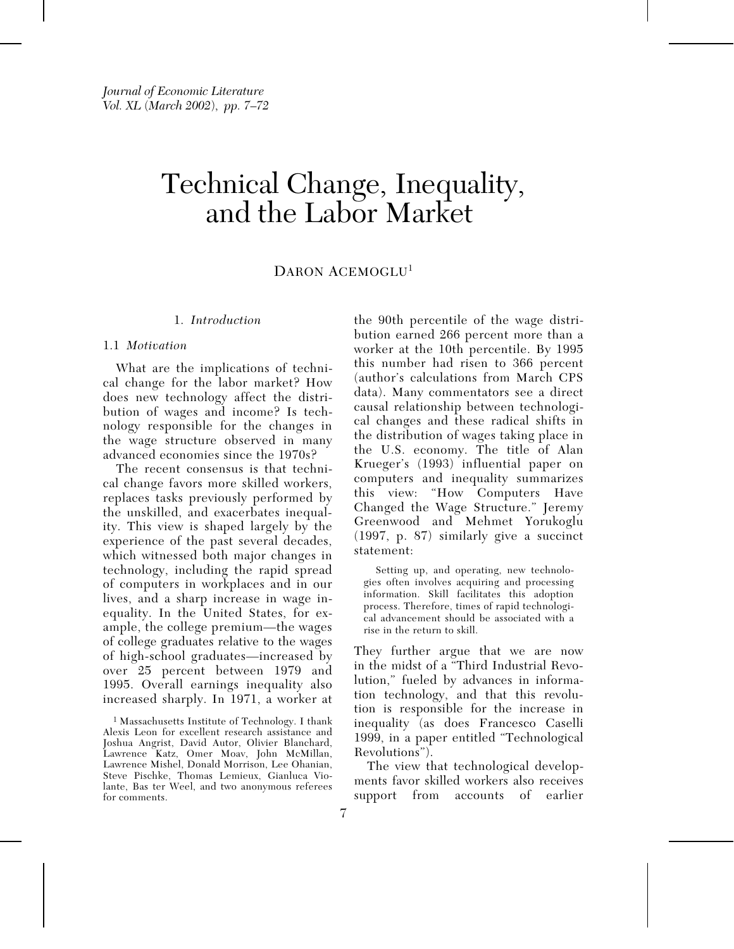# Technical Change, Inequality, and the Labor Market

## DARON ACEMOGLU<sup>1</sup>

#### 1. *Introduction*

#### 1.1 *Motivation*

What are the implications of technical change for the labor market? How does new technology affect the distribution of wages and income? Is technology responsible for the changes in the wage structure observed in many advanced economies since the 1970s?

The recent consensus is that technical change favors more skilled workers, replaces tasks previously performed by the unskilled, and exacerbates inequality. This view is shaped largely by the experience of the past several decades, which witnessed both major changes in technology, including the rapid spread of computers in workplaces and in our lives, and a sharp increase in wage inequality. In the United States, for example, the college premium—the wages of college graduates relative to the wages of high-school graduates—increased by over 25 percent between 1979 and 1995. Overall earnings inequality also increased sharply. In 1971, a worker at

the 90th percentile of the wage distribution earned 266 percent more than a worker at the 10th percentile. By 1995 this number had risen to 366 percent (author's calculations from March CPS data). Many commentators see a direct causal relationship between technological changes and these radical shifts in the distribution of wages taking place in the U.S. economy. The title of Alan Krueger's (1993) influential paper on computers and inequality summarizes this view: "How Computers Have Changed the Wage Structure." Jeremy Greenwood and Mehmet Yorukoglu (1997, p. 87) similarly give a succinct statement:

Setting up, and operating, new technologies often involves acquiring and processing information. Skill facilitates this adoption process. Therefore, times of rapid technological advancement should be associated with a rise in the return to skill.

They further argue that we are now in the midst of a "Third Industrial Revolution," fueled by advances in information technology, and that this revolution is responsible for the increase in inequality (as does Francesco Caselli 1999, in a paper entitled "Technological Revolutions").

The view that technological developments favor skilled workers also receives support from accounts of earlier

<sup>1</sup> Massachusetts Institute of Technology. I thank Alexis Leon for excellent research assistance and Joshua Angrist, David Autor, Olivier Blanchard, Lawrence Katz, Omer Moav, John McMillan, Lawrence Mishel, Donald Morrison, Lee Ohanian, Steve Pischke, Thomas Lemieux, Gianluca Violante, Bas ter Weel, and two anonymous referees for comments.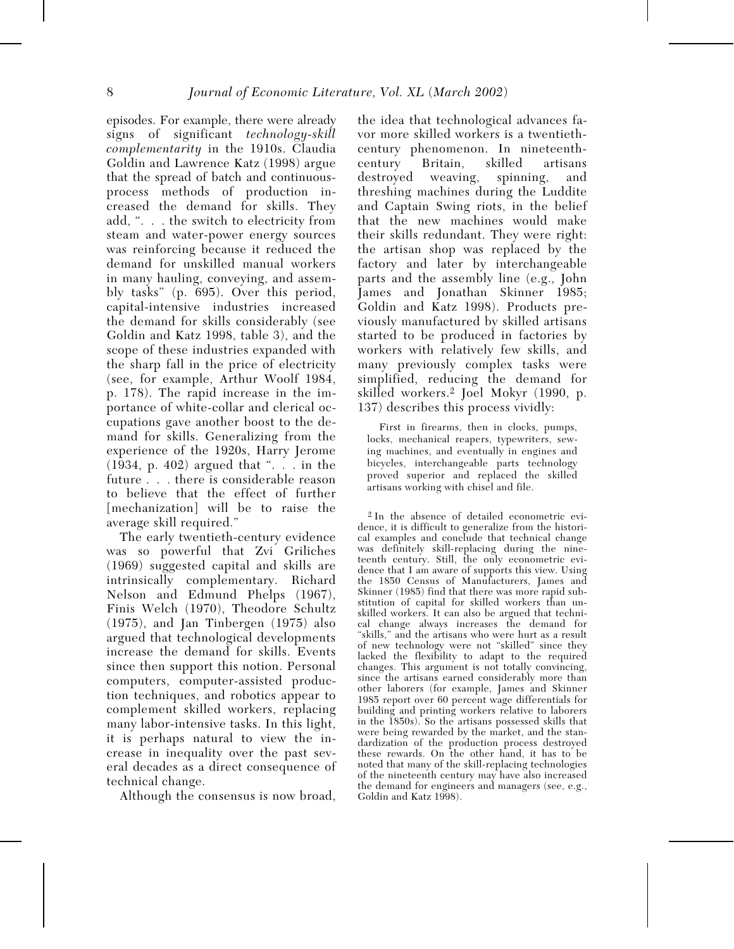episodes. For example, there were already signs of significant *technology-skill complementarity* in the 1910s. Claudia Goldin and Lawrence Katz (1998) argue that the spread of batch and continuousprocess methods of production increased the demand for skills. They add, ". . . the switch to electricity from steam and water-power energy sources was reinforcing because it reduced the demand for unskilled manual workers in many hauling, conveying, and assembly tasks" (p. 695). Over this period, capital-intensive industries increased the demand for skills considerably (see Goldin and Katz 1998, table 3), and the scope of these industries expanded with the sharp fall in the price of electricity (see, for example, Arthur Woolf 1984, p. 178). The rapid increase in the importance of white-collar and clerical occupations gave another boost to the demand for skills. Generalizing from the experience of the 1920s, Harry Jerome (1934, p. 402) argued that ". . . in the future . . . there is considerable reason to believe that the effect of further [mechanization] will be to raise the average skill required."

The early twentieth-century evidence was so powerful that Zvi Griliches (1969) suggested capital and skills are intrinsically complementary. Richard Nelson and Edmund Phelps (1967), Finis Welch (1970), Theodore Schultz (1975), and Jan Tinbergen (1975) also argued that technological developments increase the demand for skills. Events since then support this notion. Personal computers, computer-assisted production techniques, and robotics appear to complement skilled workers, replacing many labor-intensive tasks. In this light, it is perhaps natural to view the increase in inequality over the past several decades as a direct consequence of technical change.

Although the consensus is now broad,

the idea that technological advances favor more skilled workers is a twentiethcentury phenomenon. In nineteenthcentury Britain, skilled artisans destroyed weaving, spinning, and threshing machines during the Luddite and Captain Swing riots, in the belief that the new machines would make their skills redundant. They were right: the artisan shop was replaced by the factory and later by interchangeable parts and the assembly line (e.g., John James and Jonathan Skinner 1985; Goldin and Katz 1998). Products previously manufactured by skilled artisans started to be produced in factories by workers with relatively few skills, and many previously complex tasks were simplified, reducing the demand for skilled workers.2 Joel Mokyr (1990, p. 137) describes this process vividly:

First in firearms, then in clocks, pumps, locks, mechanical reapers, typewriters, sewing machines, and eventually in engines and bicycles, interchangeable parts technology proved superior and replaced the skilled artisans working with chisel and file.

2 In the absence of detailed econometric evidence, it is difficult to generalize from the historical examples and conclude that technical change was definitely skill-replacing during the nineteenth century. Still, the only econometric evidence that I am aware of supports this view. Using the 1850 Census of Manufacturers, James and Skinner (1985) find that there was more rapid substitution of capital for skilled workers than unskilled workers. It can also be argued that technical change always increases the demand for "skills," and the artisans who were hurt as a result of new technology were not "skilled" since they lacked the flexibility to adapt to the required changes. This argument is not totally convincing, since the artisans earned considerably more than other laborers (for example, James and Skinner 1985 report over 60 percent wage differentials for building and printing workers relative to laborers in the 1850s). So the artisans possessed skills that were being rewarded by the market, and the standardization of the production process destroyed these rewards. On the other hand, it has to be noted that many of the skill-replacing technologies of the nineteenth century may have also increased the demand for engineers and managers (see, e.g., Goldin and Katz 1998).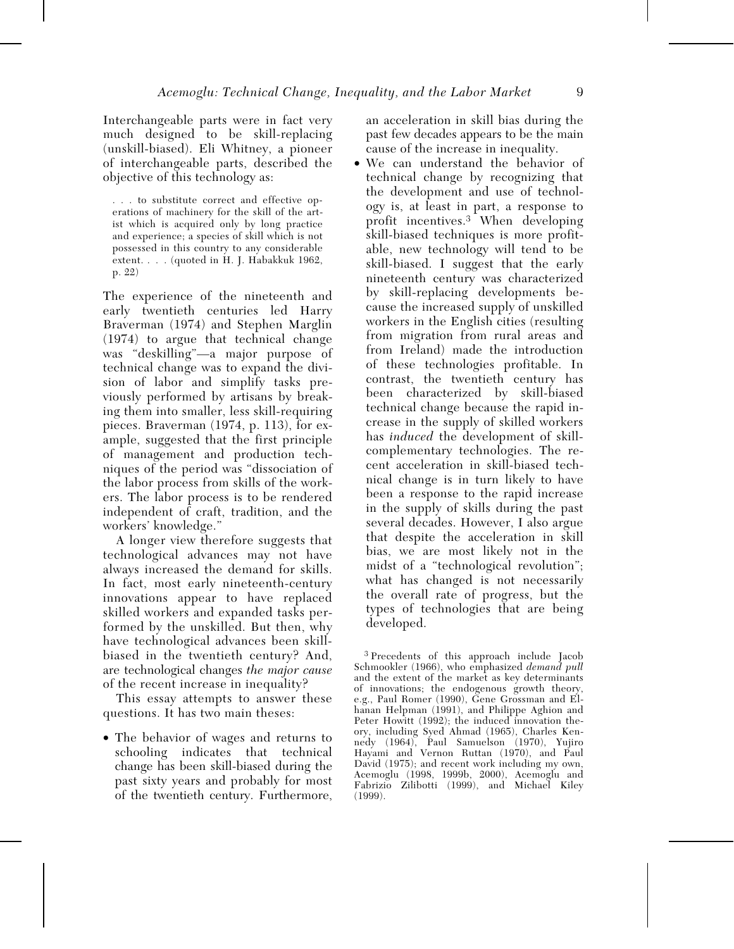Interchangeable parts were in fact very much designed to be skill-replacing (unskill-biased). Eli Whitney, a pioneer of interchangeable parts, described the objective of this technology as:

. . . to substitute correct and effective operations of machinery for the skill of the artist which is acquired only by long practice and experience; a species of skill which is not possessed in this country to any considerable extent. . . . (quoted in H. J. Habakkuk 1962, p. 22)

The experience of the nineteenth and early twentieth centuries led Harry Braverman (1974) and Stephen Marglin (1974) to argue that technical change was "deskilling"—a major purpose of technical change was to expand the division of labor and simplify tasks previously performed by artisans by breaking them into smaller, less skill-requiring pieces. Braverman (1974, p. 113), for example, suggested that the first principle of management and production techniques of the period was "dissociation of the labor process from skills of the workers. The labor process is to be rendered independent of craft, tradition, and the workers' knowledge."

A longer view therefore suggests that technological advances may not have always increased the demand for skills. In fact, most early nineteenth-century innovations appear to have replaced skilled workers and expanded tasks performed by the unskilled. But then, why have technological advances been skillbiased in the twentieth century? And, are technological changes *the major cause* of the recent increase in inequality?

This essay attempts to answer these questions. It has two main theses:

• The behavior of wages and returns to schooling indicates that technical change has been skill-biased during the past sixty years and probably for most of the twentieth century. Furthermore, an acceleration in skill bias during the past few decades appears to be the main cause of the increase in inequality.

• We can understand the behavior of technical change by recognizing that the development and use of technology is, at least in part, a response to profit incentives.3 When developing skill-biased techniques is more profitable, new technology will tend to be skill-biased. I suggest that the early nineteenth century was characterized by skill-replacing developments because the increased supply of unskilled workers in the English cities (resulting from migration from rural areas and from Ireland) made the introduction of these technologies profitable. In contrast, the twentieth century has been characterized by skill-biased technical change because the rapid increase in the supply of skilled workers has *induced* the development of skillcomplementary technologies. The recent acceleration in skill-biased technical change is in turn likely to have been a response to the rapid increase in the supply of skills during the past several decades. However, I also argue that despite the acceleration in skill bias, we are most likely not in the midst of a "technological revolution"; what has changed is not necessarily the overall rate of progress, but the types of technologies that are being developed.

<sup>3</sup> Precedents of this approach include Jacob Schmookler (1966), who emphasized *demand pull* and the extent of the market as key determinants of innovations; the endogenous growth theory, e.g., Paul Romer (1990), Gene Grossman and Elhanan Helpman (1991), and Philippe Aghion and Peter Howitt (1992); the induced innovation theory, including Syed Ahmad (1965), Charles Kennedy (1964), Paul Samuelson (1970), Yujiro Hayami and Vernon Ruttan (1970), and Paul David (1975); and recent work including my own, Acemoglu (1998, 1999b, 2000), Acemoglu and Fabrizio Zilibotti (1999), and Michael Kiley (1999).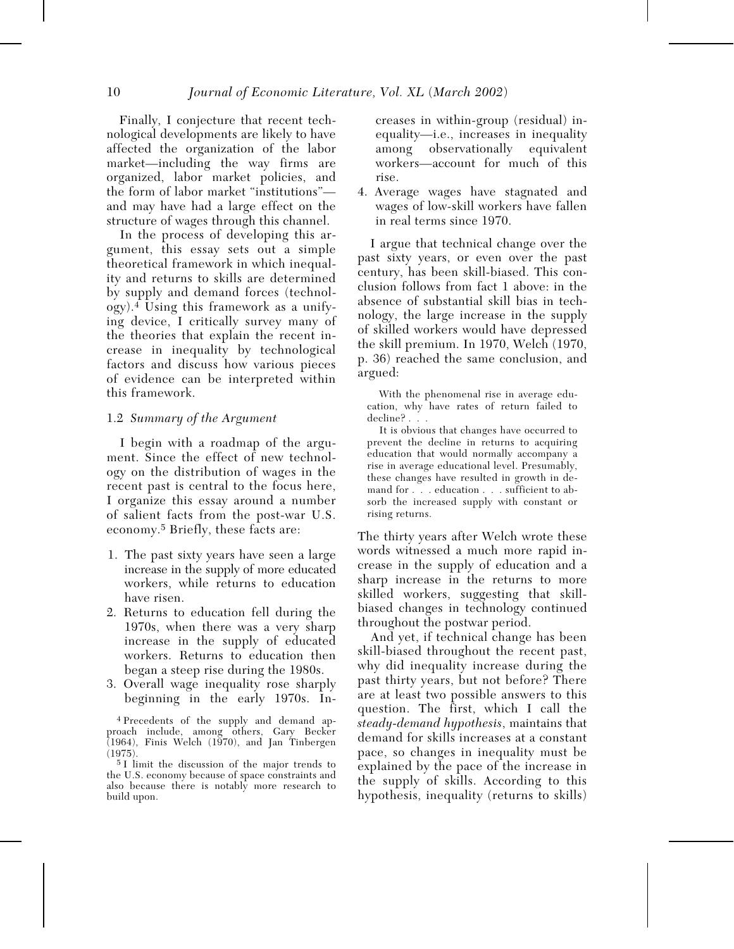Finally, I conjecture that recent technological developments are likely to have affected the organization of the labor market—including the way firms are organized, labor market policies, and the form of labor market "institutions" and may have had a large effect on the structure of wages through this channel.

In the process of developing this argument, this essay sets out a simple theoretical framework in which inequality and returns to skills are determined by supply and demand forces (technology).4 Using this framework as a unifying device, I critically survey many of the theories that explain the recent increase in inequality by technological factors and discuss how various pieces of evidence can be interpreted within this framework.

#### 1.2 *Summary of the Argument*

I begin with a roadmap of the argument. Since the effect of new technology on the distribution of wages in the recent past is central to the focus here, I organize this essay around a number of salient facts from the post-war U.S. economy.5 Briefly, these facts are:

- 1. The past sixty years have seen a large increase in the supply of more educated workers, while returns to education have risen.
- 2. Returns to education fell during the 1970s, when there was a very sharp increase in the supply of educated workers. Returns to education then began a steep rise during the 1980s.
- 3. Overall wage inequality rose sharply beginning in the early 1970s. In-

creases in within-group (residual) inequality—i.e., increases in inequality among observationally equivalent workers—account for much of this rise.

4. Average wages have stagnated and wages of low-skill workers have fallen in real terms since 1970.

I argue that technical change over the past sixty years, or even over the past century, has been skill-biased. This conclusion follows from fact 1 above: in the absence of substantial skill bias in technology, the large increase in the supply of skilled workers would have depressed the skill premium. In 1970, Welch (1970, p. 36) reached the same conclusion, and argued:

With the phenomenal rise in average education, why have rates of return failed to decline? . . .

It is obvious that changes have occurred to prevent the decline in returns to acquiring education that would normally accompany a rise in average educational level. Presumably, these changes have resulted in growth in demand for . . . education . . . sufficient to absorb the increased supply with constant or rising returns.

The thirty years after Welch wrote these words witnessed a much more rapid increase in the supply of education and a sharp increase in the returns to more skilled workers, suggesting that skillbiased changes in technology continued throughout the postwar period.

And yet, if technical change has been skill-biased throughout the recent past, why did inequality increase during the past thirty years, but not before? There are at least two possible answers to this question. The first, which I call the *steady-demand hypothesis*, maintains that demand for skills increases at a constant pace, so changes in inequality must be explained by the pace of the increase in the supply of skills. According to this hypothesis, inequality (returns to skills)

<sup>4</sup> Precedents of the supply and demand approach include, among others, Gary Becker (1964), Finis Welch (1970), and Jan Tinbergen (1975).

<sup>5</sup> I limit the discussion of the major trends to the U.S. economy because of space constraints and also because there is notably more research to build upon.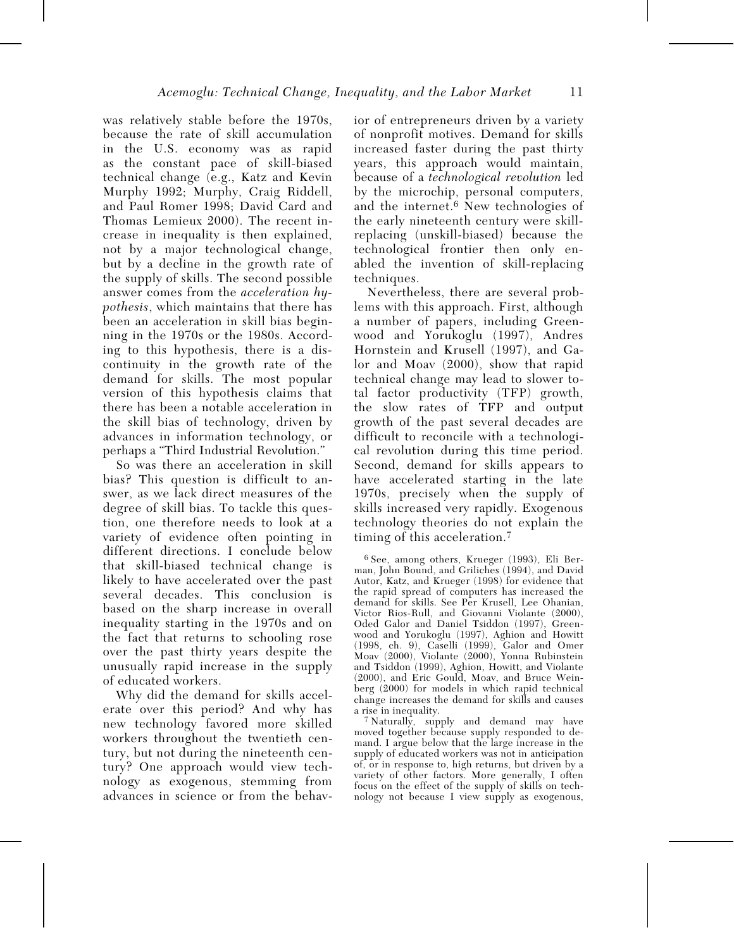was relatively stable before the 1970s, because the rate of skill accumulation in the U.S. economy was as rapid as the constant pace of skill-biased technical change (e.g., Katz and Kevin Murphy 1992; Murphy, Craig Riddell, and Paul Romer 1998; David Card and Thomas Lemieux 2000). The recent increase in inequality is then explained, not by a major technological change, but by a decline in the growth rate of the supply of skills. The second possible answer comes from the *acceleration hypothesis*, which maintains that there has been an acceleration in skill bias beginning in the 1970s or the 1980s. According to this hypothesis, there is a discontinuity in the growth rate of the demand for skills. The most popular version of this hypothesis claims that there has been a notable acceleration in the skill bias of technology, driven by advances in information technology, or perhaps a "Third Industrial Revolution."

So was there an acceleration in skill bias? This question is difficult to answer, as we lack direct measures of the degree of skill bias. To tackle this question, one therefore needs to look at a variety of evidence often pointing in different directions. I conclude below that skill-biased technical change is likely to have accelerated over the past several decades. This conclusion is based on the sharp increase in overall inequality starting in the 1970s and on the fact that returns to schooling rose over the past thirty years despite the unusually rapid increase in the supply of educated workers.

Why did the demand for skills accelerate over this period? And why has new technology favored more skilled workers throughout the twentieth century, but not during the nineteenth century? One approach would view technology as exogenous, stemming from advances in science or from the behavior of entrepreneurs driven by a variety of nonprofit motives. Demand for skills increased faster during the past thirty years, this approach would maintain, because of a *technological revolution* led by the microchip, personal computers, and the internet.6 New technologies of the early nineteenth century were skillreplacing (unskill-biased) because the technological frontier then only enabled the invention of skill-replacing techniques.

Nevertheless, there are several problems with this approach. First, although a number of papers, including Greenwood and Yorukoglu (1997), Andres Hornstein and Krusell (1997), and Galor and Moav (2000), show that rapid technical change may lead to slower total factor productivity (TFP) growth, the slow rates of TFP and output growth of the past several decades are difficult to reconcile with a technological revolution during this time period. Second, demand for skills appears to have accelerated starting in the late 1970s, precisely when the supply of skills increased very rapidly. Exogenous technology theories do not explain the timing of this acceleration.7

6 See, among others, Krueger (1993), Eli Berman, John Bound, and Griliches (1994), and David Autor, Katz, and Krueger (1998) for evidence that the rapid spread of computers has increased the demand for skills. See Per Krusell, Lee Ohanian, Victor Rios-Rull, and Giovanni Violante (2000), Oded Galor and Daniel Tsiddon (1997), Greenwood and Yorukoglu (1997), Aghion and Howitt (1998, ch. 9), Caselli (1999), Galor and Omer Moav (2000), Violante (2000), Yonna Rubinstein and Tsiddon (1999), Aghion, Howitt, and Violante (2000), and Eric Gould, Moav, and Bruce Weinberg (2000) for models in which rapid technical change increases the demand for skills and causes a rise in inequality.

7 Naturally, supply and demand may have moved together because supply responded to demand. I argue below that the large increase in the supply of educated workers was not in anticipation of, or in response to, high returns, but driven by a variety of other factors. More generally, I often focus on the effect of the supply of skills on technology not because I view supply as exogenous,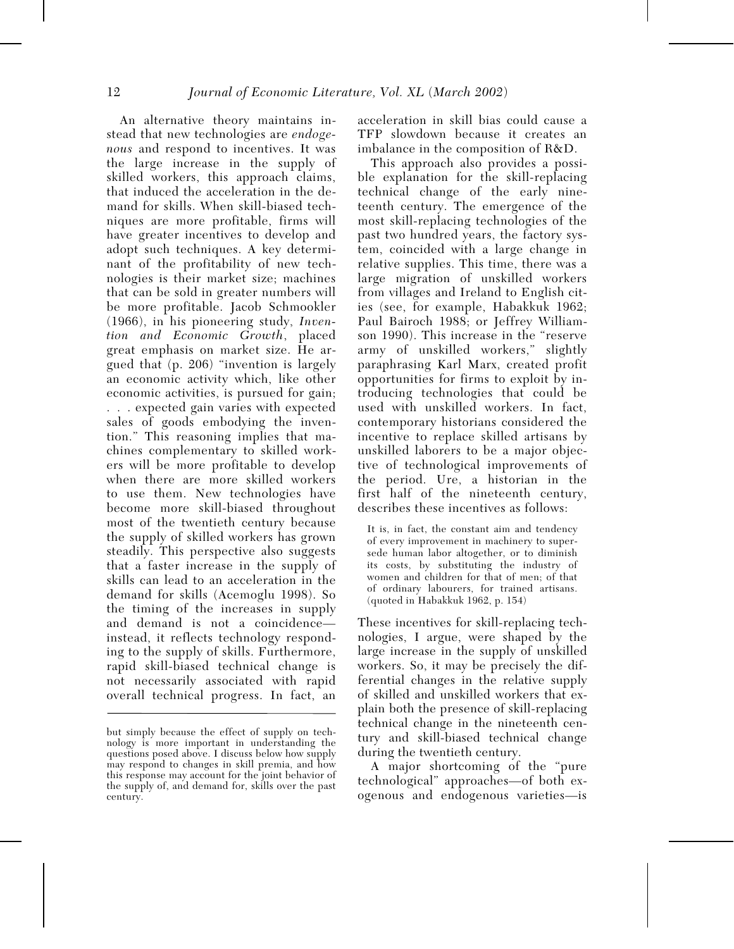An alternative theory maintains instead that new technologies are *endogenous* and respond to incentives. It was the large increase in the supply of skilled workers, this approach claims, that induced the acceleration in the demand for skills. When skill-biased techniques are more profitable, firms will have greater incentives to develop and adopt such techniques. A key determinant of the profitability of new technologies is their market size; machines that can be sold in greater numbers will be more profitable. Jacob Schmookler (1966), in his pioneering study, *Invention and Economic Growth*, placed great emphasis on market size. He argued that (p. 206) "invention is largely an economic activity which, like other economic activities, is pursued for gain; . . . expected gain varies with expected sales of goods embodying the invention." This reasoning implies that machines complementary to skilled workers will be more profitable to develop when there are more skilled workers to use them. New technologies have become more skill-biased throughout most of the twentieth century because the supply of skilled workers has grown steadily. This perspective also suggests that a faster increase in the supply of skills can lead to an acceleration in the demand for skills (Acemoglu 1998). So the timing of the increases in supply and demand is not a coincidence instead, it reflects technology responding to the supply of skills. Furthermore, rapid skill-biased technical change is not necessarily associated with rapid overall technical progress. In fact, an

acceleration in skill bias could cause a TFP slowdown because it creates an imbalance in the composition of R&D.

This approach also provides a possible explanation for the skill-replacing technical change of the early nineteenth century. The emergence of the most skill-replacing technologies of the past two hundred years, the factory system, coincided with a large change in relative supplies. This time, there was a large migration of unskilled workers from villages and Ireland to English cities (see, for example, Habakkuk 1962; Paul Bairoch 1988; or Jeffrey Williamson 1990). This increase in the "reserve army of unskilled workers," slightly paraphrasing Karl Marx, created profit opportunities for firms to exploit by introducing technologies that could be used with unskilled workers. In fact, contemporary historians considered the incentive to replace skilled artisans by unskilled laborers to be a major objective of technological improvements of the period. Ure, a historian in the first half of the nineteenth century, describes these incentives as follows:

It is, in fact, the constant aim and tendency of every improvement in machinery to supersede human labor altogether, or to diminish its costs, by substituting the industry of women and children for that of men; of that of ordinary labourers, for trained artisans. (quoted in Habakkuk 1962, p. 154)

These incentives for skill-replacing technologies, I argue, were shaped by the large increase in the supply of unskilled workers. So, it may be precisely the differential changes in the relative supply of skilled and unskilled workers that explain both the presence of skill-replacing technical change in the nineteenth century and skill-biased technical change during the twentieth century.

A major shortcoming of the "pure technological" approaches—of both exogenous and endogenous varieties—is

but simply because the effect of supply on technology is more important in understanding the questions posed above. I discuss below how supply may respond to changes in skill premia, and how this response may account for the joint behavior of the supply of, and demand for, skills over the past century.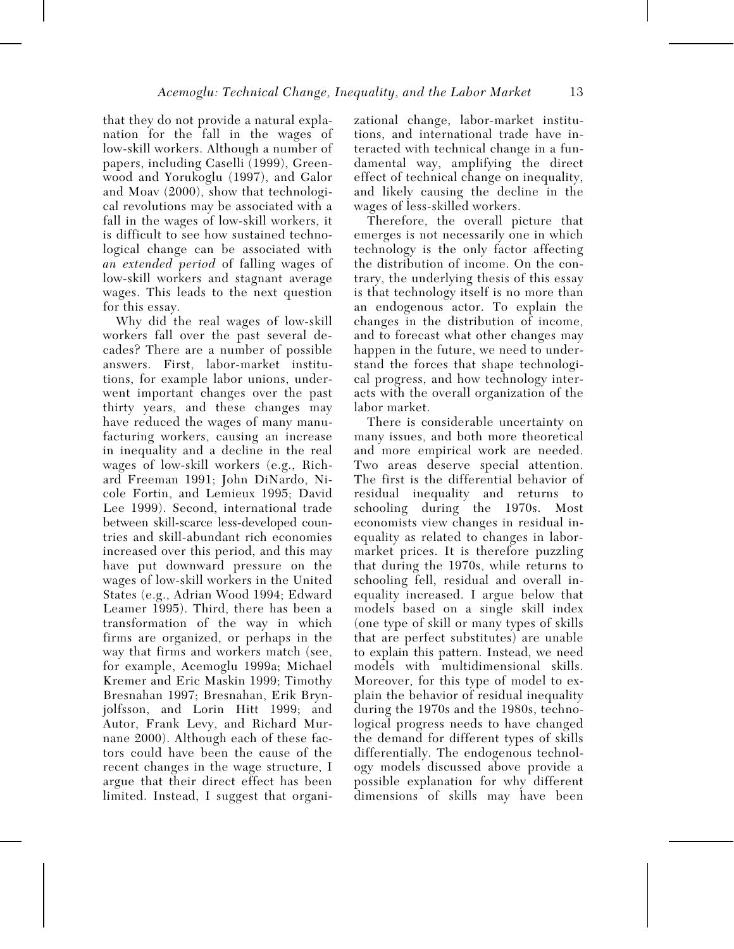that they do not provide a natural explanation for the fall in the wages of low-skill workers. Although a number of papers, including Caselli (1999), Greenwood and Yorukoglu (1997), and Galor and Moav (2000), show that technological revolutions may be associated with a fall in the wages of low-skill workers, it is difficult to see how sustained technological change can be associated with *an extended period* of falling wages of low-skill workers and stagnant average wages. This leads to the next question for this essay.

Why did the real wages of low-skill workers fall over the past several decades? There are a number of possible answers. First, labor-market institutions, for example labor unions, underwent important changes over the past thirty years, and these changes may have reduced the wages of many manufacturing workers, causing an increase in inequality and a decline in the real wages of low-skill workers (e.g., Richard Freeman 1991; John DiNardo, Nicole Fortin, and Lemieux 1995; David Lee 1999). Second, international trade between skill-scarce less-developed countries and skill-abundant rich economies increased over this period, and this may have put downward pressure on the wages of low-skill workers in the United States (e.g., Adrian Wood 1994; Edward Leamer 1995). Third, there has been a transformation of the way in which firms are organized, or perhaps in the way that firms and workers match (see, for example, Acemoglu 1999a; Michael Kremer and Eric Maskin 1999; Timothy Bresnahan 1997; Bresnahan, Erik Brynjolfsson, and Lorin Hitt 1999; and Autor, Frank Levy, and Richard Murnane 2000). Although each of these factors could have been the cause of the recent changes in the wage structure, I argue that their direct effect has been limited. Instead, I suggest that organizational change, labor-market institutions, and international trade have interacted with technical change in a fundamental way, amplifying the direct effect of technical change on inequality, and likely causing the decline in the wages of less-skilled workers.

Therefore, the overall picture that emerges is not necessarily one in which technology is the only factor affecting the distribution of income. On the contrary, the underlying thesis of this essay is that technology itself is no more than an endogenous actor. To explain the changes in the distribution of income, and to forecast what other changes may happen in the future, we need to understand the forces that shape technological progress, and how technology interacts with the overall organization of the labor market.

There is considerable uncertainty on many issues, and both more theoretical and more empirical work are needed. Two areas deserve special attention. The first is the differential behavior of residual inequality and returns to schooling during the 1970s. Most economists view changes in residual inequality as related to changes in labormarket prices. It is therefore puzzling that during the 1970s, while returns to schooling fell, residual and overall inequality increased. I argue below that models based on a single skill index (one type of skill or many types of skills that are perfect substitutes) are unable to explain this pattern. Instead, we need models with multidimensional skills. Moreover, for this type of model to explain the behavior of residual inequality during the 1970s and the 1980s, technological progress needs to have changed the demand for different types of skills differentially. The endogenous technology models discussed above provide a possible explanation for why different dimensions of skills may have been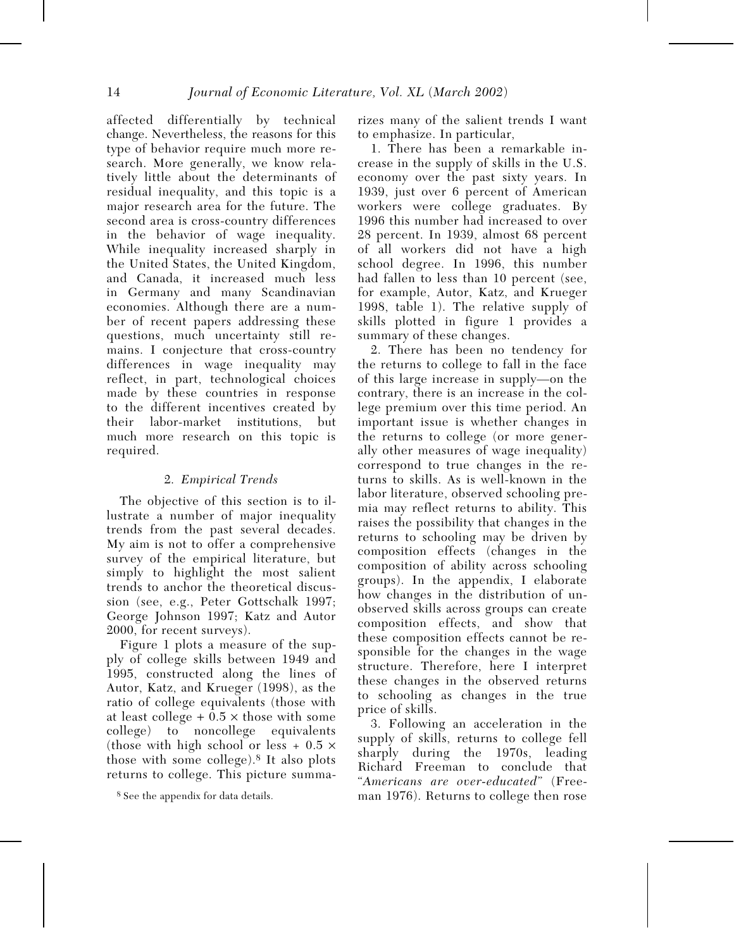affected differentially by technical change. Nevertheless, the reasons for this type of behavior require much more research. More generally, we know relatively little about the determinants of residual inequality, and this topic is a major research area for the future. The second area is cross-country differences in the behavior of wage inequality. While inequality increased sharply in the United States, the United Kingdom, and Canada, it increased much less in Germany and many Scandinavian economies. Although there are a number of recent papers addressing these questions, much uncertainty still remains. I conjecture that cross-country differences in wage inequality may reflect, in part, technological choices made by these countries in response to the different incentives created by their labor-market institutions, but much more research on this topic is required.

# 2. *Empirical Trends*

The objective of this section is to illustrate a number of major inequality trends from the past several decades. My aim is not to offer a comprehensive survey of the empirical literature, but simply to highlight the most salient trends to anchor the theoretical discussion (see, e.g., Peter Gottschalk 1997; George Johnson 1997; Katz and Autor 2000, for recent surveys).

Figure 1 plots a measure of the supply of college skills between 1949 and 1995, constructed along the lines of Autor, Katz, and Krueger (1998), as the ratio of college equivalents (those with at least college  $+0.5 \times$  those with some college) to noncollege equivalents (those with high school or less  $+$  0.5  $\times$ those with some college).8 It also plots returns to college. This picture summa-

rizes many of the salient trends I want to emphasize. In particular,

1. There has been a remarkable increase in the supply of skills in the U.S. economy over the past sixty years. In 1939, just over 6 percent of American workers were college graduates. By 1996 this number had increased to over 28 percent. In 1939, almost 68 percent of all workers did not have a high school degree. In 1996, this number had fallen to less than 10 percent (see, for example, Autor, Katz, and Krueger 1998, table 1). The relative supply of skills plotted in figure 1 provides a summary of these changes.

2. There has been no tendency for the returns to college to fall in the face of this large increase in supply—on the contrary, there is an increase in the college premium over this time period. An important issue is whether changes in the returns to college (or more generally other measures of wage inequality) correspond to true changes in the returns to skills. As is well-known in the labor literature, observed schooling premia may reflect returns to ability. This raises the possibility that changes in the returns to schooling may be driven by composition effects (changes in the composition of ability across schooling groups). In the appendix, I elaborate how changes in the distribution of unobserved skills across groups can create composition effects, and show that these composition effects cannot be responsible for the changes in the wage structure. Therefore, here I interpret these changes in the observed returns to schooling as changes in the true price of skills.

3. Following an acceleration in the supply of skills, returns to college fell sharply during the 1970s, leading Richard Freeman to conclude that "*Americans are over-educated*" (Free- <sup>8</sup> See the appendix for data details. man 1976). Returns to college then rose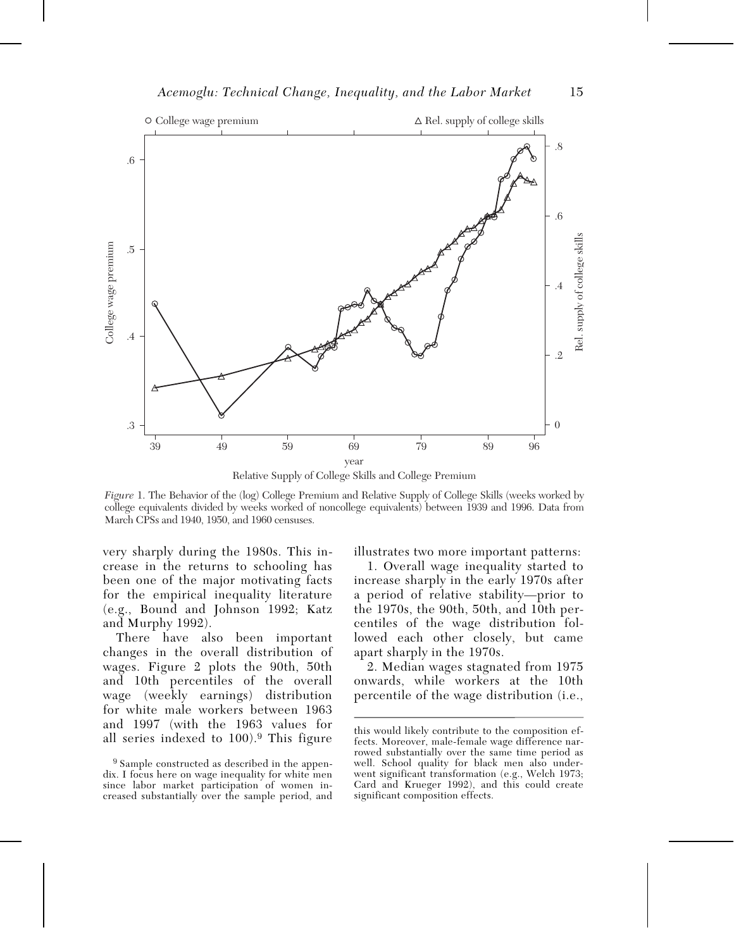

Relative Supply of College Skills and College Premium

*Figure* 1. The Behavior of the (log) College Premium and Relative Supply of College Skills (weeks worked by college equivalents divided by weeks worked of noncollege equivalents) between 1939 and 1996. Data from March CPSs and 1940, 1950, and 1960 censuses.

very sharply during the 1980s. This increase in the returns to schooling has been one of the major motivating facts for the empirical inequality literature (e.g., Bound and Johnson 1992; Katz and Murphy 1992).

There have also been important changes in the overall distribution of wages. Figure 2 plots the 90th, 50th and 10th percentiles of the overall wage (weekly earnings) distribution for white male workers between 1963 and 1997 (with the 1963 values for all series indexed to 100).9 This figure

illustrates two more important patterns:

1. Overall wage inequality started to increase sharply in the early 1970s after a period of relative stability—prior to the 1970s, the 90th, 50th, and 10th percentiles of the wage distribution followed each other closely, but came apart sharply in the 1970s.

2. Median wages stagnated from 1975 onwards, while workers at the 10th percentile of the wage distribution (i.e.,

<sup>9</sup> Sample constructed as described in the appendix. I focus here on wage inequality for white men since labor market participation of women increased substantially over the sample period, and

this would likely contribute to the composition effects. Moreover, male-female wage difference narrowed substantially over the same time period as well. School quality for black men also underwent significant transformation (e.g., Welch 1973; Card and Krueger 1992), and this could create significant composition effects.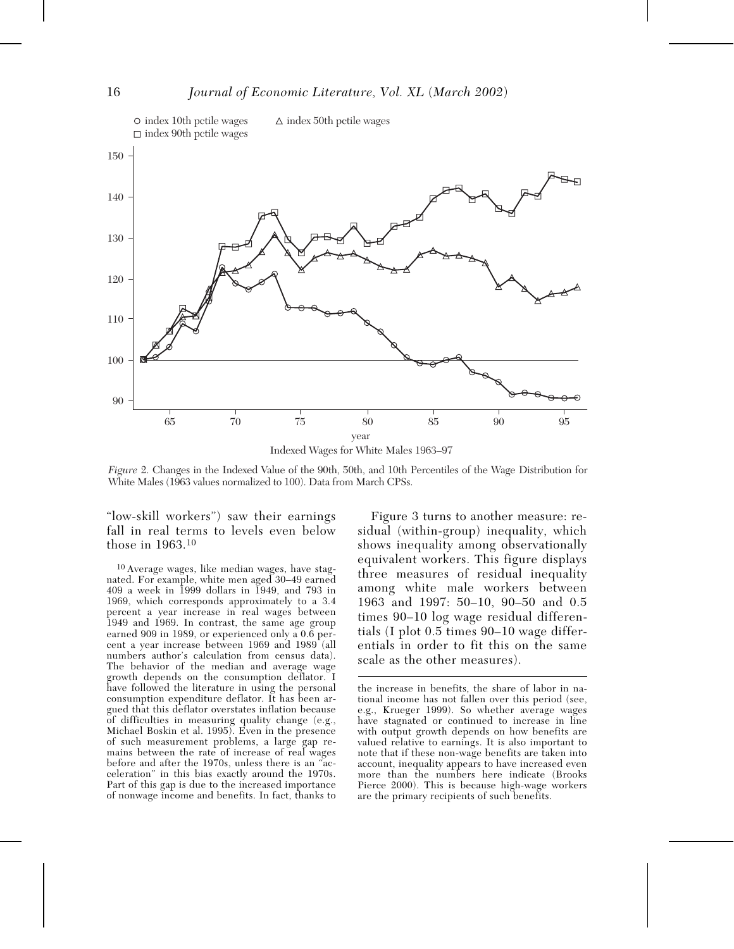

*Figure* 2. Changes in the Indexed Value of the 90th, 50th, and 10th Percentiles of the Wage Distribution for White Males (1963 values normalized to 100). Data from March CPSs.

"low-skill workers") saw their earnings fall in real terms to levels even below those in 1963.10

10 Average wages, like median wages, have stagnated. For example, white men aged 30–49 earned 409 a week in 1999 dollars in 1949, and 793 in 1969, which corresponds approximately to a 3.4 percent a year increase in real wages between 1949 and 1969. In contrast, the same age group earned 909 in 1989, or experienced only a 0.6 percent a year increase between 1969 and 1989 (all numbers author's calculation from census data). The behavior of the median and average wage growth depends on the consumption deflator. I have followed the literature in using the personal consumption expenditure deflator. It has been argued that this deflator overstates inflation because of difficulties in measuring quality change (e.g., Michael Boskin et al. 1995). Even in the presence of such measurement problems, a large gap remains between the rate of increase of real wages before and after the 1970s, unless there is an "acceleration" in this bias exactly around the 1970s. Part of this gap is due to the increased importance of nonwage income and benefits. In fact, thanks to

Figure 3 turns to another measure: residual (within-group) inequality, which shows inequality among observationally equivalent workers. This figure displays three measures of residual inequality among white male workers between 1963 and 1997: 50–10, 90–50 and 0.5 times 90–10 log wage residual differentials (I plot 0.5 times 90–10 wage differentials in order to fit this on the same scale as the other measures).

the increase in benefits, the share of labor in national income has not fallen over this period (see, e.g., Krueger 1999). So whether average wages have stagnated or continued to increase in line with output growth depends on how benefits are valued relative to earnings. It is also important to note that if these non-wage benefits are taken into account, inequality appears to have increased even more than the numbers here indicate (Brooks Pierce 2000). This is because high-wage workers are the primary recipients of such benefits.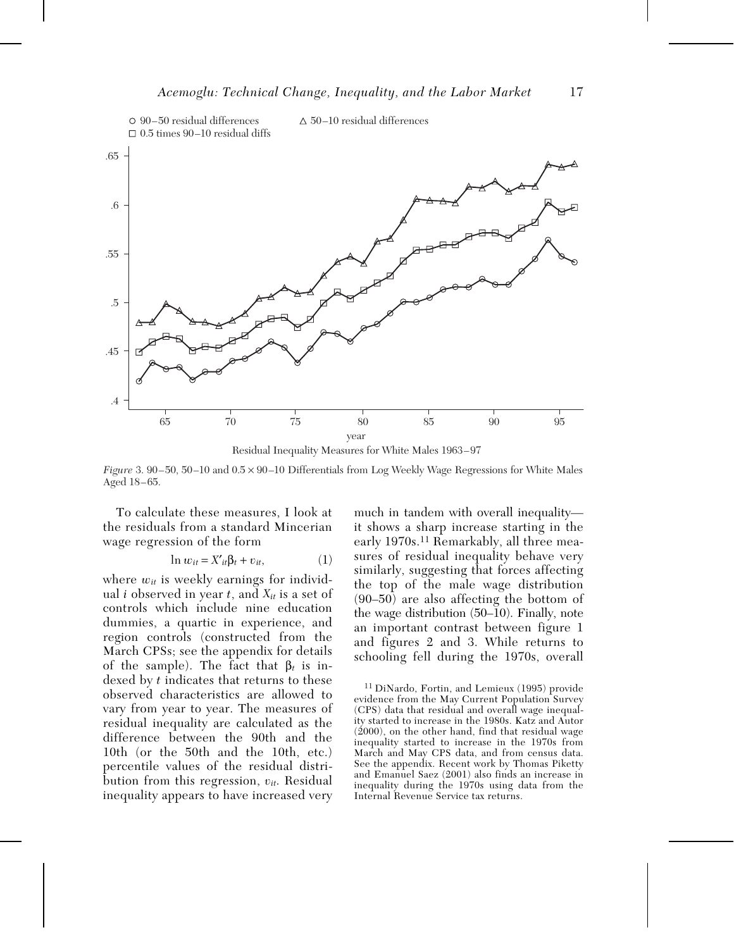

Residual Inequality Measures for White Males 1963–97

*Figure* 3. 90–50, 50–10 and 0.5 × 90–10 Differentials from Log Weekly Wage Regressions for White Males Aged 18–65.

To calculate these measures, I look at the residuals from a standard Mincerian wage regression of the form

$$
\ln w_{it} = X'_{it}\beta_t + v_{it},\tag{1}
$$

where  $w_{it}$  is weekly earnings for individual *i* observed in year *t*, and *Xit* is a set of controls which include nine education dummies, a quartic in experience, and region controls (constructed from the March CPSs; see the appendix for details of the sample). The fact that  $\beta_t$  is indexed by *t* indicates that returns to these observed characteristics are allowed to vary from year to year. The measures of residual inequality are calculated as the difference between the 90th and the 10th (or the 50th and the 10th, etc.) percentile values of the residual distribution from this regression, *vit*. Residual inequality appears to have increased very much in tandem with overall inequality it shows a sharp increase starting in the early 1970s.11 Remarkably, all three measures of residual inequality behave very similarly, suggesting that forces affecting the top of the male wage distribution (90–50) are also affecting the bottom of the wage distribution (50–10). Finally, note an important contrast between figure 1 and figures 2 and 3. While returns to schooling fell during the 1970s, overall

11 DiNardo, Fortin, and Lemieux (1995) provide evidence from the May Current Population Survey (CPS) data that residual and overall wage inequality started to increase in the 1980s. Katz and Autor (2000), on the other hand, find that residual wage inequality started to increase in the 1970s from March and May CPS data, and from census data. See the appendix. Recent work by Thomas Piketty and Emanuel Saez (2001) also finds an increase in inequality during the 1970s using data from the Internal Revenue Service tax returns.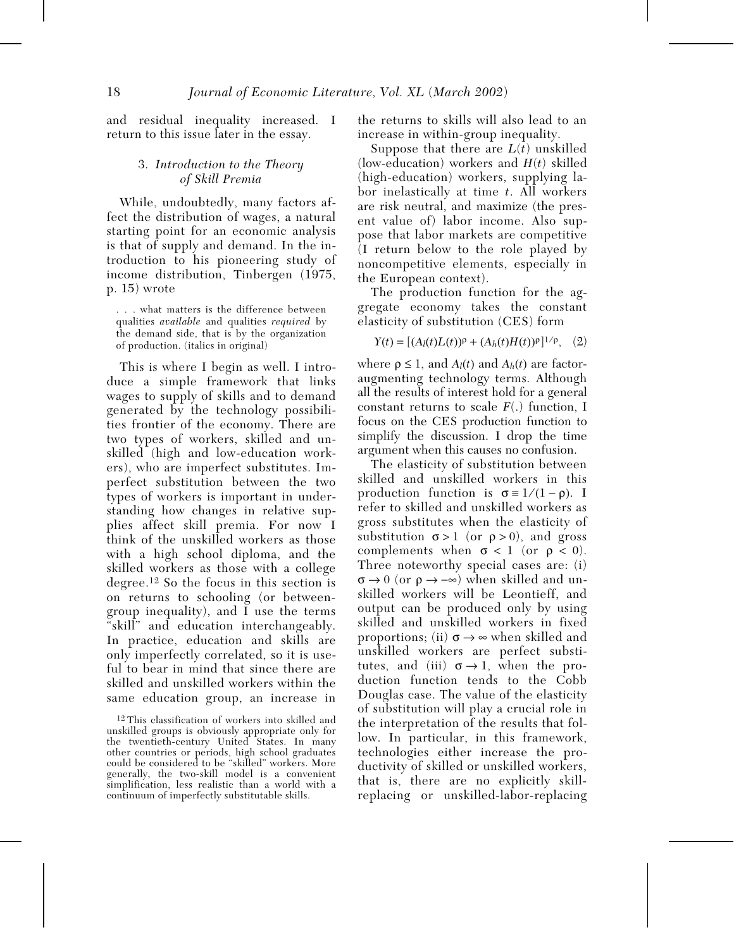and residual inequality increased. I return to this issue later in the essay.

#### 3. *Introduction to the Theory of Skill Premia*

While, undoubtedly, many factors affect the distribution of wages, a natural starting point for an economic analysis is that of supply and demand. In the introduction to his pioneering study of income distribution, Tinbergen (1975, p. 15) wrote

. . . what matters is the difference between qualities *available* and qualities *required* by the demand side, that is by the organization of production. (italics in original)

This is where I begin as well. I introduce a simple framework that links wages to supply of skills and to demand generated by the technology possibilities frontier of the economy. There are two types of workers, skilled and unskilled (high and low-education workers), who are imperfect substitutes. Imperfect substitution between the two types of workers is important in understanding how changes in relative supplies affect skill premia. For now I think of the unskilled workers as those with a high school diploma, and the skilled workers as those with a college degree.12 So the focus in this section is on returns to schooling (or betweengroup inequality), and  $\overline{I}$  use the terms "skill" and education interchangeably. In practice, education and skills are only imperfectly correlated, so it is useful to bear in mind that since there are skilled and unskilled workers within the same education group, an increase in

12 This classification of workers into skilled and unskilled groups is obviously appropriate only for the twentieth-century United States. In many other countries or periods, high school graduates could be considered to be "skilled" workers. More generally, the two-skill model is a convenient simplification, less realistic than a world with a continuum of imperfectly substitutable skills.

the returns to skills will also lead to an increase in within-group inequality.

Suppose that there are  $L(t)$  unskilled (low-education) workers and *H*(*t*) skilled (high-education) workers, supplying labor inelastically at time *t*. All workers are risk neutral, and maximize (the present value of) labor income. Also suppose that labor markets are competitive (I return below to the role played by noncompetitive elements, especially in the European context).

The production function for the aggregate economy takes the constant elasticity of substitution (CES) form

$$
Y(t) = [(Al(t)L(t))\rho + (Ah(t)H(t))\rho]1/\rho, (2)
$$

where  $\rho \leq 1$ , and  $A_l(t)$  and  $A_h(t)$  are factoraugmenting technology terms. Although all the results of interest hold for a general constant returns to scale *F*(.) function, I focus on the CES production function to simplify the discussion. I drop the time argument when this causes no confusion.

The elasticity of substitution between skilled and unskilled workers in this production function is  $\sigma = 1/(1 - \rho)$ . I refer to skilled and unskilled workers as gross substitutes when the elasticity of substitution  $\sigma > 1$  (or  $\rho > 0$ ), and gross complements when  $\sigma < 1$  (or  $\rho < 0$ ). Three noteworthy special cases are: (i)  $\sigma \rightarrow 0$  (or  $\rho \rightarrow -\infty$ ) when skilled and unskilled workers will be Leontieff, and output can be produced only by using skilled and unskilled workers in fixed proportions; (ii) σ→∞ when skilled and unskilled workers are perfect substitutes, and (iii)  $\sigma \rightarrow 1$ , when the production function tends to the Cobb Douglas case. The value of the elasticity of substitution will play a crucial role in the interpretation of the results that follow. In particular, in this framework, technologies either increase the productivity of skilled or unskilled workers, that is, there are no explicitly skillreplacing or unskilled-labor-replacing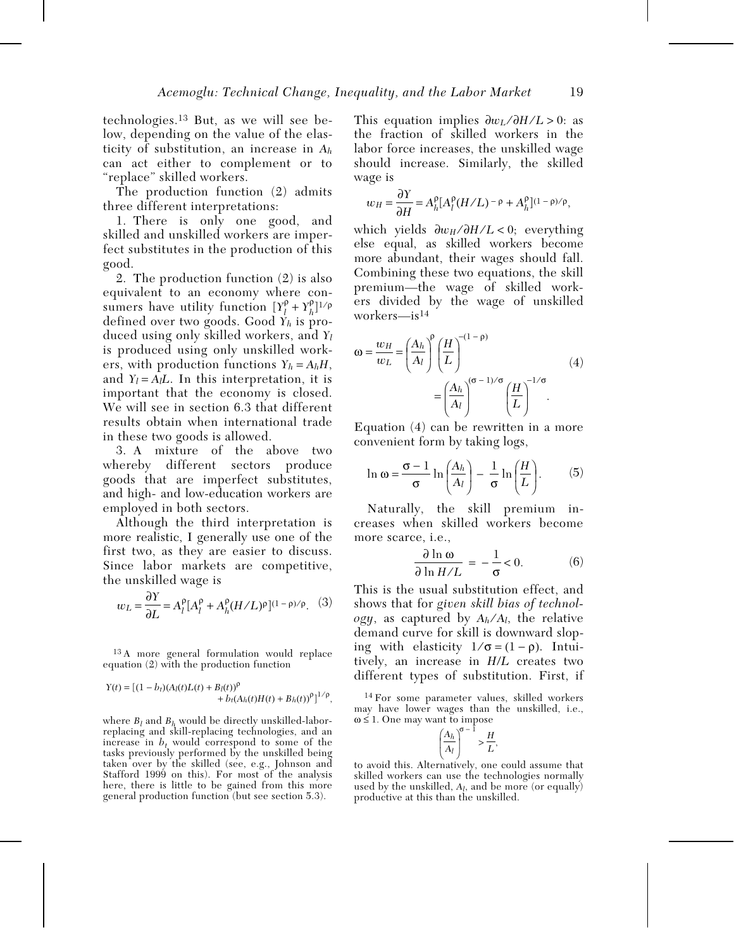technologies.13 But, as we will see below, depending on the value of the elasticity of substitution, an increase in *Ah* can act either to complement or to "replace" skilled workers.

The production function (2) admits three different interpretations:

1. There is only one good, and skilled and unskilled workers are imperfect substitutes in the production of this good.

2. The production function (2) is also equivalent to an economy where consumers have utility function  $[Y_l^{\rho} + Y_h^{\rho}]^{1/\rho}$ defined over two goods. Good *Yh* is produced using only skilled workers, and *Yl* is produced using only unskilled workers, with production functions  $Y_h = A_h H$ , and  $Y_l = A_l L$ . In this interpretation, it is important that the economy is closed. We will see in section 6.3 that different results obtain when international trade in these two goods is allowed.

3. A mixture of the above two whereby different sectors produce goods that are imperfect substitutes, and high- and low-education workers are employed in both sectors.

Although the third interpretation is more realistic, I generally use one of the first two, as they are easier to discuss. Since labor markets are competitive, the unskilled wage is

$$
w_L = \frac{\partial Y}{\partial L} = A_l^{\rho} [A_l^{\rho} + A_h^{\rho} (H/L)^{\rho}]^{(1 - \rho)/\rho}.
$$
 (3)

13 A more general formulation would replace equation (2) with the production function

$$
Y(t) = [(1 - b_t)(A_l(t)L(t) + B_l(t))^{\rho}+ b_t(A_h(t)H(t) + B_h(t))^{\rho}]^{1/\rho},
$$

where  $B_l$  and  $B_h$  would be directly unskilled-laborreplacing and skill-replacing technologies, and an increase in  $b_t$  would correspond to some of the tasks previously performed by the unskilled being taken over by the skilled (see, e.g., Johnson and Stafford 1999 on this). For most of the analysis here, there is little to be gained from this more general production function (but see section 5.3).

This equation implies  $\frac{\partial w_L}{\partial H/L} > 0$ : as the fraction of skilled workers in the labor force increases, the unskilled wage should increase. Similarly, the skilled wage is

$$
w_H = \frac{\partial Y}{\partial H} = A_h^{\rho} [A_l^{\rho} (H/L)^{-\rho} + A_h^{\rho}]^{(1-\rho)/\rho},
$$

which yields  $\frac{\partial w_H}{\partial H/L}$  < 0; everything else equal, as skilled workers become more abundant, their wages should fall. Combining these two equations, the skill premium—the wage of skilled workers divided by the wage of unskilled workers—is14

$$
\omega = \frac{w_H}{w_L} = \left(\frac{A_h}{A_l}\right)^{\rho} \left(\frac{H}{L}\right)^{-(1-\rho)}
$$

$$
= \left(\frac{A_h}{A_l}\right)^{(\sigma-1)/\sigma} \left(\frac{H}{L}\right)^{1/\sigma}.
$$
(4)

Equation (4) can be rewritten in a more convenient form by taking logs,

$$
\ln \omega = \frac{\sigma - 1}{\sigma} \ln \left( \frac{A_h}{A_l} \right) - \frac{1}{\sigma} \ln \left( \frac{H}{L} \right). \tag{5}
$$

Naturally, the skill premium increases when skilled workers become more scarce, i.e.,

$$
\frac{\partial \ln \omega}{\partial \ln H/L} = -\frac{1}{\sigma} < 0. \tag{6}
$$

This is the usual substitution effect, and shows that for *given skill bias of technology*, as captured by  $A_h/A_l$ , the relative demand curve for skill is downward sloping with elasticity  $1/\sigma = (1 - \rho)$ . Intuitively, an increase in *H/L* creates two different types of substitution. First, if

14 For some parameter values, skilled workers may have lower wages than the unskilled, i.e.,  $\omega \leq 1$ . One may want to impose

$$
\left(\frac{A_h}{A_l}\right)^{\sigma-1} > \frac{H}{L},
$$

to avoid this. Alternatively, one could assume that skilled workers can use the technologies normally used by the unskilled,  $A_l$ , and be more (or equally) productive at this than the unskilled.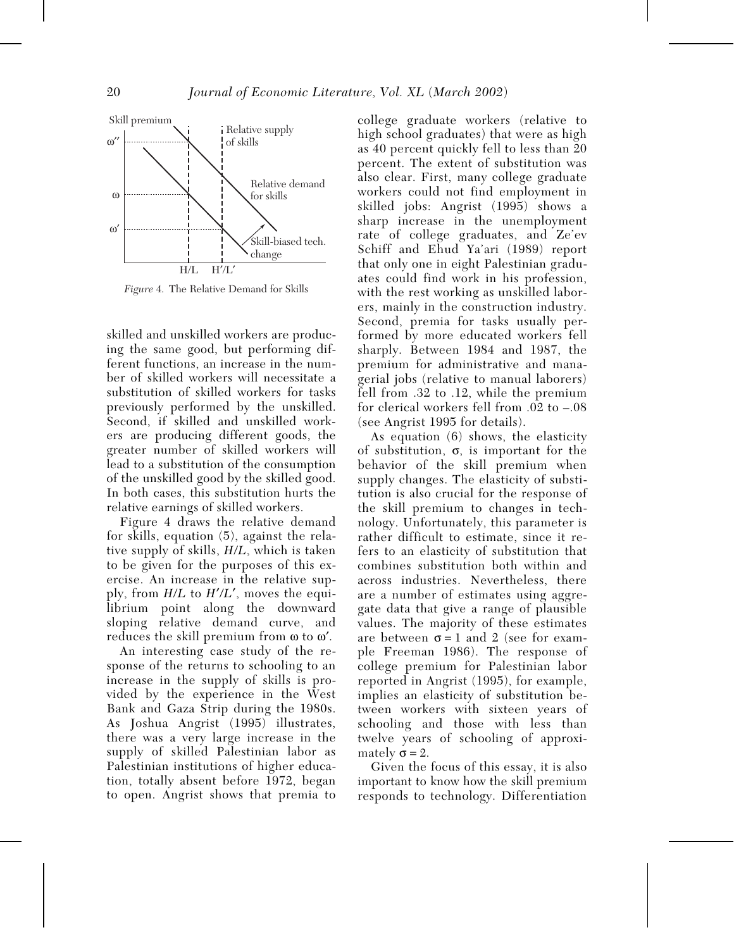

*Figure* 4. The Relative Demand for Skills

skilled and unskilled workers are producing the same good, but performing different functions, an increase in the number of skilled workers will necessitate a substitution of skilled workers for tasks previously performed by the unskilled. Second, if skilled and unskilled workers are producing different goods, the greater number of skilled workers will lead to a substitution of the consumption of the unskilled good by the skilled good. In both cases, this substitution hurts the relative earnings of skilled workers.

Figure 4 draws the relative demand for skills, equation (5), against the relative supply of skills, *H/L*, which is taken to be given for the purposes of this exercise. An increase in the relative supply, from *H/L* to *H*′*/L*′, moves the equilibrium point along the downward sloping relative demand curve, and reduces the skill premium from ω to ω′.

An interesting case study of the response of the returns to schooling to an increase in the supply of skills is provided by the experience in the West Bank and Gaza Strip during the 1980s. As Joshua Angrist (1995) illustrates, there was a very large increase in the supply of skilled Palestinian labor as Palestinian institutions of higher education, totally absent before 1972, began to open. Angrist shows that premia to college graduate workers (relative to high school graduates) that were as high as 40 percent quickly fell to less than 20 percent. The extent of substitution was also clear. First, many college graduate workers could not find employment in skilled jobs: Angrist (1995) shows a sharp increase in the unemployment rate of college graduates, and Ze'ev Schiff and Ehud Ya'ari (1989) report that only one in eight Palestinian graduates could find work in his profession, with the rest working as unskilled laborers, mainly in the construction industry. Second, premia for tasks usually performed by more educated workers fell sharply. Between 1984 and 1987, the premium for administrative and managerial jobs (relative to manual laborers) fell from .32 to .12, while the premium for clerical workers fell from .02 to –.08 (see Angrist 1995 for details).

As equation (6) shows, the elasticity of substitution,  $\sigma$ , is important for the behavior of the skill premium when supply changes. The elasticity of substitution is also crucial for the response of the skill premium to changes in technology. Unfortunately, this parameter is rather difficult to estimate, since it refers to an elasticity of substitution that combines substitution both within and across industries. Nevertheless, there are a number of estimates using aggregate data that give a range of plausible values. The majority of these estimates are between  $\sigma = 1$  and 2 (see for example Freeman 1986). The response of college premium for Palestinian labor reported in Angrist (1995), for example, implies an elasticity of substitution between workers with sixteen years of schooling and those with less than twelve years of schooling of approximately  $\sigma = 2$ .

Given the focus of this essay, it is also important to know how the skill premium responds to technology. Differentiation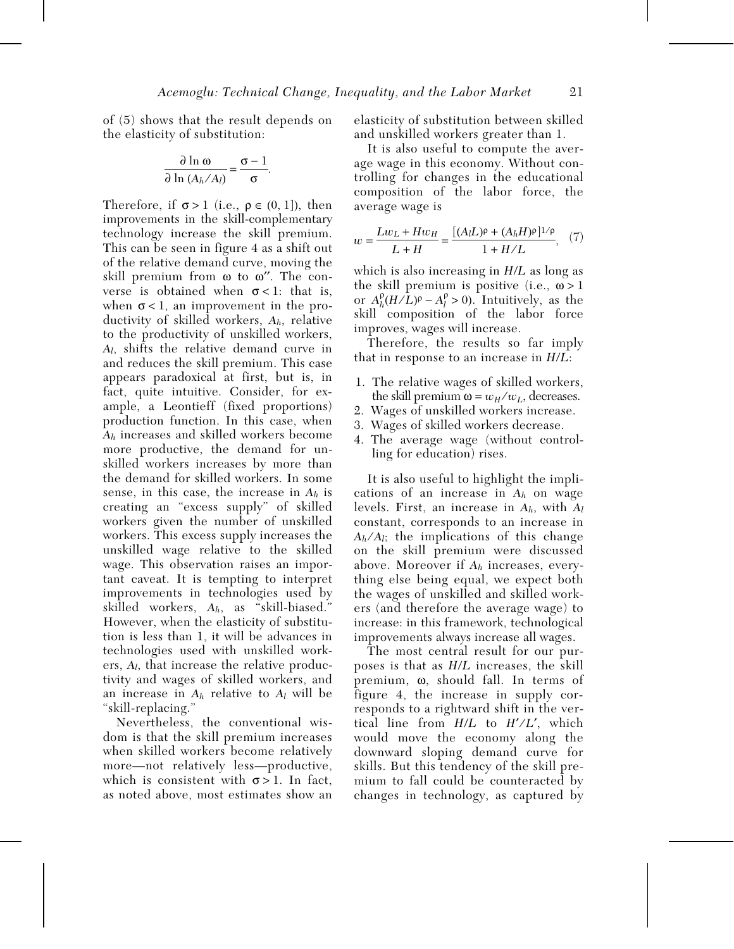of (5) shows that the result depends on the elasticity of substitution:

$$
\frac{\partial \ln \omega}{\partial \ln (A_h/A_l)} = \frac{\sigma - 1}{\sigma}.
$$

Therefore, if  $\sigma > 1$  (i.e.,  $\rho \in (0, 1]$ ), then improvements in the skill-complementary technology increase the skill premium. This can be seen in figure 4 as a shift out of the relative demand curve, moving the skill premium from ω to ω′′. The converse is obtained when  $\sigma$ <1: that is, when  $\sigma$ <1, an improvement in the productivity of skilled workers, *Ah*, relative to the productivity of unskilled workers, *Al*, shifts the relative demand curve in and reduces the skill premium. This case appears paradoxical at first, but is, in fact, quite intuitive. Consider, for example, a Leontieff (fixed proportions) production function. In this case, when *Ah* increases and skilled workers become more productive, the demand for unskilled workers increases by more than the demand for skilled workers. In some sense, in this case, the increase in *Ah* is creating an "excess supply" of skilled workers given the number of unskilled workers. This excess supply increases the unskilled wage relative to the skilled wage. This observation raises an important caveat. It is tempting to interpret improvements in technologies used by skilled workers, *Ah*, as "skill-biased." However, when the elasticity of substitution is less than 1, it will be advances in technologies used with unskilled workers, *Al*, that increase the relative productivity and wages of skilled workers, and an increase in *Ah* relative to *Al* will be "skill-replacing."

Nevertheless, the conventional wisdom is that the skill premium increases when skilled workers become relatively more—not relatively less—productive, which is consistent with  $\sigma > 1$ . In fact, as noted above, most estimates show an

elasticity of substitution between skilled and unskilled workers greater than 1.

It is also useful to compute the average wage in this economy. Without controlling for changes in the educational composition of the labor force, the average wage is

$$
w = \frac{Lw_L + Hw_H}{L + H} = \frac{[(A_l L)^{\rho} + (A_h H)^{\rho}]^{1/\rho}}{1 + H/L}, \quad (7)
$$

which is also increasing in *H/L* as long as the skill premium is positive (i.e.,  $\omega > 1$ or  $A_l^{\rho}(H/L)^{\rho} - A_l^{\rho} > 0$ . Intuitively, as the skill composition of the labor force improves, wages will increase.

Therefore, the results so far imply that in response to an increase in *H/L*:

- 1. The relative wages of skilled workers, the skill premium  $\omega = w_H/w_L$ , decreases.
- 2. Wages of unskilled workers increase.
- 3. Wages of skilled workers decrease.
- 4. The average wage (without controlling for education) rises.

It is also useful to highlight the implications of an increase in *Ah* on wage levels. First, an increase in *Ah*, with *Al* constant, corresponds to an increase in  $A_h/A_l$ ; the implications of this change on the skill premium were discussed above. Moreover if *Ah* increases, everything else being equal, we expect both the wages of unskilled and skilled workers (and therefore the average wage) to increase: in this framework, technological improvements always increase all wages.

The most central result for our purposes is that as *H/L* increases, the skill premium, ω, should fall. In terms of figure 4, the increase in supply corresponds to a rightward shift in the vertical line from  $H/L$  to  $H'/L'$ , which would move the economy along the downward sloping demand curve for skills. But this tendency of the skill premium to fall could be counteracted by changes in technology, as captured by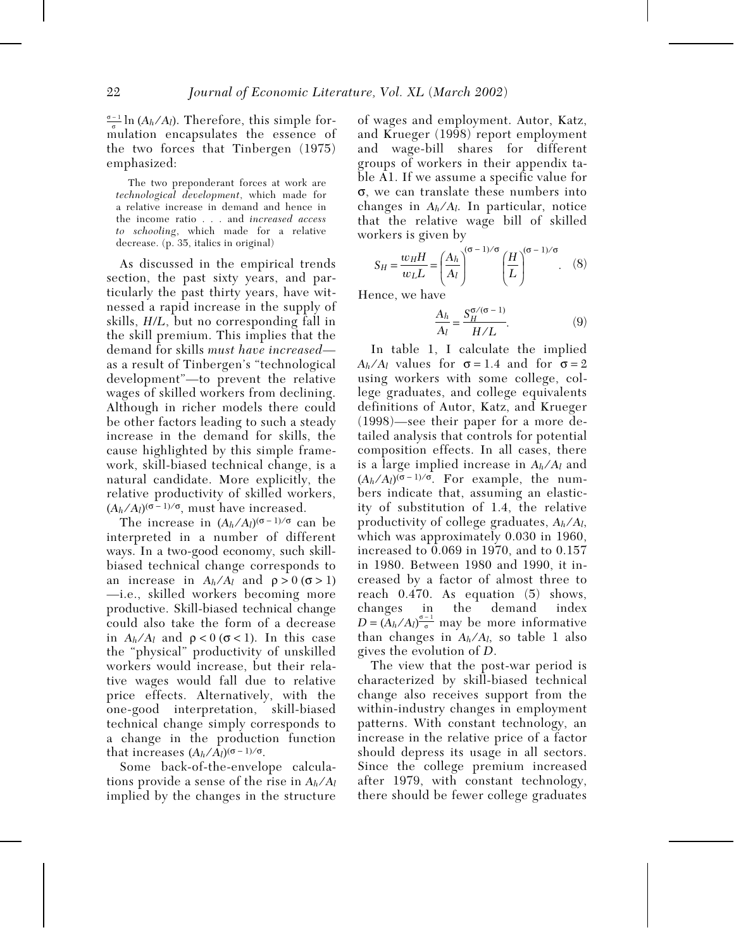$\frac{\sigma-1}{\sigma}$  In (*A<sub>h</sub> / A<sub>l</sub>*). Therefore, this simple formulation encapsulates the essence of the two forces that Tinbergen (1975) emphasized:

The two preponderant forces at work are *technological development*, which made for a relative increase in demand and hence in the income ratio . . . and *increased access to schooling*, which made for a relative decrease. (p. 35, italics in original)

As discussed in the empirical trends section, the past sixty years, and particularly the past thirty years, have witnessed a rapid increase in the supply of skills, *H/L*, but no corresponding fall in the skill premium. This implies that the demand for skills *must have increased* as a result of Tinbergen's "technological development"—to prevent the relative wages of skilled workers from declining. Although in richer models there could be other factors leading to such a steady increase in the demand for skills, the cause highlighted by this simple framework, skill-biased technical change, is a natural candidate. More explicitly, the relative productivity of skilled workers,  $(A_h/A_l)^{(\sigma-1)/\sigma}$ , must have increased.

The increase in  $(A_h/A_l)^{(\sigma-1)/\sigma}$  can be interpreted in a number of different ways. In a two-good economy, such skillbiased technical change corresponds to an increase in  $A_h/A_l$  and  $\rho > 0$  ( $\sigma > 1$ ) —i.e., skilled workers becoming more productive. Skill-biased technical change could also take the form of a decrease in  $A_h/A_l$  and  $\rho < 0$  ( $\sigma < 1$ ). In this case the "physical" productivity of unskilled workers would increase, but their relative wages would fall due to relative price effects. Alternatively, with the one-good interpretation, skill-biased technical change simply corresponds to a change in the production function that increases  $(A_h/A_l)^{(\sigma-1)/\sigma}$ .

Some back-of-the-envelope calculations provide a sense of the rise in *Ah* ⁄ *Al* implied by the changes in the structure of wages and employment. Autor, Katz, and Krueger (1998) report employment and wage-bill shares for different groups of workers in their appendix table A1. If we assume a specific value for σ, we can translate these numbers into changes in *Ah* ⁄ *Al*. In particular, notice that the relative wage bill of skilled workers is given by

$$
S_H = \frac{w_H H}{w_L L} = \left(\frac{A_h}{A_l}\right)^{(\sigma - 1)/\sigma} \left(\frac{H}{L}\right)^{(\sigma - 1)/\sigma}.
$$
 (8)

Hence, we have

$$
\frac{A_h}{A_l} = \frac{S_H^{\sigma/(\sigma - 1)}}{H/L}.
$$
\n(9)

In table 1, I calculate the implied *Ah*/*Al* values for  $\sigma = 1.4$  and for  $\sigma = 2$ using workers with some college, college graduates, and college equivalents definitions of Autor, Katz, and Krueger (1998)—see their paper for a more detailed analysis that controls for potential composition effects. In all cases, there is a large implied increase in *Ah* ⁄ *Al* and  $(A_h/A_l)^{(\sigma-1)/\sigma}$ . For example, the numbers indicate that, assuming an elasticity of substitution of 1.4, the relative productivity of college graduates, *Ah* ⁄ *Al*, which was approximately 0.030 in 1960, increased to 0.069 in 1970, and to 0.157 in 1980. Between 1980 and 1990, it increased by a factor of almost three to reach 0.470. As equation (5) shows, changes in the demand index  $D = (\widetilde{A}_h/A_l)^{\frac{\sigma-1}{\sigma}}$  may be more informative than changes in  $A_h/A_l$ , so table 1 also gives the evolution of *D*.

The view that the post-war period is characterized by skill-biased technical change also receives support from the within-industry changes in employment patterns. With constant technology, an increase in the relative price of a factor should depress its usage in all sectors. Since the college premium increased after 1979, with constant technology, there should be fewer college graduates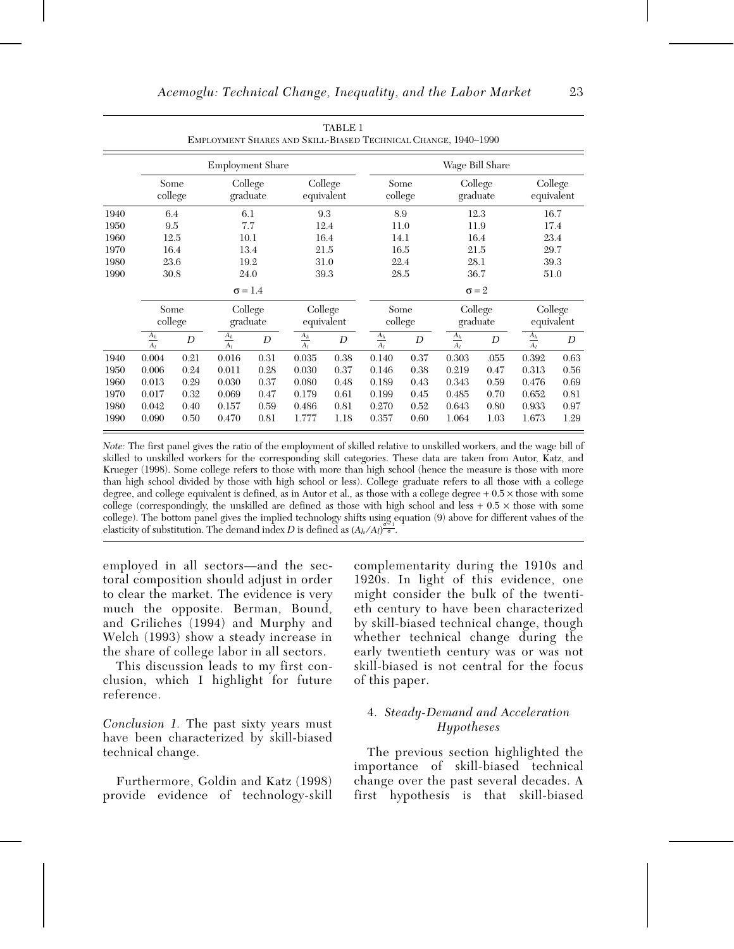|      | <b>Employment Share</b>                |                  |                     |                       |                       |      |                   | Wage Bill Share  |                     |                  |                       |      |  |
|------|----------------------------------------|------------------|---------------------|-----------------------|-----------------------|------|-------------------|------------------|---------------------|------------------|-----------------------|------|--|
|      | College<br>Some<br>college<br>graduate |                  |                     | College<br>equivalent |                       |      | Some<br>college   |                  | College<br>graduate |                  | College<br>equivalent |      |  |
| 1940 | 6.4                                    |                  | 6.1                 |                       | 9.3                   |      | 8.9               |                  | 12.3                |                  | 16.7                  |      |  |
| 1950 | 9.5                                    |                  | 7.7                 |                       |                       | 12.4 |                   | 11.0             |                     | 11.9             |                       | 17.4 |  |
| 1960 | 12.5                                   |                  |                     | 16.4<br>10.1          |                       |      |                   | 14.1             |                     | 16.4             |                       | 23.4 |  |
| 1970 | 16.4                                   |                  |                     | 13.4                  | 21.5                  |      |                   | 16.5             |                     | 21.5             |                       | 29.7 |  |
| 1980 |                                        | 23.6             |                     | 19.2                  | 31.0                  |      |                   | 22.4             |                     | 28.1             |                       | 39.3 |  |
| 1990 | 30.8<br>Some<br>college                |                  | 24.0                |                       |                       | 39.3 |                   | 28.5             |                     | 36.7             |                       | 51.0 |  |
|      |                                        |                  | $\sigma = 1.4$      |                       |                       |      | $\sigma = 2$      |                  |                     |                  |                       |      |  |
|      |                                        |                  | College<br>graduate |                       | College<br>equivalent |      | Some<br>college   |                  | College<br>graduate |                  | College<br>equivalent |      |  |
|      | $\frac{A_h}{A_l}$                      | $\boldsymbol{D}$ | $\frac{A_h}{A_l}$   | D                     | $\frac{A_h}{A_l}$     | D    | $\frac{A_h}{A_l}$ | $\boldsymbol{D}$ | $\frac{A_h}{A_l}$   | $\boldsymbol{D}$ | $\frac{A_h}{A_l}$     | D    |  |
| 1940 | 0.004                                  | 0.21             | 0.016               | 0.31                  | 0.035                 | 0.38 | 0.140             | 0.37             | 0.303               | .055             | 0.392                 | 0.63 |  |
| 1950 | 0.006                                  | 0.24             | 0.011               | 0.28                  | 0.030                 | 0.37 | 0.146             | 0.38             | 0.219               | 0.47             | 0.313                 | 0.56 |  |
| 1960 | 0.013                                  | 0.29             | 0.030               | 0.37                  | 0.080                 | 0.48 | 0.189             | 0.43             | 0.343               | 0.59             | 0.476                 | 0.69 |  |
| 1970 | 0.017                                  | 0.32             | 0.069               | 0.47                  | 0.179                 | 0.61 | 0.199             | 0.45             | 0.485               | 0.70             | 0.652                 | 0.81 |  |
| 1980 | 0.042                                  | 0.40             | 0.157               | 0.59                  | 0.486                 | 0.81 | 0.270             | 0.52             | 0.643               | 0.80             | 0.933                 | 0.97 |  |
| 1990 | 0.090                                  | 0.50             | 0.470               | 0.81                  | 1.777                 | 1.18 | 0.357             | 0.60             | 1.064               | 1.03             | 1.673                 | 1.29 |  |
|      |                                        |                  |                     |                       |                       |      |                   |                  |                     |                  |                       |      |  |

TABLE 1 EMPLOYMENT SHARES AND SKILL-BIASED TECHNICAL CHANGE, 1940–1990

*Note:* The first panel gives the ratio of the employment of skilled relative to unskilled workers, and the wage bill of skilled to unskilled workers for the corresponding skill categories. These data are taken from Autor, Katz, and Krueger (1998). Some college refers to those with more than high school (hence the measure is those with more than high school divided by those with high school or less). College graduate refers to all those with a college degree, and college equivalent is defined, as in Autor et al., as those with a college degree  $+0.5 \times$  those with some college (correspondingly, the unskilled are defined as those with high school and less  $+0.5 \times$  those with some college). The bottom panel gives the implied technology shifts using equation (9) above for different values of the elasticity of substitution. The demand index *D* is defined as  $(A_h/A_l)^{\frac{d-1}{\sigma}}$ .

employed in all sectors—and the sectoral composition should adjust in order to clear the market. The evidence is very much the opposite. Berman, Bound, and Griliches (1994) and Murphy and Welch (1993) show a steady increase in the share of college labor in all sectors.

This discussion leads to my first conclusion, which I highlight for future reference.

*Conclusion 1.* The past sixty years must have been characterized by skill-biased technical change.

Furthermore, Goldin and Katz (1998) provide evidence of technology-skill

complementarity during the 1910s and 1920s. In light of this evidence, one might consider the bulk of the twentieth century to have been characterized by skill-biased technical change, though whether technical change during the early twentieth century was or was not skill-biased is not central for the focus of this paper.

#### 4. *Steady-Demand and Acceleration Hypotheses*

The previous section highlighted the importance of skill-biased technical change over the past several decades. A first hypothesis is that skill-biased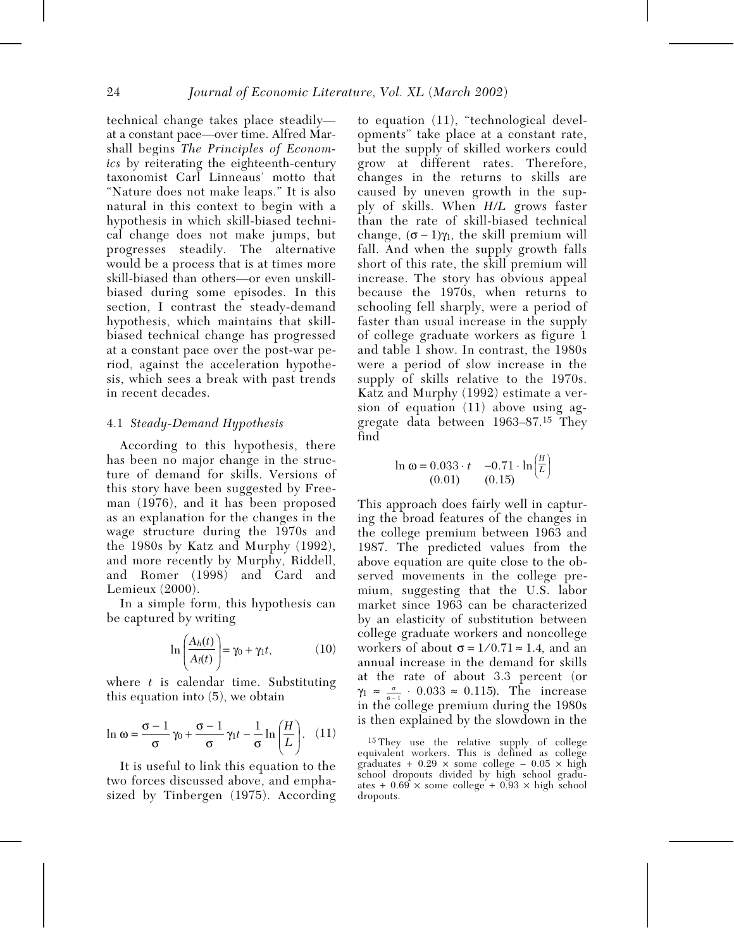technical change takes place steadily at a constant pace—over time. Alfred Marshall begins *The Principles of Economics* by reiterating the eighteenth-century taxonomist Carl Linneaus' motto that "Nature does not make leaps." It is also natural in this context to begin with a hypothesis in which skill-biased technical change does not make jumps, but progresses steadily. The alternative would be a process that is at times more skill-biased than others—or even unskillbiased during some episodes. In this section, I contrast the steady-demand hypothesis, which maintains that skillbiased technical change has progressed at a constant pace over the post-war period, against the acceleration hypothesis, which sees a break with past trends in recent decades.

#### 4.1 *Steady-Demand Hypothesis*

According to this hypothesis, there has been no major change in the structure of demand for skills. Versions of this story have been suggested by Freeman (1976), and it has been proposed as an explanation for the changes in the wage structure during the 1970s and the 1980s by Katz and Murphy (1992), and more recently by Murphy, Riddell, and Romer (1998) and Card and Lemieux (2000).

In a simple form, this hypothesis can be captured by writing

$$
\ln\left(\frac{A_h(t)}{A_l(t)}\right) = \gamma_0 + \gamma_1 t,\tag{10}
$$

where *t* is calendar time. Substituting this equation into (5), we obtain

$$
\ln \omega = \frac{\sigma - 1}{\sigma} \gamma_0 + \frac{\sigma - 1}{\sigma} \gamma_1 t - \frac{1}{\sigma} \ln \left( \frac{H}{L} \right). \quad (11)
$$

It is useful to link this equation to the two forces discussed above, and emphasized by Tinbergen (1975). According to equation (11), "technological developments" take place at a constant rate, but the supply of skilled workers could grow at different rates. Therefore, changes in the returns to skills are caused by uneven growth in the supply of skills. When *H/L* grows faster than the rate of skill-biased technical change,  $(\sigma - 1)\gamma_1$ , the skill premium will fall. And when the supply growth falls short of this rate, the skill premium will increase. The story has obvious appeal because the 1970s, when returns to schooling fell sharply, were a period of faster than usual increase in the supply of college graduate workers as figure 1 and table 1 show. In contrast, the 1980s were a period of slow increase in the supply of skills relative to the 1970s. Katz and Murphy (1992) estimate a version of equation (11) above using aggregate data between 1963–87.15 They find

$$
\ln \omega = 0.033 \cdot t \quad -0.71 \cdot \ln \left( \frac{H}{L} \right) \tag{0.01}
$$

This approach does fairly well in capturing the broad features of the changes in the college premium between 1963 and 1987. The predicted values from the above equation are quite close to the observed movements in the college premium, suggesting that the U.S. labor market since 1963 can be characterized by an elasticity of substitution between college graduate workers and noncollege workers of about  $\sigma = 1/0.71 \approx 1.4$ , and an annual increase in the demand for skills at the rate of about 3.3 percent (or  $\gamma_1 \approx \frac{\sigma}{\sigma-1} \cdot 0.033 \approx 0.115$ . The increase in the college premium during the 1980s is then explained by the slowdown in the

15 They use the relative supply of college equivalent workers. This is defined as college graduates +  $0.29 \times$  some college –  $0.05 \times$  high school dropouts divided by high school graduates +  $0.69 \times$  some college +  $0.93 \times$  high school dropouts.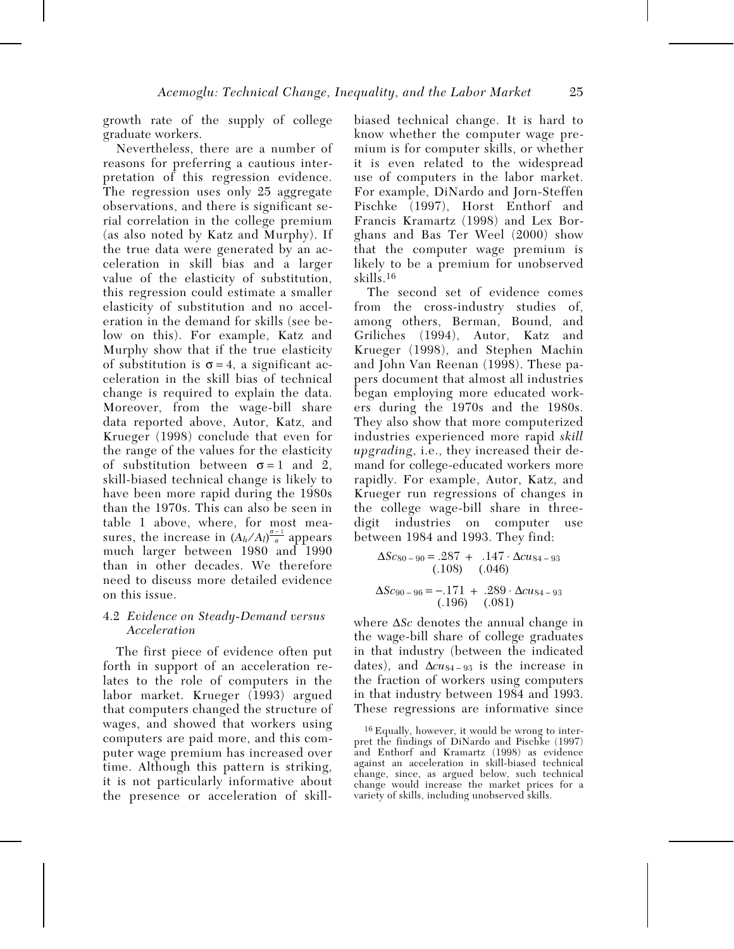growth rate of the supply of college graduate workers.

Nevertheless, there are a number of reasons for preferring a cautious interpretation of this regression evidence. The regression uses only 25 aggregate observations, and there is significant serial correlation in the college premium (as also noted by Katz and Murphy). If the true data were generated by an acceleration in skill bias and a larger value of the elasticity of substitution, this regression could estimate a smaller elasticity of substitution and no acceleration in the demand for skills (see below on this). For example, Katz and Murphy show that if the true elasticity of substitution is  $\sigma = 4$ , a significant acceleration in the skill bias of technical change is required to explain the data. Moreover, from the wage-bill share data reported above, Autor, Katz, and Krueger (1998) conclude that even for the range of the values for the elasticity of substitution between  $\sigma = 1$  and 2, skill-biased technical change is likely to have been more rapid during the 1980s than the 1970s. This can also be seen in table 1 above, where, for most measures, the increase in  $\left(A_{h}/A_{l}\right)^{\frac{\sigma-1}{\sigma}}$  appears much larger between 1980 and 1990 than in other decades. We therefore need to discuss more detailed evidence on this issue.

#### 4.2 *Evidence on Steady-Demand versus Acceleration*

The first piece of evidence often put forth in support of an acceleration relates to the role of computers in the labor market. Krueger (1993) argued that computers changed the structure of wages, and showed that workers using computers are paid more, and this computer wage premium has increased over time. Although this pattern is striking, it is not particularly informative about the presence or acceleration of skillbiased technical change. It is hard to know whether the computer wage premium is for computer skills, or whether it is even related to the widespread use of computers in the labor market. For example, DiNardo and Jorn-Steffen Pischke (1997), Horst Enthorf and Francis Kramartz (1998) and Lex Borghans and Bas Ter Weel (2000) show that the computer wage premium is likely to be a premium for unobserved skills.16

The second set of evidence comes from the cross-industry studies of, among others, Berman, Bound, and Griliches (1994), Autor, Katz and Krueger (1998), and Stephen Machin and John Van Reenan (1998). These papers document that almost all industries began employing more educated workers during the 1970s and the 1980s. They also show that more computerized industries experienced more rapid *skill upgrading*, i.e., they increased their demand for college-educated workers more rapidly. For example, Autor, Katz, and Krueger run regressions of changes in the college wage-bill share in threedigit industries on computer use between 1984 and 1993. They find:

$$
\Delta Sc_{80-90} = .287 + .147 \cdot \Delta cu_{84-93}
$$
  
(.108) (.046)  

$$
\Delta Sc_{90-96} = -.171 + .289 \cdot \Delta cu_{84-93}
$$
  
(.196) (.081)

where ∆*Sc* denotes the annual change in the wage-bill share of college graduates in that industry (between the indicated dates), and ∆*cu*<sup>84</sup> <sup>−</sup> <sup>93</sup> is the increase in the fraction of workers using computers in that industry between 1984 and 1993. These regressions are informative since

<sup>16</sup> Equally, however, it would be wrong to interpret the findings of DiNardo and Pischke (1997) and Enthorf and Kramartz (1998) as evidence against an acceleration in skill-biased technical change, since, as argued below, such technical change would increase the market prices for a variety of skills, including unobserved skills.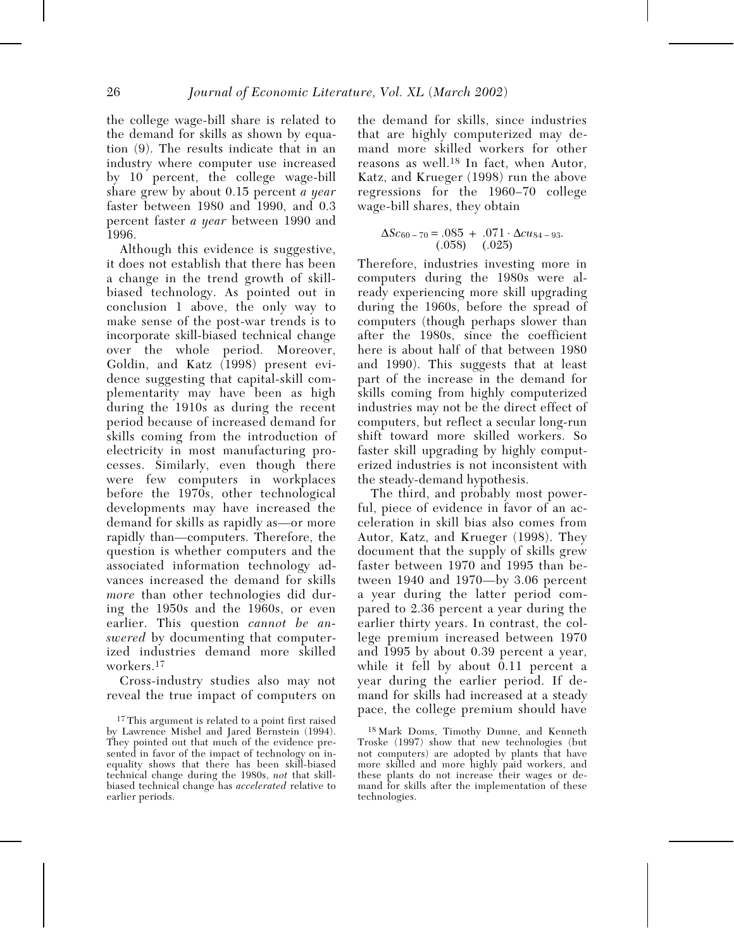the college wage-bill share is related to the demand for skills as shown by equation (9). The results indicate that in an industry where computer use increased by 10 percent, the college wage-bill share grew by about 0.15 percent *a year* faster between 1980 and 1990, and 0.3 percent faster *a year* between 1990 and 1996.

Although this evidence is suggestive, it does not establish that there has been a change in the trend growth of skillbiased technology. As pointed out in conclusion 1 above, the only way to make sense of the post-war trends is to incorporate skill-biased technical change over the whole period. Moreover, Goldin, and Katz (1998) present evidence suggesting that capital-skill complementarity may have been as high during the 1910s as during the recent period because of increased demand for skills coming from the introduction of electricity in most manufacturing processes. Similarly, even though there were few computers in workplaces before the 1970s, other technological developments may have increased the demand for skills as rapidly as—or more rapidly than—computers. Therefore, the question is whether computers and the associated information technology advances increased the demand for skills *more* than other technologies did during the 1950s and the 1960s, or even earlier. This question *cannot be answered* by documenting that computerized industries demand more skilled workers.17

Cross-industry studies also may not reveal the true impact of computers on the demand for skills, since industries that are highly computerized may demand more skilled workers for other reasons as well.18 In fact, when Autor, Katz, and Krueger (1998) run the above regressions for the 1960–70 college wage-bill shares, they obtain

$$
\Delta Sc_{60-70} = .085 + .071 \cdot \Delta cu_{84-93}.
$$
  
(.058) (.025)

Therefore, industries investing more in computers during the 1980s were already experiencing more skill upgrading during the 1960s, before the spread of computers (though perhaps slower than after the 1980s, since the coefficient here is about half of that between 1980 and 1990). This suggests that at least part of the increase in the demand for skills coming from highly computerized industries may not be the direct effect of computers, but reflect a secular long-run shift toward more skilled workers. So faster skill upgrading by highly computerized industries is not inconsistent with the steady-demand hypothesis.

The third, and probably most powerful, piece of evidence in favor of an acceleration in skill bias also comes from Autor, Katz, and Krueger (1998). They document that the supply of skills grew faster between 1970 and 1995 than between 1940 and 1970—by 3.06 percent a year during the latter period compared to 2.36 percent a year during the earlier thirty years. In contrast, the college premium increased between 1970 and 1995 by about 0.39 percent a year, while it fell by about 0.11 percent a year during the earlier period. If demand for skills had increased at a steady  $^{17}$ This argument is related to a point first raised pace, the college premium should have

18 Mark Doms, Timothy Dunne, and Kenneth Troske (1997) show that new technologies (but not computers) are adopted by plants that have more skilled and more highly paid workers, and these plants do not increase their wages or demand for skills after the implementation of these technologies.

by Lawrence Mishel and Jared Bernstein (1994). They pointed out that much of the evidence presented in favor of the impact of technology on inequality shows that there has been skill-biased technical change during the 1980s, *not* that skillbiased technical change has *accelerated* relative to earlier periods.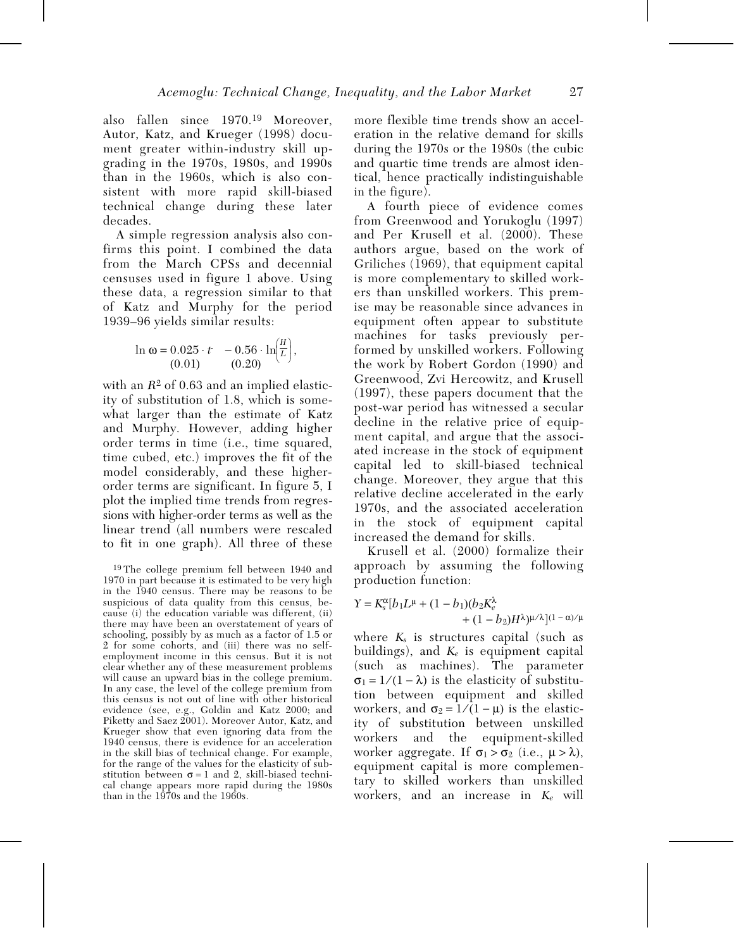also fallen since 1970.19 Moreover, Autor, Katz, and Krueger (1998) document greater within-industry skill upgrading in the 1970s, 1980s, and 1990s than in the 1960s, which is also consistent with more rapid skill-biased technical change during these later decades.

A simple regression analysis also confirms this point. I combined the data from the March CPSs and decennial censuses used in figure 1 above. Using these data, a regression similar to that of Katz and Murphy for the period 1939–96 yields similar results:

$$
\ln \omega = 0.025 \cdot t - 0.56 \cdot \ln\left(\frac{H}{L}\right),\tag{0.20}
$$

with an  $R^2$  of 0.63 and an implied elasticity of substitution of 1.8, which is somewhat larger than the estimate of Katz and Murphy. However, adding higher order terms in time (i.e., time squared, time cubed, etc.) improves the fit of the model considerably, and these higherorder terms are significant. In figure 5, I plot the implied time trends from regressions with higher-order terms as well as the linear trend (all numbers were rescaled to fit in one graph). All three of these

19 The college premium fell between 1940 and 1970 in part because it is estimated to be very high in the 1940 census. There may be reasons to be suspicious of data quality from this census, because (i) the education variable was different, (ii) there may have been an overstatement of years of schooling, possibly by as much as a factor of 1.5 or 2 for some cohorts, and (iii) there was no selfemployment income in this census. But it is not clear whether any of these measurement problems will cause an upward bias in the college premium. In any case, the level of the college premium from this census is not out of line with other historical evidence (see, e.g., Goldin and Katz 2000; and Piketty and Saez 2001). Moreover Autor, Katz, and Krueger show that even ignoring data from the 1940 census, there is evidence for an acceleration in the skill bias of technical change. For example, for the range of the values for the elasticity of substitution between  $\sigma = 1$  and 2, skill-biased technical change appears more rapid during the 1980s than in the 1970s and the 1960s.

more flexible time trends show an acceleration in the relative demand for skills during the 1970s or the 1980s (the cubic and quartic time trends are almost identical, hence practically indistinguishable in the figure).

A fourth piece of evidence comes from Greenwood and Yorukoglu (1997) and Per Krusell et al. (2000). These authors argue, based on the work of Griliches (1969), that equipment capital is more complementary to skilled workers than unskilled workers. This premise may be reasonable since advances in equipment often appear to substitute machines for tasks previously performed by unskilled workers. Following the work by Robert Gordon (1990) and Greenwood, Zvi Hercowitz, and Krusell (1997), these papers document that the post-war period has witnessed a secular decline in the relative price of equipment capital, and argue that the associated increase in the stock of equipment capital led to skill-biased technical change. Moreover, they argue that this relative decline accelerated in the early 1970s, and the associated acceleration in the stock of equipment capital increased the demand for skills.

Krusell et al. (2000) formalize their approach by assuming the following production function:

$$
Y = K_s^{\alpha} [b_1 L^{\mu} + (1 - b_1)(b_2 K_e^{\lambda} + (1 - b_2) H^{\lambda})^{\mu/\lambda}]^{(1 - \alpha)/\mu}
$$

where  $K_s$  is structures capital (such as buildings), and *Ke* is equipment capital (such as machines). The parameter  $\sigma_1 = 1/(1 - \lambda)$  is the elasticity of substitution between equipment and skilled workers, and  $\sigma_2 = 1/(1 - \mu)$  is the elasticity of substitution between unskilled workers and the equipment-skilled worker aggregate. If  $\sigma_1 > \sigma_2$  (i.e.,  $\mu > \lambda$ ), equipment capital is more complementary to skilled workers than unskilled workers, and an increase in *Ke* will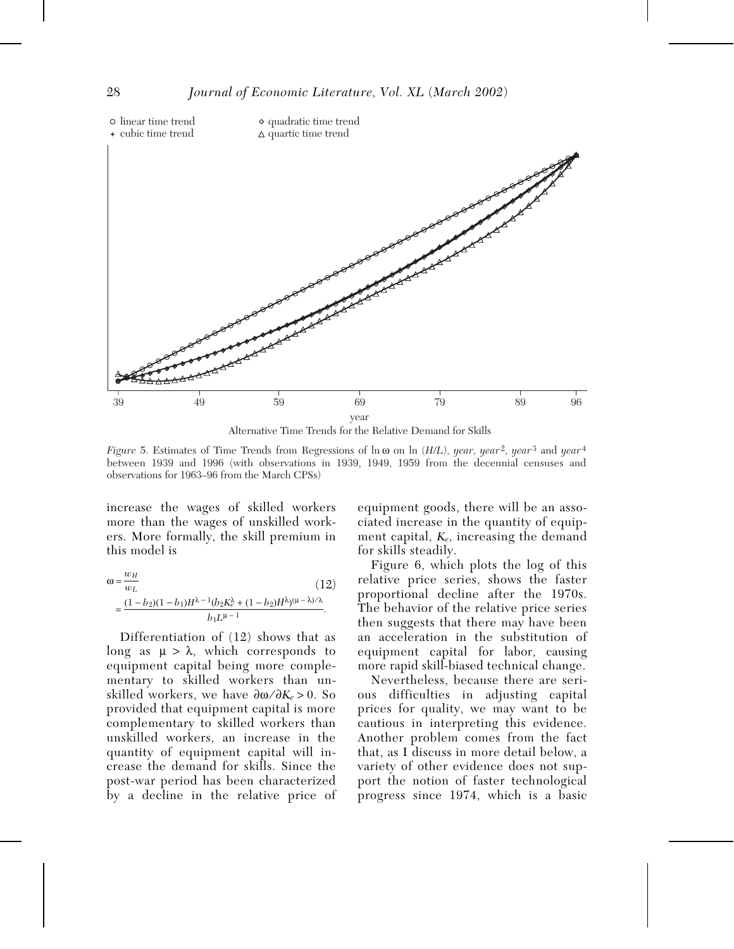

Alternative Time Trends for the Relative Demand for Skills

*Figure* 5. Estimates of Time Trends from Regressions of  $\ln \omega$  on  $\ln(H/L)$ , *year*, *year*<sup>3</sup>, *year*<sup>3</sup> and *year*<sup>4</sup> between 1939 and 1996 (with observations in 1939, 1949, 1959 from the decennial censuses and observations for 1963–96 from the March CPSs)

increase the wages of skilled workers more than the wages of unskilled workers. More formally, the skill premium in this model is

$$
\omega = \frac{w_H}{w_L}
$$
\n
$$
= \frac{(1 - b_2)(1 - b_1)H^{\lambda - 1}(b_2K_e^{\lambda} + (1 - b_2)H^{\lambda})(\mu - \lambda)/\lambda}{b_1L^{\mu - 1}}.
$$
\n(12)

Differentiation of (12) shows that as long as  $\mu > \lambda$ , which corresponds to equipment capital being more complementary to skilled workers than unskilled workers, we have ∂ω⁄∂*K<sub>e</sub>* > 0. So provided that equipment capital is more complementary to skilled workers than unskilled workers, an increase in the quantity of equipment capital will increase the demand for skills. Since the post-war period has been characterized by a decline in the relative price of equipment goods, there will be an associated increase in the quantity of equipment capital, *Ke*, increasing the demand for skills steadily.

Figure 6, which plots the log of this relative price series, shows the faster proportional decline after the 1970s. The behavior of the relative price series then suggests that there may have been an acceleration in the substitution of equipment capital for labor, causing more rapid skill-biased technical change.

Nevertheless, because there are serious difficulties in adjusting capital prices for quality, we may want to be cautious in interpreting this evidence. Another problem comes from the fact that, as I discuss in more detail below, a variety of other evidence does not support the notion of faster technological progress since 1974, which is a basic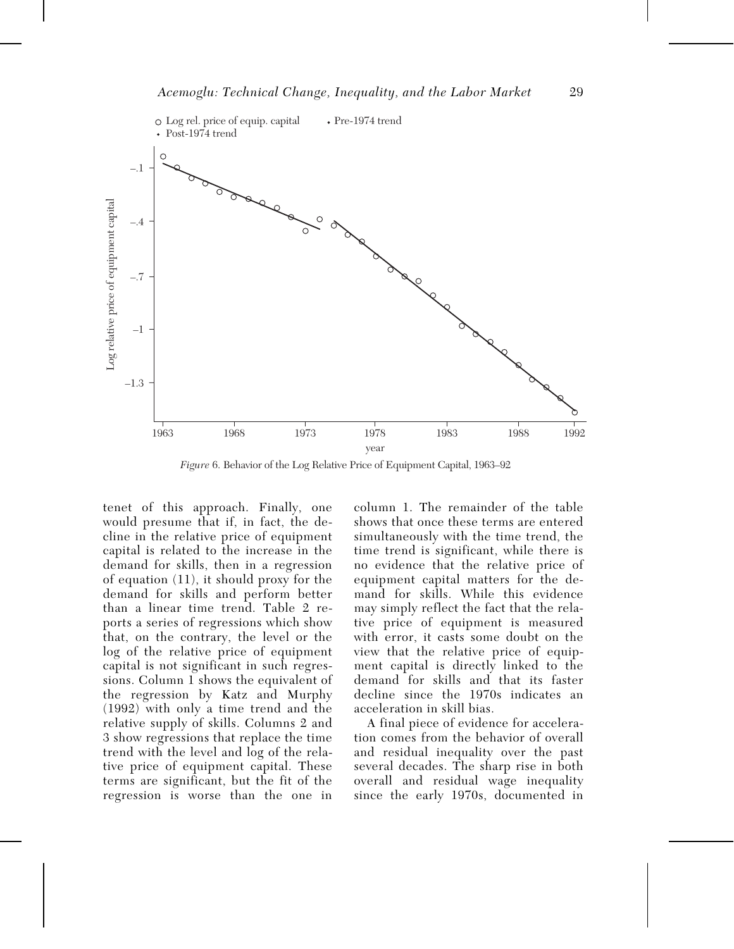

*Figure* 6. Behavior of the Log Relative Price of Equipment Capital, 1963–92

tenet of this approach. Finally, one would presume that if, in fact, the decline in the relative price of equipment capital is related to the increase in the demand for skills, then in a regression of equation (11), it should proxy for the demand for skills and perform better than a linear time trend. Table 2 reports a series of regressions which show that, on the contrary, the level or the log of the relative price of equipment capital is not significant in such regressions. Column 1 shows the equivalent of the regression by Katz and Murphy (1992) with only a time trend and the relative supply of skills. Columns 2 and 3 show regressions that replace the time trend with the level and log of the relative price of equipment capital. These terms are significant, but the fit of the regression is worse than the one in

column 1. The remainder of the table shows that once these terms are entered simultaneously with the time trend, the time trend is significant, while there is no evidence that the relative price of equipment capital matters for the demand for skills. While this evidence may simply reflect the fact that the relative price of equipment is measured with error, it casts some doubt on the view that the relative price of equipment capital is directly linked to the demand for skills and that its faster decline since the 1970s indicates an acceleration in skill bias.

A final piece of evidence for acceleration comes from the behavior of overall and residual inequality over the past several decades. The sharp rise in both overall and residual wage inequality since the early 1970s, documented in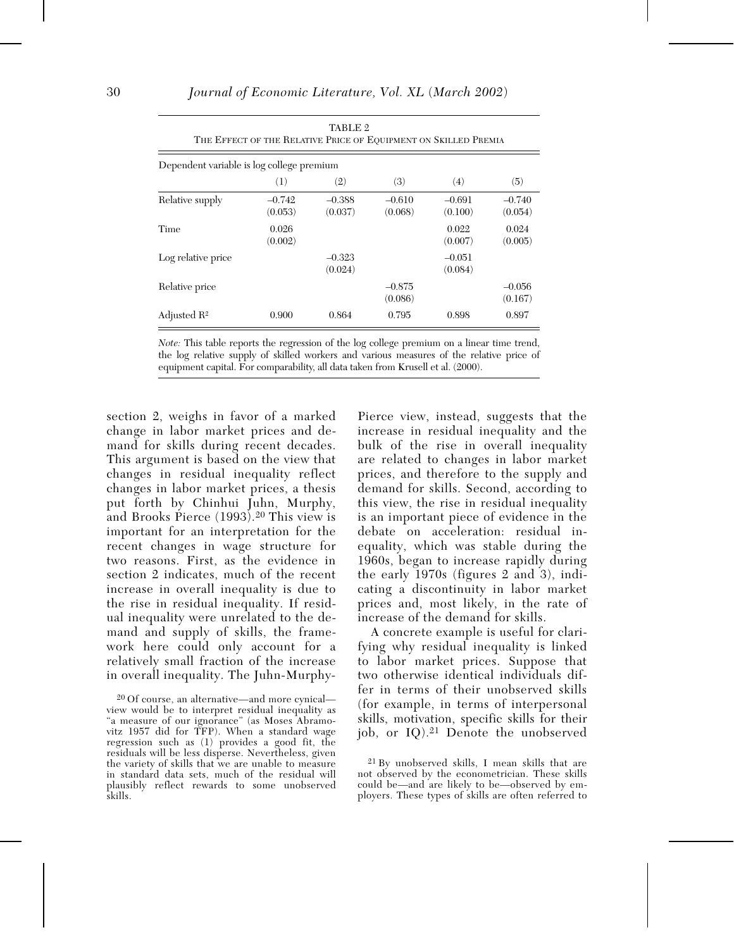| Dependent variable is log college premium |                     |                     |                     |                     |                     |
|-------------------------------------------|---------------------|---------------------|---------------------|---------------------|---------------------|
|                                           | (1)                 | (2)                 | (3)                 | (4)                 | (5)                 |
| Relative supply                           | $-0.742$<br>(0.053) | $-0.388$<br>(0.037) | $-0.610$<br>(0.068) | $-0.691$<br>(0.100) | $-0.740$<br>(0.054) |
| Time                                      | 0.026<br>(0.002)    |                     |                     | 0.022<br>(0.007)    | 0.024<br>(0.005)    |
| Log relative price                        |                     | $-0.323$<br>(0.024) |                     | $-0.051$<br>(0.084) |                     |
| Relative price                            |                     |                     | $-0.875$<br>(0.086) |                     | $-0.056$<br>(0.167) |
| Adjusted $\mathbb{R}^2$                   | 0.900               | 0.864               | 0.795               | 0.898               | 0.897               |

TABLE 2

*Note:* This table reports the regression of the log college premium on a linear time trend, the log relative supply of skilled workers and various measures of the relative price of equipment capital. For comparability, all data taken from Krusell et al. (2000).

section 2, weighs in favor of a marked change in labor market prices and demand for skills during recent decades. This argument is based on the view that changes in residual inequality reflect changes in labor market prices, a thesis put forth by Chinhui Juhn, Murphy, and Brooks Pierce (1993).20 This view is important for an interpretation for the recent changes in wage structure for two reasons. First, as the evidence in section 2 indicates, much of the recent increase in overall inequality is due to the rise in residual inequality. If residual inequality were unrelated to the demand and supply of skills, the framework here could only account for a relatively small fraction of the increase in overall inequality. The Juhn-Murphy-

20 Of course, an alternative—and more cynical view would be to interpret residual inequality as "a measure of our ignorance" (as Moses Abramovitz 1957 did for TFP). When a standard wage regression such as (1) provides a good fit, the residuals will be less disperse. Nevertheless, given the variety of skills that we are unable to measure in standard data sets, much of the residual will plausibly reflect rewards to some unobserved skills.

Pierce view, instead, suggests that the increase in residual inequality and the bulk of the rise in overall inequality are related to changes in labor market prices, and therefore to the supply and demand for skills. Second, according to this view, the rise in residual inequality is an important piece of evidence in the debate on acceleration: residual inequality, which was stable during the 1960s, began to increase rapidly during the early 1970s (figures 2 and 3), indicating a discontinuity in labor market prices and, most likely, in the rate of increase of the demand for skills.

A concrete example is useful for clarifying why residual inequality is linked to labor market prices. Suppose that two otherwise identical individuals differ in terms of their unobserved skills (for example, in terms of interpersonal skills, motivation, specific skills for their job, or IQ).21 Denote the unobserved

21 By unobserved skills, I mean skills that are not observed by the econometrician. These skills could be—and are likely to be—observed by employers. These types of skills are often referred to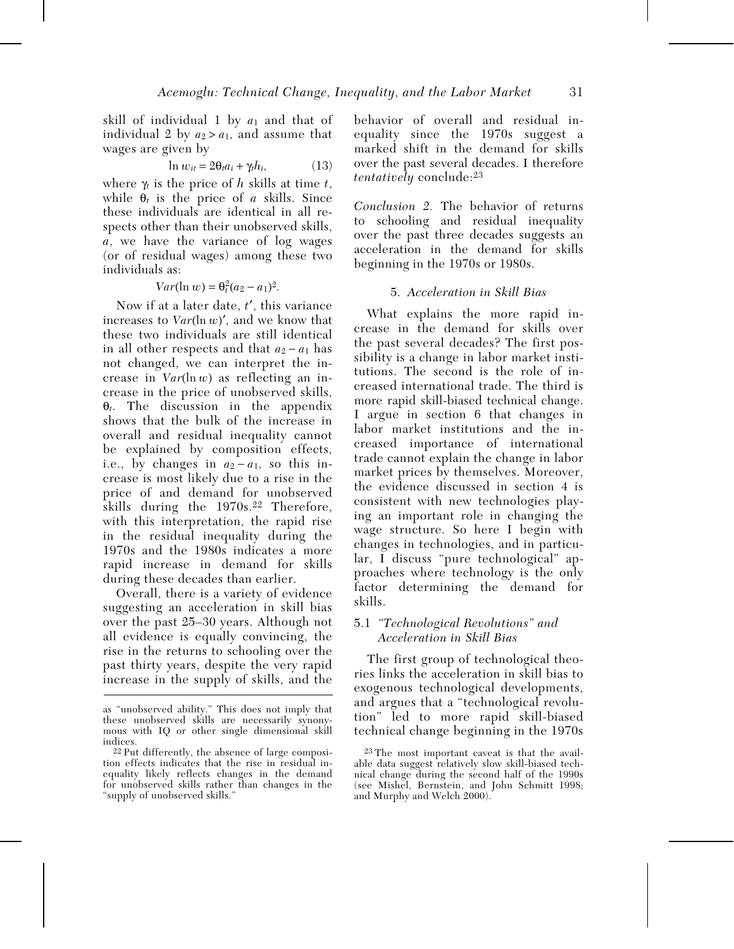skill of individual 1 by *a*<sup>1</sup> and that of individual 2 by  $a_2 > a_1$ , and assume that wages are given by

$$
\ln w_{it} = 2\theta_t a_i + \gamma_t h_i, \tag{13}
$$

where  $\gamma_t$  is the price of *h* skills at time *t*, while  $\theta_t$  is the price of *a* skills. Since these individuals are identical in all respects other than their unobserved skills, *a*, we have the variance of log wages (or of residual wages) among these two individuals as:

$$
Var(\ln w) = \theta_t^2 (a_2 - a_1)^2.
$$

Now if at a later date, *t*′, this variance increases to *Var*(ln *w*)′, and we know that these two individuals are still identical in all other respects and that  $a_2 - a_1$  has not changed, we can interpret the increase in *Var*(ln *w*) as reflecting an increase in the price of unobserved skills, θ*t*. The discussion in the appendix shows that the bulk of the increase in overall and residual inequality cannot be explained by composition effects, i.e., by changes in  $a_2 - a_1$ , so this increase is most likely due to a rise in the price of and demand for unobserved skills during the 1970s.<sup>22</sup> Therefore, with this interpretation, the rapid rise in the residual inequality during the 1970s and the 1980s indicates a more rapid increase in demand for skills during these decades than earlier.

Overall, there is a variety of evidence suggesting an acceleration in skill bias over the past 25–30 years. Although not all evidence is equally convincing, the rise in the returns to schooling over the past thirty years, despite the very rapid increase in the supply of skills, and the

behavior of overall and residual inequality since the 1970s suggest a marked shift in the demand for skills over the past several decades. I therefore *tentatively* conclude:23

*Conclusion 2.* The behavior of returns to schooling and residual inequality over the past three decades suggests an acceleration in the demand for skills beginning in the 1970s or 1980s.

#### 5. *Acceleration in Skill Bias*

What explains the more rapid increase in the demand for skills over the past several decades? The first possibility is a change in labor market institutions. The second is the role of increased international trade. The third is more rapid skill-biased technical change. I argue in section 6 that changes in labor market institutions and the increased importance of international trade cannot explain the change in labor market prices by themselves. Moreover, the evidence discussed in section 4 is consistent with new technologies playing an important role in changing the wage structure. So here I begin with changes in technologies, and in particular, I discuss "pure technological" approaches where technology is the only factor determining the demand for skills.

#### 5.1 *"Technological Revolutions" and Acceleration in Skill Bias*

The first group of technological theories links the acceleration in skill bias to exogenous technological developments, and argues that a "technological revolution" led to more rapid skill-biased technical change beginning in the 1970s

as "unobserved ability." This does not imply that these unobserved skills are necessarily synonymous with IQ or other single dimensional skill indices.

<sup>22</sup> Put differently, the absence of large composition effects indicates that the rise in residual inequality likely reflects changes in the demand for unobserved skills rather than changes in the "supply of unobserved skills."

<sup>23</sup> The most important caveat is that the available data suggest relatively slow skill-biased technical change during the second half of the 1990s (see Mishel, Bernstein, and John Schmitt 1998; and Murphy and Welch 2000).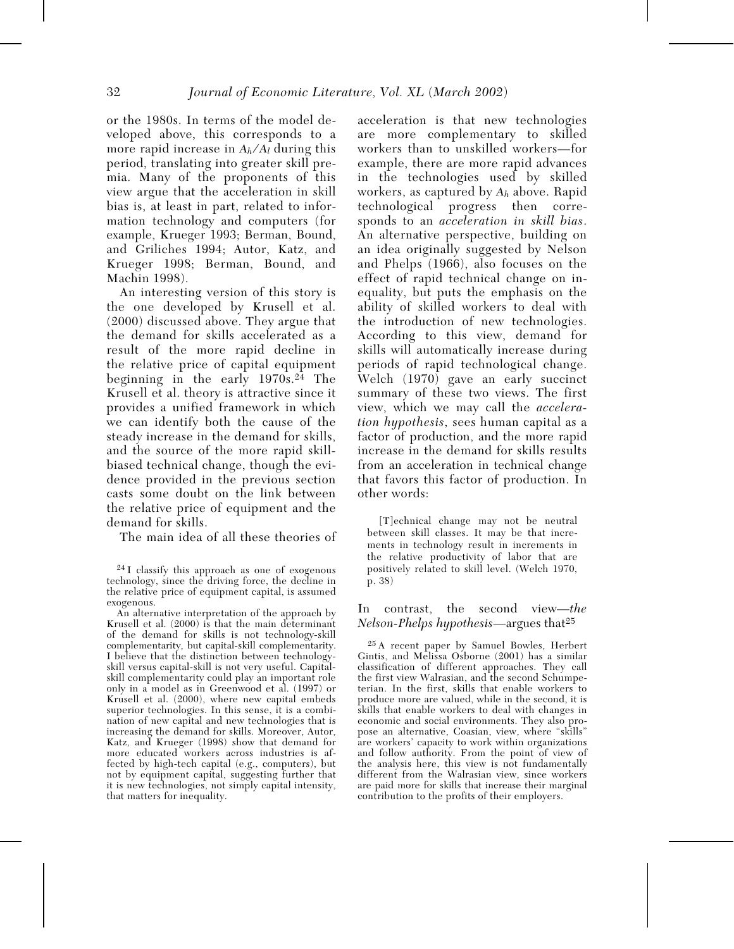or the 1980s. In terms of the model developed above, this corresponds to a more rapid increase in  $A_h/A_l$  during this period, translating into greater skill premia. Many of the proponents of this view argue that the acceleration in skill bias is, at least in part, related to information technology and computers (for example, Krueger 1993; Berman, Bound, and Griliches 1994; Autor, Katz, and Krueger 1998; Berman, Bound, and Machin 1998).

An interesting version of this story is the one developed by Krusell et al. (2000) discussed above. They argue that the demand for skills accelerated as a result of the more rapid decline in the relative price of capital equipment beginning in the early 1970s.24 The Krusell et al. theory is attractive since it provides a unified framework in which we can identify both the cause of the steady increase in the demand for skills, and the source of the more rapid skillbiased technical change, though the evidence provided in the previous section casts some doubt on the link between the relative price of equipment and the demand for skills.

The main idea of all these theories of

24 I classify this approach as one of exogenous technology, since the driving force, the decline in the relative price of equipment capital, is assumed exogenous.

An alternative interpretation of the approach by Krusell et al. (2000) is that the main determinant of the demand for skills is not technology-skill complementarity, but capital-skill complementarity. I believe that the distinction between technologyskill versus capital-skill is not very useful. Capitalskill complementarity could play an important role only in a model as in Greenwood et al. (1997) or Krusell et al. (2000), where new capital embeds superior technologies. In this sense, it is a combination of new capital and new technologies that is increasing the demand for skills. Moreover, Autor, Katz, and Krueger (1998) show that demand for more educated workers across industries is affected by high-tech capital (e.g., computers), but not by equipment capital, suggesting further that it is new technologies, not simply capital intensity, that matters for inequality.

acceleration is that new technologies are more complementary to skilled workers than to unskilled workers—for example, there are more rapid advances in the technologies used by skilled workers, as captured by *Ah* above. Rapid technological progress then corresponds to an *acceleration in skill bias*. An alternative perspective, building on an idea originally suggested by Nelson and Phelps (1966), also focuses on the effect of rapid technical change on inequality, but puts the emphasis on the ability of skilled workers to deal with the introduction of new technologies. According to this view, demand for skills will automatically increase during periods of rapid technological change. Welch (1970) gave an early succinct summary of these two views. The first view, which we may call the *acceleration hypothesis*, sees human capital as a factor of production, and the more rapid increase in the demand for skills results from an acceleration in technical change that favors this factor of production. In other words:

[T]echnical change may not be neutral between skill classes. It may be that increments in technology result in increments in the relative productivity of labor that are positively related to skill level. (Welch 1970, p. 38)

#### In contrast, the second view—*the Nelson-Phelps hypothesis*—argues that<sup>25</sup>

25 A recent paper by Samuel Bowles, Herbert Gintis, and Melissa Osborne (2001) has a similar classification of different approaches. They call the first view Walrasian, and the second Schumpeterian. In the first, skills that enable workers to produce more are valued, while in the second, it is skills that enable workers to deal with changes in economic and social environments. They also propose an alternative, Coasian, view, where "skills" are workers' capacity to work within organizations and follow authority. From the point of view of the analysis here, this view is not fundamentally different from the Walrasian view, since workers are paid more for skills that increase their marginal contribution to the profits of their employers.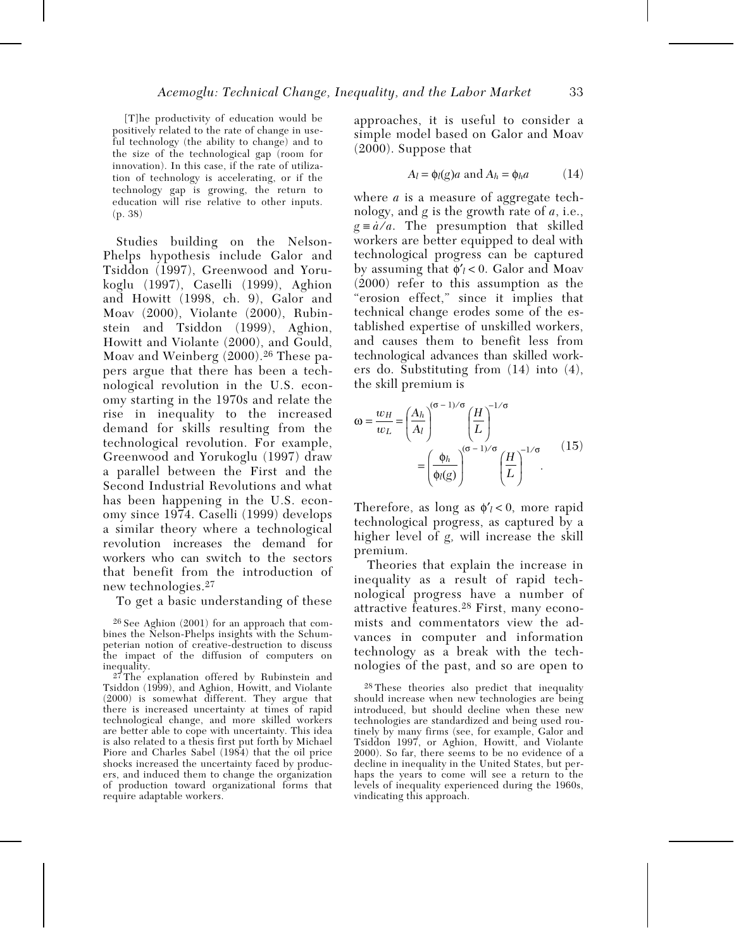[T]he productivity of education would be positively related to the rate of change in useful technology (the ability to change) and to the size of the technological gap (room for innovation). In this case, if the rate of utilization of technology is accelerating, or if the technology gap is growing, the return to education will rise relative to other inputs. (p. 38)

Studies building on the Nelson-Phelps hypothesis include Galor and Tsiddon (1997), Greenwood and Yorukoglu (1997), Caselli (1999), Aghion and Howitt (1998, ch. 9), Galor and Moav (2000), Violante (2000), Rubinstein and Tsiddon (1999), Aghion, Howitt and Violante (2000), and Gould, Moav and Weinberg (2000).<sup>26</sup> These papers argue that there has been a technological revolution in the U.S. economy starting in the 1970s and relate the rise in inequality to the increased demand for skills resulting from the technological revolution. For example, Greenwood and Yorukoglu (1997) draw a parallel between the First and the Second Industrial Revolutions and what has been happening in the U.S. economy since 1974. Caselli (1999) develops a similar theory where a technological revolution increases the demand for workers who can switch to the sectors that benefit from the introduction of new technologies.27

To get a basic understanding of these

approaches, it is useful to consider a simple model based on Galor and Moav (2000). Suppose that

$$
A_l = \phi_l(g)a \text{ and } A_h = \phi_h a \tag{14}
$$

where *a* is a measure of aggregate technology, and *g* is the growth rate of *a*, i.e.,  $g \equiv \frac{a}{a}$ . The presumption that skilled workers are better equipped to deal with technological progress can be captured by assuming that φ′*<sup>l</sup>* < 0. Galor and Moav (2000) refer to this assumption as the "erosion effect," since it implies that technical change erodes some of the established expertise of unskilled workers, and causes them to benefit less from technological advances than skilled workers do. Substituting from (14) into (4), the skill premium is

$$
\omega = \frac{w_H}{w_L} = \left(\frac{A_h}{A_l}\right)^{(\sigma - 1)/\sigma} \left(\frac{H}{L}\right)^{-1/\sigma}
$$

$$
= \left(\frac{\phi_h}{\phi_l(g)}\right)^{(\sigma - 1)/\sigma} \left(\frac{H}{L}\right)^{-1/\sigma}.
$$
(15)

Therefore, as long as φ′*<sup>l</sup>* < 0, more rapid technological progress, as captured by a higher level of *g,* will increase the skill premium.

Theories that explain the increase in inequality as a result of rapid technological progress have a number of attractive features.28 First, many economists and commentators view the advances in computer and information technology as a break with the technologies of the past, and so are open to

<sup>26</sup> See Aghion (2001) for an approach that combines the Nelson-Phelps insights with the Schumpeterian notion of creative-destruction to discuss the impact of the diffusion of computers on inequality.

 $27$ The explanation offered by Rubinstein and Tsiddon (1999), and Aghion, Howitt, and Violante (2000) is somewhat different. They argue that there is increased uncertainty at times of rapid technological change, and more skilled workers are better able to cope with uncertainty. This idea is also related to a thesis first put forth by Michael Piore and Charles Sabel (1984) that the oil price shocks increased the uncertainty faced by producers, and induced them to change the organization of production toward organizational forms that require adaptable workers.

<sup>28</sup> These theories also predict that inequality should increase when new technologies are being introduced, but should decline when these new technologies are standardized and being used routinely by many firms (see, for example, Galor and Tsiddon 1997, or Aghion, Howitt, and Violante 2000). So far, there seems to be no evidence of a decline in inequality in the United States, but perhaps the years to come will see a return to the levels of inequality experienced during the 1960s, vindicating this approach.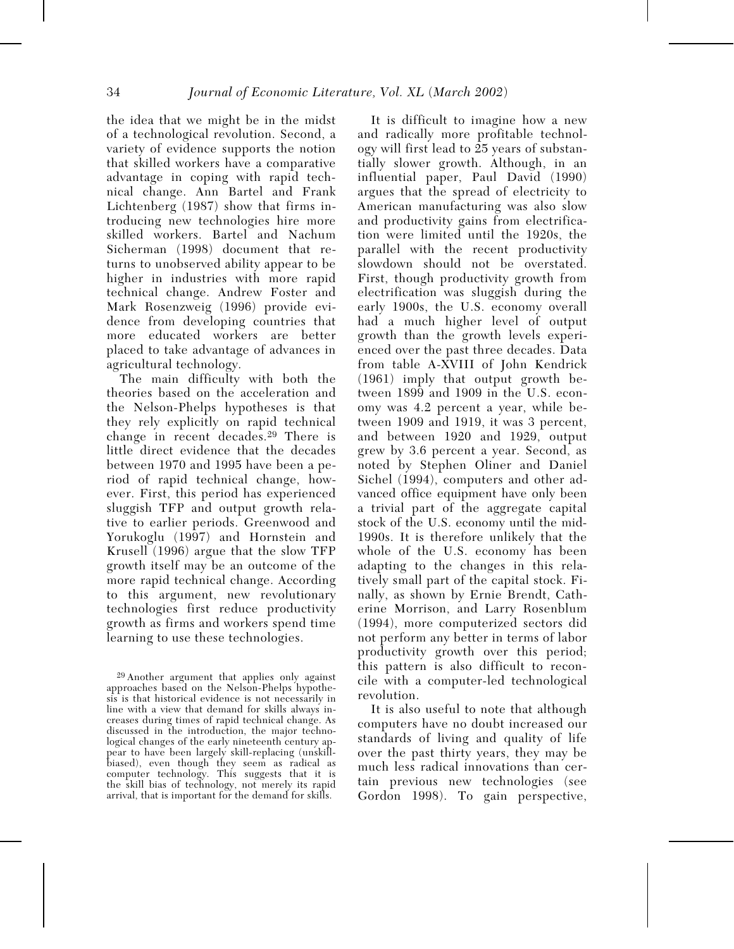the idea that we might be in the midst of a technological revolution. Second, a variety of evidence supports the notion that skilled workers have a comparative advantage in coping with rapid technical change. Ann Bartel and Frank Lichtenberg (1987) show that firms introducing new technologies hire more skilled workers. Bartel and Nachum Sicherman (1998) document that returns to unobserved ability appear to be higher in industries with more rapid technical change. Andrew Foster and Mark Rosenzweig (1996) provide evidence from developing countries that more educated workers are better placed to take advantage of advances in agricultural technology.

The main difficulty with both the theories based on the acceleration and the Nelson-Phelps hypotheses is that they rely explicitly on rapid technical change in recent decades.29 There is little direct evidence that the decades between 1970 and 1995 have been a period of rapid technical change, however. First, this period has experienced sluggish TFP and output growth relative to earlier periods. Greenwood and Yorukoglu (1997) and Hornstein and Krusell (1996) argue that the slow TFP growth itself may be an outcome of the more rapid technical change. According to this argument, new revolutionary technologies first reduce productivity growth as firms and workers spend time learning to use these technologies.

It is difficult to imagine how a new and radically more profitable technology will first lead to 25 years of substantially slower growth. Although, in an influential paper, Paul David (1990) argues that the spread of electricity to American manufacturing was also slow and productivity gains from electrification were limited until the 1920s, the parallel with the recent productivity slowdown should not be overstated. First, though productivity growth from electrification was sluggish during the early 1900s, the U.S. economy overall had a much higher level of output growth than the growth levels experienced over the past three decades. Data from table A-XVIII of John Kendrick (1961) imply that output growth between 1899 and 1909 in the U.S. economy was 4.2 percent a year, while between 1909 and 1919, it was 3 percent, and between 1920 and 1929, output grew by 3.6 percent a year. Second, as noted by Stephen Oliner and Daniel Sichel (1994), computers and other advanced office equipment have only been a trivial part of the aggregate capital stock of the U.S. economy until the mid-1990s. It is therefore unlikely that the whole of the U.S. economy has been adapting to the changes in this relatively small part of the capital stock. Finally, as shown by Ernie Brendt, Catherine Morrison, and Larry Rosenblum (1994), more computerized sectors did not perform any better in terms of labor productivity growth over this period; this pattern is also difficult to reconcile with a computer-led technological revolution.

It is also useful to note that although computers have no doubt increased our standards of living and quality of life over the past thirty years, they may be much less radical innovations than certain previous new technologies (see Gordon 1998). To gain perspective,

<sup>29</sup> Another argument that applies only against approaches based on the Nelson-Phelps hypothesis is that historical evidence is not necessarily in line with a view that demand for skills always increases during times of rapid technical change. As discussed in the introduction, the major technological changes of the early nineteenth century appear to have been largely skill-replacing (unskillbiased), even though they seem as radical as computer technology. This suggests that it is the skill bias of technology, not merely its rapid arrival, that is important for the demand for skills.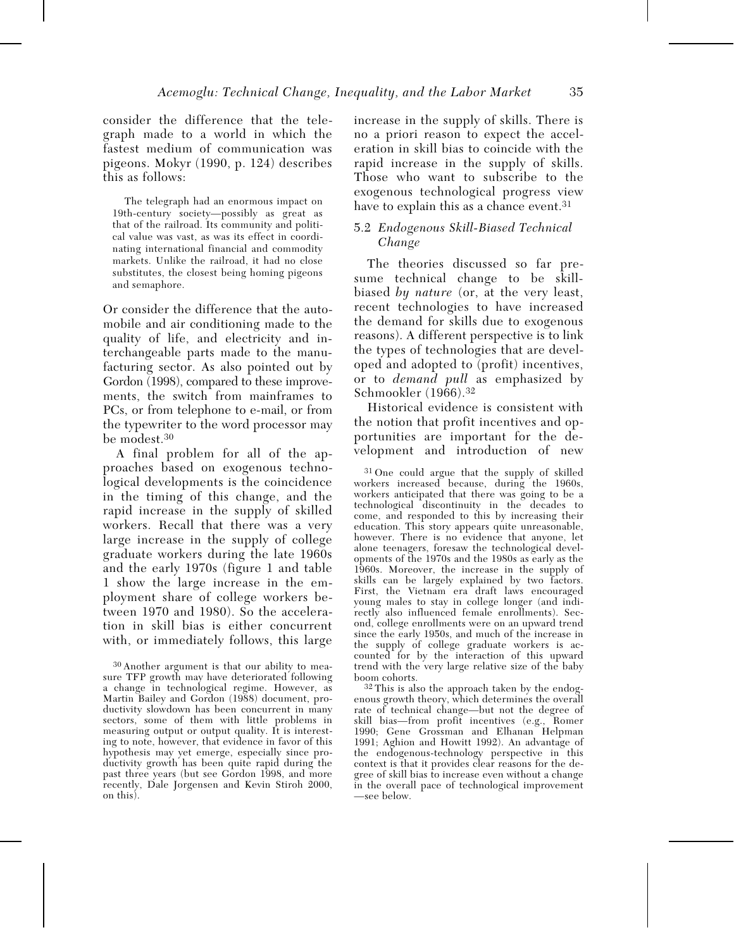consider the difference that the telegraph made to a world in which the fastest medium of communication was pigeons. Mokyr (1990, p. 124) describes this as follows:

The telegraph had an enormous impact on 19th-century society—possibly as great as that of the railroad. Its community and political value was vast, as was its effect in coordinating international financial and commodity markets. Unlike the railroad, it had no close substitutes, the closest being homing pigeons and semaphore.

Or consider the difference that the automobile and air conditioning made to the quality of life, and electricity and interchangeable parts made to the manufacturing sector. As also pointed out by Gordon (1998), compared to these improvements, the switch from mainframes to PCs, or from telephone to e-mail, or from the typewriter to the word processor may be modest.30

A final problem for all of the approaches based on exogenous technological developments is the coincidence in the timing of this change, and the rapid increase in the supply of skilled workers. Recall that there was a very large increase in the supply of college graduate workers during the late 1960s and the early 1970s (figure 1 and table 1 show the large increase in the employment share of college workers between 1970 and 1980). So the acceleration in skill bias is either concurrent with, or immediately follows, this large

30 Another argument is that our ability to measure TFP growth may have deteriorated following a change in technological regime. However, as Martin Bailey and Gordon (1988) document, productivity slowdown has been concurrent in many sectors, some of them with little problems in measuring output or output quality. It is interesting to note, however, that evidence in favor of this hypothesis may yet emerge, especially since productivity growth has been quite rapid during the past three years (but see Gordon 1998, and more recently, Dale Jorgensen and Kevin Stiroh 2000, on this).

increase in the supply of skills. There is no a priori reason to expect the acceleration in skill bias to coincide with the rapid increase in the supply of skills. Those who want to subscribe to the exogenous technological progress view have to explain this as a chance event.<sup>31</sup>

## 5.2 *Endogenous Skill-Biased Technical Change*

The theories discussed so far presume technical change to be skillbiased *by nature* (or, at the very least, recent technologies to have increased the demand for skills due to exogenous reasons). A different perspective is to link the types of technologies that are developed and adopted to (profit) incentives, or to *demand pull* as emphasized by Schmookler (1966).32

Historical evidence is consistent with the notion that profit incentives and opportunities are important for the development and introduction of new

31 One could argue that the supply of skilled workers increased because, during the 1960s, workers anticipated that there was going to be a technological discontinuity in the decades to come, and responded to this by increasing their education. This story appears quite unreasonable, however. There is no evidence that anyone, let alone teenagers, foresaw the technological developments of the 1970s and the 1980s as early as the 1960s. Moreover, the increase in the supply of skills can be largely explained by two factors. First, the Vietnam era draft laws encouraged young males to stay in college longer (and indirectly also influenced female enrollments). Second, college enrollments were on an upward trend since the early 1950s, and much of the increase in the supply of college graduate workers is accounted for by the interaction of this upward trend with the very large relative size of the baby boom cohorts.

32 This is also the approach taken by the endogenous growth theory, which determines the overall rate of technical change—but not the degree of skill bias—from profit incentives (e.g., Romer 1990; Gene Grossman and Elhanan Helpman 1991; Aghion and Howitt 1992). An advantage of the endogenous-technology perspective in this context is that it provides clear reasons for the degree of skill bias to increase even without a change in the overall pace of technological improvement —see below.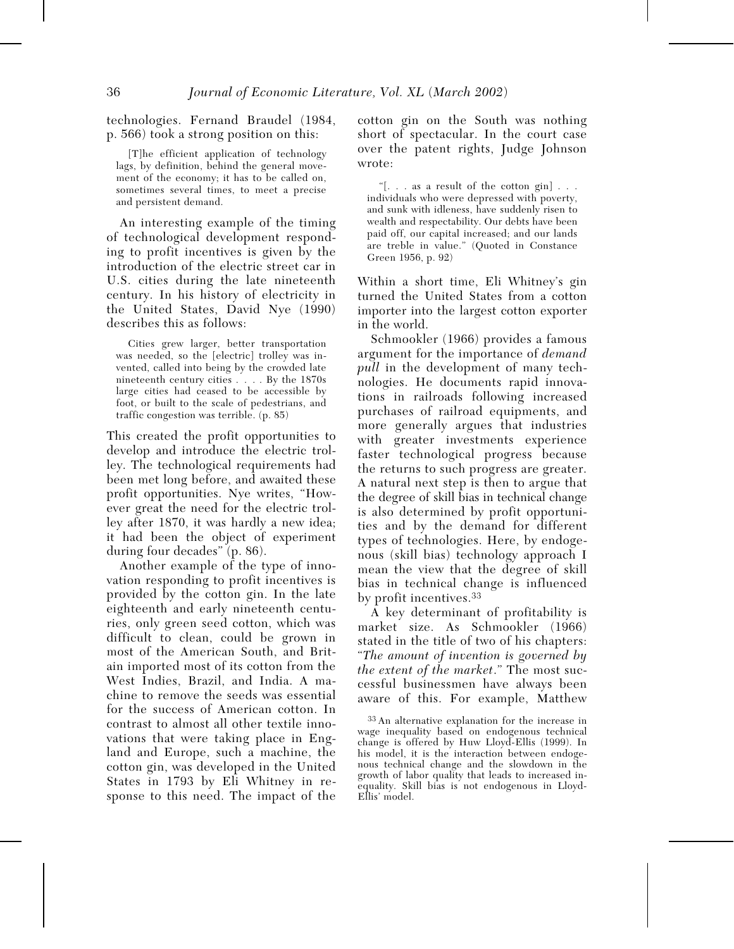technologies. Fernand Braudel (1984, p. 566) took a strong position on this:

[T]he efficient application of technology lags, by definition, behind the general movement of the economy; it has to be called on, sometimes several times, to meet a precise and persistent demand.

An interesting example of the timing of technological development responding to profit incentives is given by the introduction of the electric street car in U.S. cities during the late nineteenth century. In his history of electricity in the United States, David Nye (1990) describes this as follows:

Cities grew larger, better transportation was needed, so the [electric] trolley was invented, called into being by the crowded late nineteenth century cities . . . . By the 1870s large cities had ceased to be accessible by foot, or built to the scale of pedestrians, and traffic congestion was terrible. (p. 85)

This created the profit opportunities to develop and introduce the electric trolley. The technological requirements had been met long before, and awaited these profit opportunities. Nye writes, "However great the need for the electric trolley after 1870, it was hardly a new idea; it had been the object of experiment during four decades" (p. 86).

Another example of the type of innovation responding to profit incentives is provided by the cotton gin. In the late eighteenth and early nineteenth centuries, only green seed cotton, which was difficult to clean, could be grown in most of the American South, and Britain imported most of its cotton from the West Indies, Brazil, and India. A machine to remove the seeds was essential for the success of American cotton. In contrast to almost all other textile innovations that were taking place in England and Europe, such a machine, the cotton gin, was developed in the United States in 1793 by Eli Whitney in response to this need. The impact of the cotton gin on the South was nothing short of spectacular. In the court case over the patent rights, Judge Johnson wrote:

"[. . . as a result of the cotton gin] . . . individuals who were depressed with poverty, and sunk with idleness, have suddenly risen to wealth and respectability. Our debts have been paid off, our capital increased; and our lands are treble in value." (Quoted in Constance Green 1956, p. 92)

Within a short time, Eli Whitney's gin turned the United States from a cotton importer into the largest cotton exporter in the world.

Schmookler (1966) provides a famous argument for the importance of *demand pull* in the development of many technologies. He documents rapid innovations in railroads following increased purchases of railroad equipments, and more generally argues that industries with greater investments experience faster technological progress because the returns to such progress are greater. A natural next step is then to argue that the degree of skill bias in technical change is also determined by profit opportunities and by the demand for different types of technologies. Here, by endogenous (skill bias) technology approach I mean the view that the degree of skill bias in technical change is influenced by profit incentives.33

A key determinant of profitability is market size. As Schmookler (1966) stated in the title of two of his chapters: "*The amount of invention is governed by the extent of the market*." The most successful businessmen have always been aware of this. For example, Matthew

33 An alternative explanation for the increase in wage inequality based on endogenous technical change is offered by Huw Lloyd-Ellis (1999). In his model, it is the interaction between endogenous technical change and the slowdown in the growth of labor quality that leads to increased inequality. Skill bias is not endogenous in Lloyd-Ellis' model.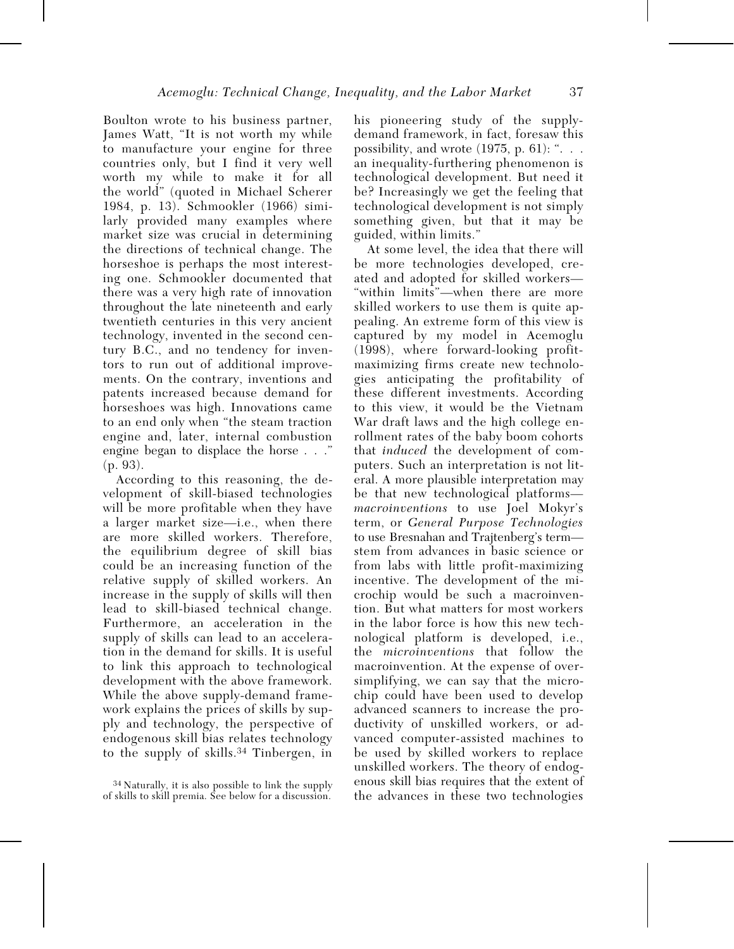Boulton wrote to his business partner, James Watt, "It is not worth my while to manufacture your engine for three countries only, but I find it very well worth my while to make it for all the world" (quoted in Michael Scherer 1984, p. 13). Schmookler (1966) similarly provided many examples where market size was crucial in determining the directions of technical change. The horseshoe is perhaps the most interesting one. Schmookler documented that there was a very high rate of innovation throughout the late nineteenth and early twentieth centuries in this very ancient technology, invented in the second century B.C., and no tendency for inventors to run out of additional improvements. On the contrary, inventions and patents increased because demand for horseshoes was high. Innovations came to an end only when "the steam traction engine and, later, internal combustion engine began to displace the horse . . ." (p. 93).

According to this reasoning, the development of skill-biased technologies will be more profitable when they have a larger market size—i.e., when there are more skilled workers. Therefore, the equilibrium degree of skill bias could be an increasing function of the relative supply of skilled workers. An increase in the supply of skills will then lead to skill-biased technical change. Furthermore, an acceleration in the supply of skills can lead to an acceleration in the demand for skills. It is useful to link this approach to technological development with the above framework. While the above supply-demand framework explains the prices of skills by supply and technology, the perspective of endogenous skill bias relates technology to the supply of skills.34 Tinbergen, in

his pioneering study of the supplydemand framework, in fact, foresaw this possibility, and wrote  $(1975, p. 61)$ : "... an inequality-furthering phenomenon is technological development. But need it be? Increasingly we get the feeling that technological development is not simply something given, but that it may be guided, within limits."

At some level, the idea that there will be more technologies developed, created and adopted for skilled workers— "within limits"—when there are more skilled workers to use them is quite appealing. An extreme form of this view is captured by my model in Acemoglu (1998), where forward-looking profitmaximizing firms create new technologies anticipating the profitability of these different investments. According to this view, it would be the Vietnam War draft laws and the high college enrollment rates of the baby boom cohorts that *induced* the development of computers. Such an interpretation is not literal. A more plausible interpretation may be that new technological platforms *macroinventions* to use Joel Mokyr's term, or *General Purpose Technologies* to use Bresnahan and Trajtenberg's term stem from advances in basic science or from labs with little profit-maximizing incentive. The development of the microchip would be such a macroinvention. But what matters for most workers in the labor force is how this new technological platform is developed, i.e., the *microinventions* that follow the macroinvention. At the expense of oversimplifying, we can say that the microchip could have been used to develop advanced scanners to increase the productivity of unskilled workers, or advanced computer-assisted machines to be used by skilled workers to replace unskilled workers. The theory of endogenous skill bias requires that the extent of the advances in these two technologies

<sup>34</sup> Naturally, it is also possible to link the supply of skills to skill premia. See below for a discussion.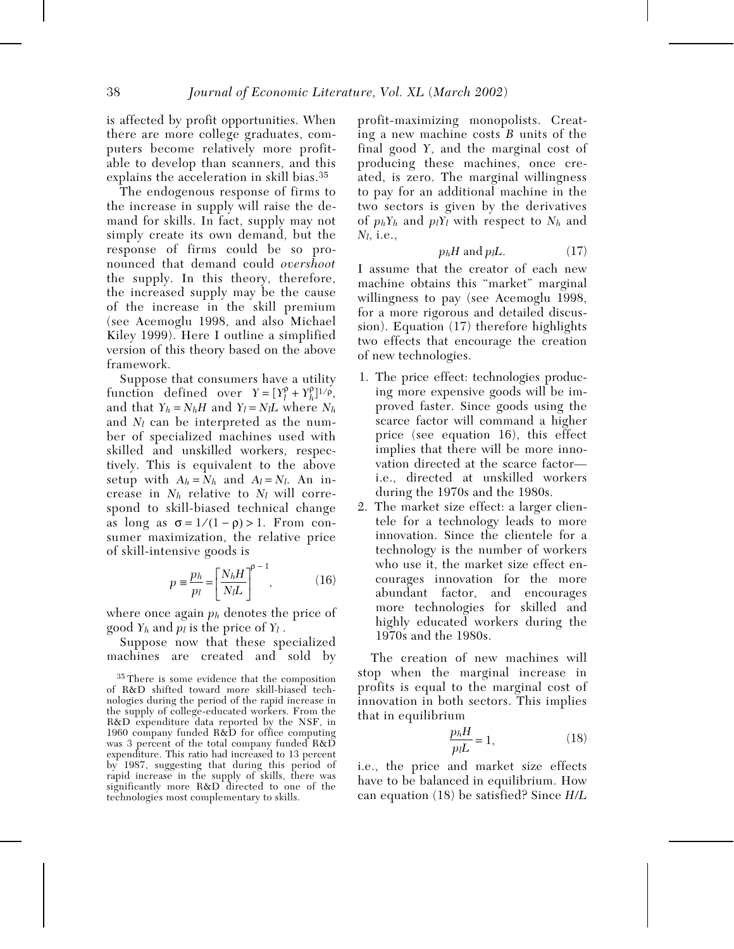is affected by profit opportunities. When there are more college graduates, computers become relatively more profitable to develop than scanners, and this explains the acceleration in skill bias.35

The endogenous response of firms to the increase in supply will raise the demand for skills. In fact, supply may not simply create its own demand, but the response of firms could be so pronounced that demand could *overshoot* the supply. In this theory, therefore, the increased supply may be the cause of the increase in the skill premium (see Acemoglu 1998, and also Michael Kiley 1999). Here I outline a simplified version of this theory based on the above framework.

Suppose that consumers have a utility function defined over  $Y = [Y_l^p + Y_h^p]^{1/p}$ , and that  $Y_h = N_h H$  and  $Y_l = N_l L$  where  $N_h$ and *Nl* can be interpreted as the number of specialized machines used with skilled and unskilled workers, respectively. This is equivalent to the above setup with  $A_h = N_h$  and  $A_l = N_l$ . An increase in *Nh* relative to *Nl* will correspond to skill-biased technical change as long as  $\sigma = 1/(1-\rho) > 1$ . From consumer maximization, the relative price of skill-intensive goods is

$$
p \equiv \frac{p_h}{p_l} = \left[\frac{N_h H}{N_l L}\right]^{\rho - 1},\tag{16}
$$

where once again *ph* denotes the price of good  $Y_h$  and  $p_l$  is the price of  $Y_l$ .

Suppose now that these specialized machines are created and sold by

profit-maximizing monopolists. Creating a new machine costs *B* units of the final good *Y*, and the marginal cost of producing these machines, once created, is zero. The marginal willingness to pay for an additional machine in the two sectors is given by the derivatives of  $p_h Y_h$  and  $p_l Y_l$  with respect to  $N_h$  and *Nl*, i.e.,

$$
p_h H \text{ and } p_l L. \tag{17}
$$

I assume that the creator of each new machine obtains this "market" marginal willingness to pay (see Acemoglu 1998, for a more rigorous and detailed discussion). Equation (17) therefore highlights two effects that encourage the creation of new technologies.

- 1. The price effect: technologies producing more expensive goods will be improved faster. Since goods using the scarce factor will command a higher price (see equation 16), this effect implies that there will be more innovation directed at the scarce factor i.e., directed at unskilled workers during the 1970s and the 1980s.
- 2. The market size effect: a larger clientele for a technology leads to more innovation. Since the clientele for a technology is the number of workers who use it, the market size effect encourages innovation for the more abundant factor, and encourages more technologies for skilled and highly educated workers during the 1970s and the 1980s.

The creation of new machines will stop when the marginal increase in profits is equal to the marginal cost of innovation in both sectors. This implies that in equilibrium

$$
\frac{p_h H}{p_l L} = 1,\tag{18}
$$

i.e., the price and market size effects have to be balanced in equilibrium. How can equation (18) be satisfied? Since *H/L*

<sup>35</sup> There is some evidence that the composition of R&D shifted toward more skill-biased technologies during the period of the rapid increase in the supply of college-educated workers. From the R&D expenditure data reported by the NSF, in 1960 company funded R&D for office computing was 3 percent of the total company funded R&D expenditure. This ratio had increased to 13 percent by 1987, suggesting that during this period of rapid increase in the supply of skills, there was significantly more R&D directed to one of the technologies most complementary to skills.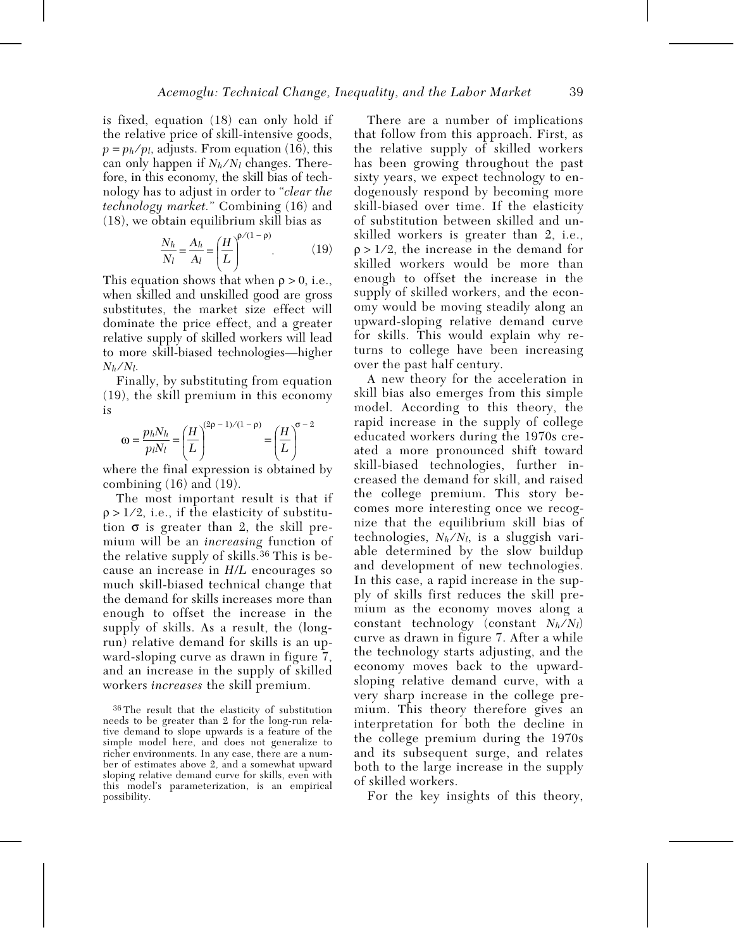is fixed, equation (18) can only hold if the relative price of skill-intensive goods,  $p = p_h / p_l$ , adjusts. From equation (16), this can only happen if  $N_h/N_l$  changes. Therefore, in this economy, the skill bias of technology has to adjust in order to "*clear the technology market.*" Combining (16) and (18), we obtain equilibrium skill bias as

$$
\frac{N_h}{N_l} = \frac{A_h}{A_l} = \left(\frac{H}{L}\right)^{\rho/(1-\rho)}.\tag{19}
$$

This equation shows that when  $\rho > 0$ , i.e., when skilled and unskilled good are gross substitutes, the market size effect will dominate the price effect, and a greater relative supply of skilled workers will lead to more skill-biased technologies—higher  $N_h/N_l$ .

Finally, by substituting from equation (19), the skill premium in this economy is

$$
\omega = \frac{p_h N_h}{p_l N_l} = \left(\frac{H}{L}\right)^{(2\rho - 1)/(1 - \rho)} = \left(\frac{H}{L}\right)^{\sigma - 2}
$$

where the final expression is obtained by combining  $(16)$  and  $(19)$ .

The most important result is that if  $\rho > 1/2$ , i.e., if the elasticity of substitution  $\sigma$  is greater than 2, the skill premium will be an *increasing* function of the relative supply of skills.36 This is because an increase in *H/L* encourages so much skill-biased technical change that the demand for skills increases more than enough to offset the increase in the supply of skills. As a result, the (longrun) relative demand for skills is an upward-sloping curve as drawn in figure 7, and an increase in the supply of skilled workers *increases* the skill premium.

There are a number of implications that follow from this approach. First, as the relative supply of skilled workers has been growing throughout the past sixty years, we expect technology to endogenously respond by becoming more skill-biased over time. If the elasticity of substitution between skilled and unskilled workers is greater than 2, i.e.,  $\rho > 1/2$ , the increase in the demand for skilled workers would be more than enough to offset the increase in the supply of skilled workers, and the economy would be moving steadily along an upward-sloping relative demand curve for skills. This would explain why returns to college have been increasing over the past half century.

A new theory for the acceleration in skill bias also emerges from this simple model. According to this theory, the rapid increase in the supply of college educated workers during the 1970s created a more pronounced shift toward skill-biased technologies, further increased the demand for skill, and raised the college premium. This story becomes more interesting once we recognize that the equilibrium skill bias of technologies,  $N_h/N_l$ , is a sluggish variable determined by the slow buildup and development of new technologies. In this case, a rapid increase in the supply of skills first reduces the skill premium as the economy moves along a constant technology (constant *Nh* ⁄ *Nl*) curve as drawn in figure 7. After a while the technology starts adjusting, and the economy moves back to the upwardsloping relative demand curve, with a very sharp increase in the college premium. This theory therefore gives an interpretation for both the decline in the college premium during the 1970s and its subsequent surge, and relates both to the large increase in the supply of skilled workers.

For the key insights of this theory,

<sup>36</sup> The result that the elasticity of substitution needs to be greater than 2 for the long-run relative demand to slope upwards is a feature of the simple model here, and does not generalize to richer environments. In any case, there are a number of estimates above 2, and a somewhat upward sloping relative demand curve for skills, even with this model's parameterization, is an empirical possibility.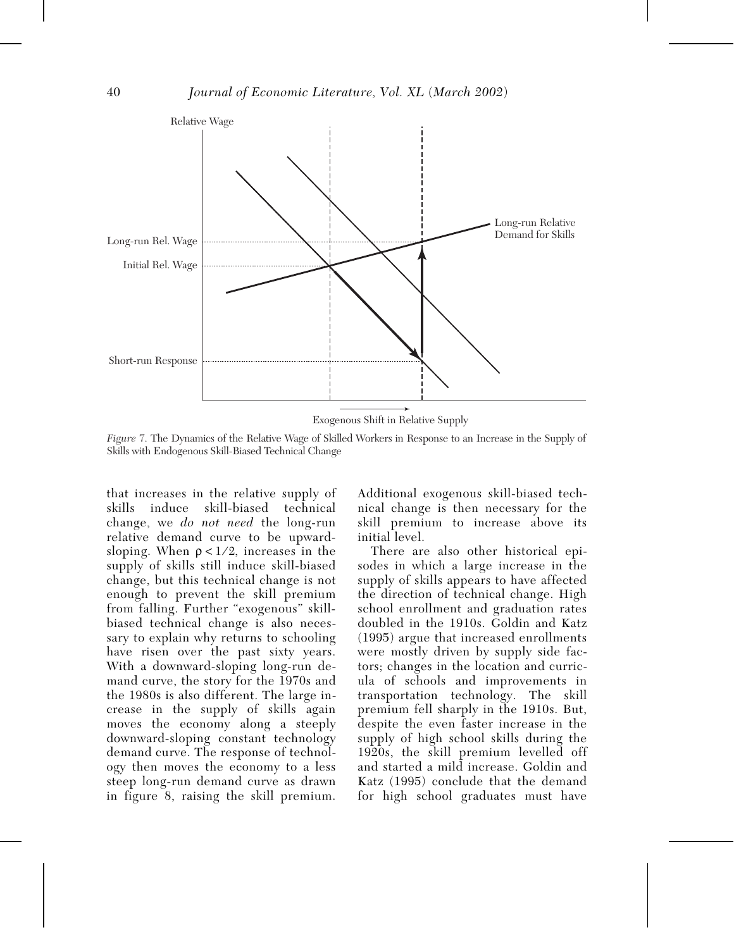

Exogenous Shift in Relative Supply

*Figure* 7. The Dynamics of the Relative Wage of Skilled Workers in Response to an Increase in the Supply of Skills with Endogenous Skill-Biased Technical Change

that increases in the relative supply of skills induce skill-biased technical change, we *do not need* the long-run relative demand curve to be upwardsloping. When  $\rho < 1/2$ , increases in the supply of skills still induce skill-biased change, but this technical change is not enough to prevent the skill premium from falling. Further "exogenous" skillbiased technical change is also necessary to explain why returns to schooling have risen over the past sixty years. With a downward-sloping long-run demand curve, the story for the 1970s and the 1980s is also different. The large increase in the supply of skills again moves the economy along a steeply downward-sloping constant technology demand curve. The response of technology then moves the economy to a less steep long-run demand curve as drawn in figure 8, raising the skill premium.

Additional exogenous skill-biased technical change is then necessary for the skill premium to increase above its initial level.

There are also other historical episodes in which a large increase in the supply of skills appears to have affected the direction of technical change. High school enrollment and graduation rates doubled in the 1910s. Goldin and Katz (1995) argue that increased enrollments were mostly driven by supply side factors; changes in the location and curricula of schools and improvements in transportation technology. The skill premium fell sharply in the 1910s. But, despite the even faster increase in the supply of high school skills during the 1920s, the skill premium levelled off and started a mild increase. Goldin and Katz (1995) conclude that the demand for high school graduates must have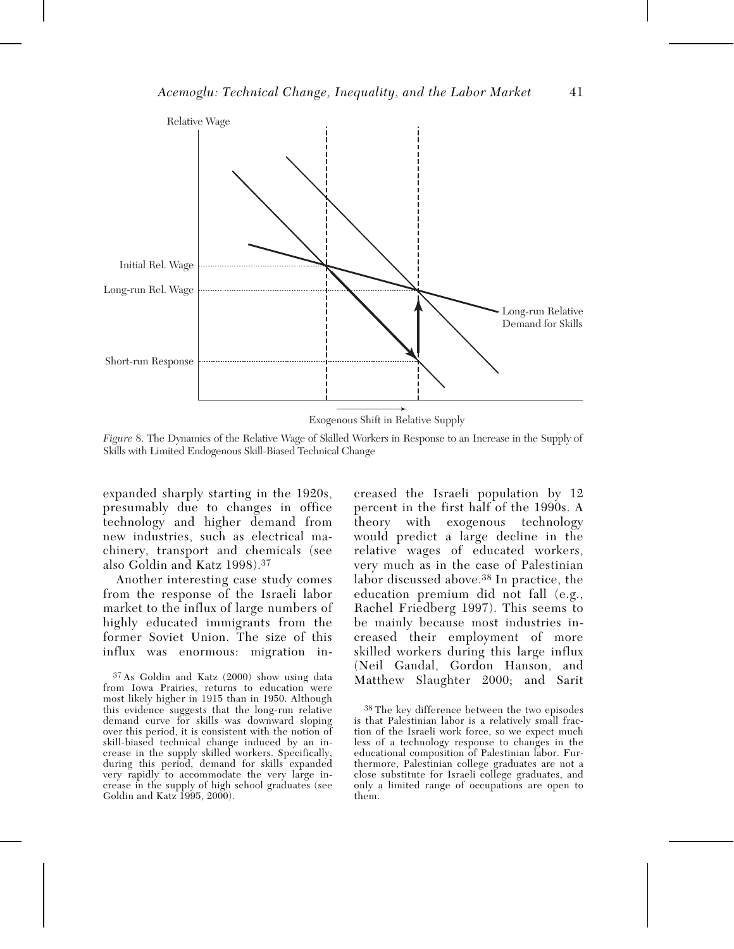

Exogenous Shift in Relative Supply

*Figure* 8. The Dynamics of the Relative Wage of Skilled Workers in Response to an Increase in the Supply of Skills with Limited Endogenous Skill-Biased Technical Change

expanded sharply starting in the 1920s, presumably due to changes in office technology and higher demand from new industries, such as electrical machinery, transport and chemicals (see also Goldin and Katz 1998).37

Another interesting case study comes from the response of the Israeli labor market to the influx of large numbers of highly educated immigrants from the former Soviet Union. The size of this influx was enormous: migration increased the Israeli population by 12 percent in the first half of the 1990s. A theory with exogenous technology would predict a large decline in the relative wages of educated workers, very much as in the case of Palestinian labor discussed above.38 In practice, the education premium did not fall (e.g., Rachel Friedberg 1997). This seems to be mainly because most industries increased their employment of more skilled workers during this large influx (Neil Gandal, Gordon Hanson, and Matthew Slaughter 2000; and Sarit

38 The key difference between the two episodes is that Palestinian labor is a relatively small fraction of the Israeli work force, so we expect much less of a technology response to changes in the educational composition of Palestinian labor. Furthermore, Palestinian college graduates are not a close substitute for Israeli college graduates, and only a limited range of occupations are open to them.

<sup>37</sup> As Goldin and Katz (2000) show using data from Iowa Prairies, returns to education were most likely higher in 1915 than in 1950. Although this evidence suggests that the long-run relative demand curve for skills was downward sloping over this period, it is consistent with the notion of skill-biased technical change induced by an increase in the supply skilled workers. Specifically, during this period, demand for skills expanded very rapidly to accommodate the very large increase in the supply of high school graduates (see Goldin and Katz 1995, 2000).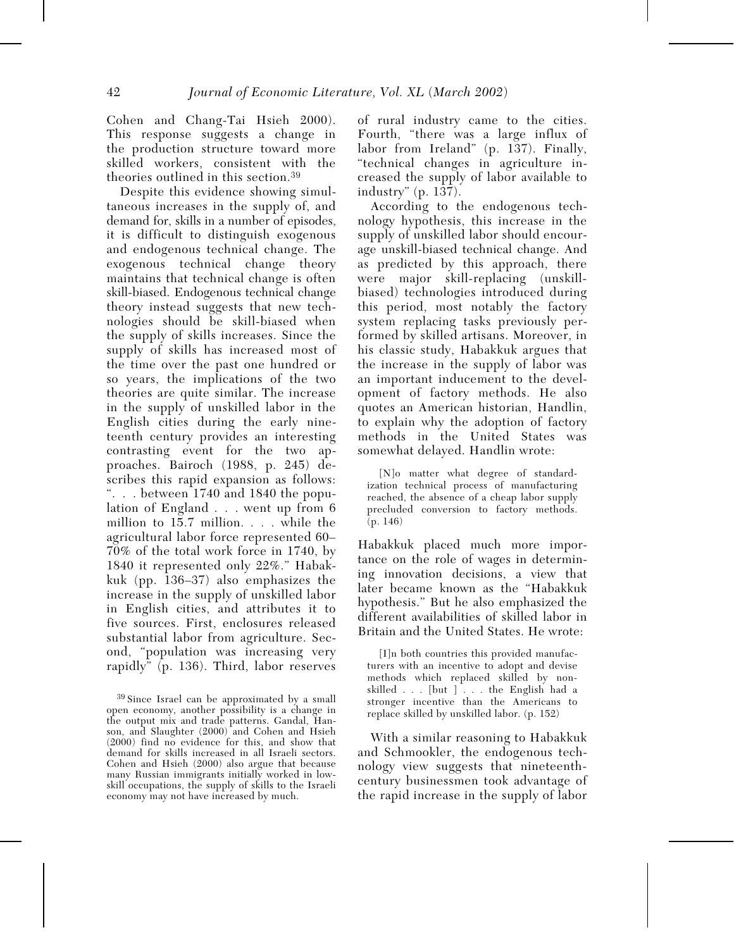Cohen and Chang-Tai Hsieh 2000). This response suggests a change in the production structure toward more skilled workers, consistent with the theories outlined in this section.39

Despite this evidence showing simultaneous increases in the supply of, and demand for, skills in a number of episodes, it is difficult to distinguish exogenous and endogenous technical change. The exogenous technical change theory maintains that technical change is often skill-biased. Endogenous technical change theory instead suggests that new technologies should be skill-biased when the supply of skills increases. Since the supply of skills has increased most of the time over the past one hundred or so years, the implications of the two theories are quite similar. The increase in the supply of unskilled labor in the English cities during the early nineteenth century provides an interesting contrasting event for the two approaches. Bairoch (1988, p. 245) describes this rapid expansion as follows: ". . . between 1740 and 1840 the population of England . . . went up from 6 million to 15.7 million. . . . while the agricultural labor force represented 60– 70% of the total work force in 1740, by 1840 it represented only 22%." Habakkuk (pp. 136–37) also emphasizes the increase in the supply of unskilled labor in English cities, and attributes it to five sources. First, enclosures released substantial labor from agriculture. Second, "population was increasing very rapidly" (p. 136). Third, labor reserves

39 Since Israel can be approximated by a small open economy, another possibility is a change in the output mix and trade patterns. Gandal, Hanson, and Slaughter (2000) and Cohen and Hsieh (2000) find no evidence for this, and show that demand for skills increased in all Israeli sectors. Cohen and Hsieh (2000) also argue that because many Russian immigrants initially worked in lowskill occupations, the supply of skills to the Israeli economy may not have increased by much.

of rural industry came to the cities. Fourth, "there was a large influx of labor from Ireland" (p. 137). Finally, "technical changes in agriculture increased the supply of labor available to industry" (p. 137).

According to the endogenous technology hypothesis, this increase in the supply of unskilled labor should encourage unskill-biased technical change. And as predicted by this approach, there were major skill-replacing (unskillbiased) technologies introduced during this period, most notably the factory system replacing tasks previously performed by skilled artisans. Moreover, in his classic study, Habakkuk argues that the increase in the supply of labor was an important inducement to the development of factory methods. He also quotes an American historian, Handlin, to explain why the adoption of factory methods in the United States was somewhat delayed. Handlin wrote:

[N]o matter what degree of standardization technical process of manufacturing reached, the absence of a cheap labor supply precluded conversion to factory methods. (p. 146)

Habakkuk placed much more importance on the role of wages in determining innovation decisions, a view that later became known as the "Habakkuk hypothesis." But he also emphasized the different availabilities of skilled labor in Britain and the United States. He wrote:

[I]n both countries this provided manufacturers with an incentive to adopt and devise methods which replaced skilled by nonskilled . . . [but ] . . . the English had a stronger incentive than the Americans to replace skilled by unskilled labor. (p. 152)

With a similar reasoning to Habakkuk and Schmookler, the endogenous technology view suggests that nineteenthcentury businessmen took advantage of the rapid increase in the supply of labor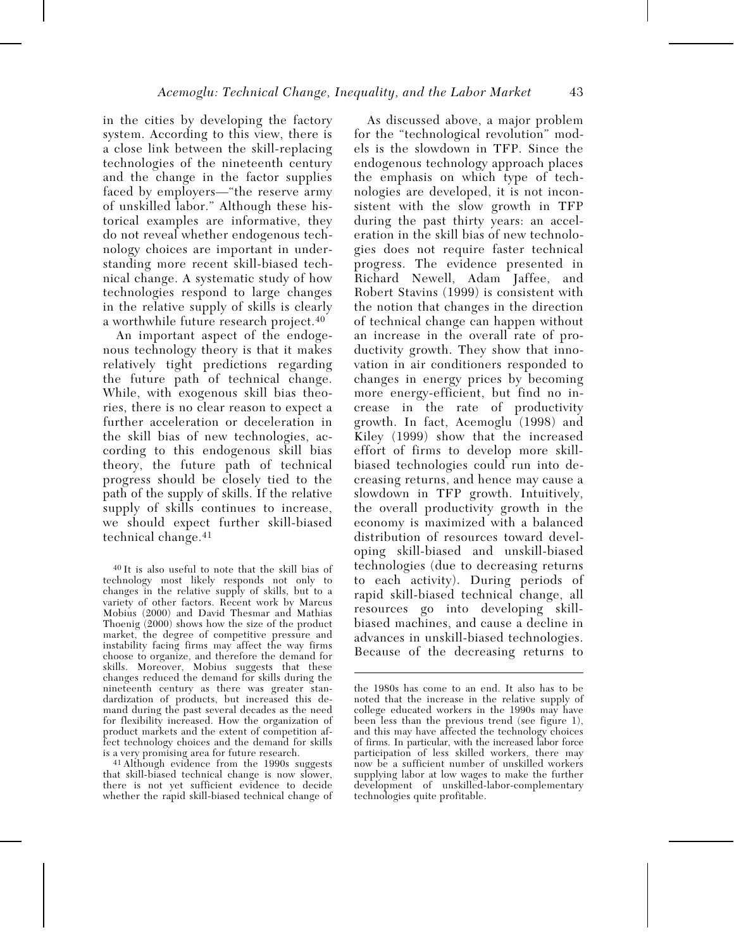in the cities by developing the factory system. According to this view, there is a close link between the skill-replacing technologies of the nineteenth century and the change in the factor supplies faced by employers—"the reserve army of unskilled labor." Although these historical examples are informative, they do not reveal whether endogenous technology choices are important in understanding more recent skill-biased technical change. A systematic study of how technologies respond to large changes in the relative supply of skills is clearly a worthwhile future research project.40

An important aspect of the endogenous technology theory is that it makes relatively tight predictions regarding the future path of technical change. While, with exogenous skill bias theories, there is no clear reason to expect a further acceleration or deceleration in the skill bias of new technologies, according to this endogenous skill bias theory, the future path of technical progress should be closely tied to the path of the supply of skills. If the relative supply of skills continues to increase, we should expect further skill-biased technical change.41

40 It is also useful to note that the skill bias of technology most likely responds not only to changes in the relative supply of skills, but to a variety of other factors. Recent work by Marcus Mobius (2000) and David Thesmar and Mathias Thoenig (2000) shows how the size of the product market, the degree of competitive pressure and instability facing firms may affect the way firms choose to organize, and therefore the demand for skills. Moreover, Mobius suggests that these changes reduced the demand for skills during the nineteenth century as there was greater standardization of products, but increased this demand during the past several decades as the need for flexibility increased. How the organization of product markets and the extent of competition affect technology choices and the demand for skills is a very promising area for future research.

41 Although evidence from the 1990s suggests that skill-biased technical change is now slower, there is not yet sufficient evidence to decide whether the rapid skill-biased technical change of

As discussed above, a major problem for the "technological revolution" models is the slowdown in TFP. Since the endogenous technology approach places the emphasis on which type of technologies are developed, it is not inconsistent with the slow growth in TFP during the past thirty years: an acceleration in the skill bias of new technologies does not require faster technical progress. The evidence presented in Richard Newell, Adam Jaffee, and Robert Stavins (1999) is consistent with the notion that changes in the direction of technical change can happen without an increase in the overall rate of productivity growth. They show that innovation in air conditioners responded to changes in energy prices by becoming more energy-efficient, but find no increase in the rate of productivity growth. In fact, Acemoglu (1998) and Kiley (1999) show that the increased effort of firms to develop more skillbiased technologies could run into decreasing returns, and hence may cause a slowdown in TFP growth. Intuitively, the overall productivity growth in the economy is maximized with a balanced distribution of resources toward developing skill-biased and unskill-biased technologies (due to decreasing returns to each activity). During periods of rapid skill-biased technical change, all resources go into developing skillbiased machines, and cause a decline in advances in unskill-biased technologies. Because of the decreasing returns to

the 1980s has come to an end. It also has to be noted that the increase in the relative supply of college educated workers in the 1990s may have been less than the previous trend (see figure 1), and this may have affected the technology choices of firms. In particular, with the increased labor force participation of less skilled workers, there may now be a sufficient number of unskilled workers supplying labor at low wages to make the further development of unskilled-labor-complementary technologies quite profitable.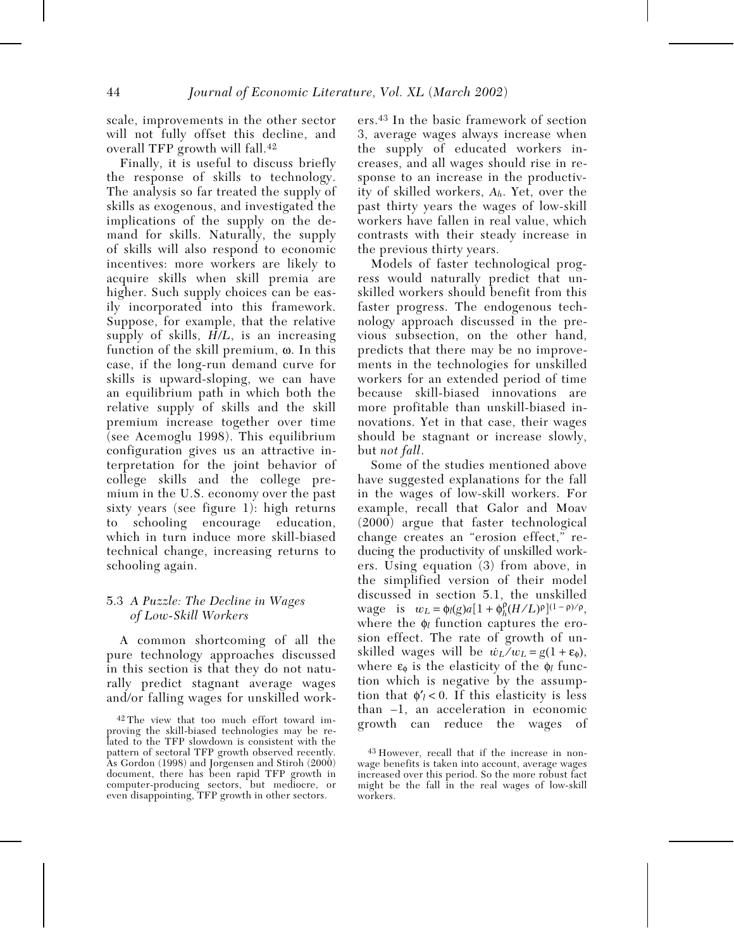scale, improvements in the other sector will not fully offset this decline, and overall TFP growth will fall.42

Finally, it is useful to discuss briefly the response of skills to technology. The analysis so far treated the supply of skills as exogenous, and investigated the implications of the supply on the demand for skills. Naturally, the supply of skills will also respond to economic incentives: more workers are likely to acquire skills when skill premia are higher. Such supply choices can be easily incorporated into this framework. Suppose, for example, that the relative supply of skills, *H/L*, is an increasing function of the skill premium, ω. In this case, if the long-run demand curve for skills is upward-sloping, we can have an equilibrium path in which both the relative supply of skills and the skill premium increase together over time (see Acemoglu 1998). This equilibrium configuration gives us an attractive interpretation for the joint behavior of college skills and the college premium in the U.S. economy over the past sixty years (see figure 1): high returns to schooling encourage education, which in turn induce more skill-biased technical change, increasing returns to schooling again.

#### 5.3 *A Puzzle: The Decline in Wages of Low-Skill Workers*

A common shortcoming of all the pure technology approaches discussed in this section is that they do not naturally predict stagnant average wages and/or falling wages for unskilled workers.43 In the basic framework of section 3, average wages always increase when the supply of educated workers increases, and all wages should rise in response to an increase in the productivity of skilled workers, *Ah*. Yet, over the past thirty years the wages of low-skill workers have fallen in real value, which contrasts with their steady increase in the previous thirty years.

Models of faster technological progress would naturally predict that unskilled workers should benefit from this faster progress. The endogenous technology approach discussed in the previous subsection, on the other hand, predicts that there may be no improvements in the technologies for unskilled workers for an extended period of time because skill-biased innovations are more profitable than unskill-biased innovations. Yet in that case, their wages should be stagnant or increase slowly, but *not fall*.

Some of the studies mentioned above have suggested explanations for the fall in the wages of low-skill workers. For example, recall that Galor and Moav (2000) argue that faster technological change creates an "erosion effect," reducing the productivity of unskilled workers. Using equation (3) from above, in the simplified version of their model discussed in section 5.1, the unskilled wage is  $w_L = \phi_l(g)a[1 + \phi_h^{\rho}(H/L)^{\rho}]^{(1 - \rho)/\rho}$ , where the φ*<sup>l</sup>* function captures the erosion effect. The rate of growth of unskilled wages will be  $\omega_L / \omega_L = g(1 + \varepsilon_\phi)$ , where εφ is the elasticity of the φ*<sup>l</sup>* function which is negative by the assumption that  $\phi'$ *l* < 0. If this elasticity is less than –1, an acceleration in economic  $42$  The view that too much effort toward im-<br>growth can reduce the wages of

proving the skill-biased technologies may be related to the TFP slowdown is consistent with the pattern of sectoral TFP growth observed recently. As Gordon (1998) and Jorgensen and Stiroh (2000) document, there has been rapid TFP growth in computer-producing sectors, but mediocre, or even disappointing, TFP growth in other sectors.

<sup>43</sup> However, recall that if the increase in nonwage benefits is taken into account, average wages increased over this period. So the more robust fact might be the fall in the real wages of low-skill workers.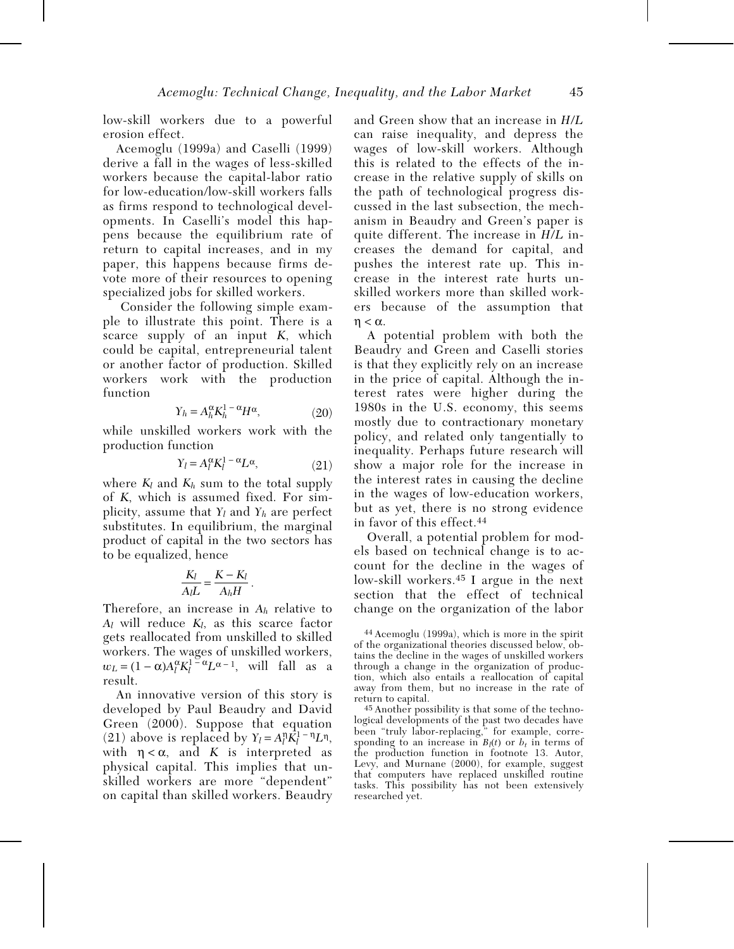low-skill workers due to a powerful erosion effect.

Acemoglu (1999a) and Caselli (1999) derive a fall in the wages of less-skilled workers because the capital-labor ratio for low-education/low-skill workers falls as firms respond to technological developments. In Caselli's model this happens because the equilibrium rate of return to capital increases, and in my paper, this happens because firms devote more of their resources to opening specialized jobs for skilled workers.

Consider the following simple example to illustrate this point. There is a scarce supply of an input *K*, which could be capital, entrepreneurial talent or another factor of production. Skilled workers work with the production function

$$
Y_h = A_h^{\alpha} K_h^{1 - \alpha} H^{\alpha},\tag{20}
$$

while unskilled workers work with the production function

$$
Y_l = A_l^{\alpha} K_l^{1-\alpha} L^{\alpha},\tag{21}
$$

where  $K_l$  and  $K_h$  sum to the total supply of *K*, which is assumed fixed. For simplicity, assume that *Yl* and *Yh* are perfect substitutes. In equilibrium, the marginal product of capital in the two sectors has to be equalized, hence

$$
\frac{K_l}{A_l L} = \frac{K - K_l}{A_h H}.
$$

Therefore, an increase in *Ah* relative to *Al* will reduce *Kl*, as this scarce factor gets reallocated from unskilled to skilled workers. The wages of unskilled workers,  $w_L = (1 - \alpha) A_l^{\alpha} K_l^{1 - \alpha} L^{\alpha - 1}$ , will fall as a result.

An innovative version of this story is developed by Paul Beaudry and David Green (2000). Suppose that equation (21) above is replaced by  $Y_l = A_l^n \overrightarrow{K}_l^{1-n} L^n$ , with  $\eta < \alpha$ , and *K* is interpreted as physical capital. This implies that unskilled workers are more "dependent" on capital than skilled workers. Beaudry and Green show that an increase in *H/L* can raise inequality, and depress the wages of low-skill workers. Although this is related to the effects of the increase in the relative supply of skills on the path of technological progress discussed in the last subsection, the mechanism in Beaudry and Green's paper is quite different. The increase in *H/L* increases the demand for capital, and pushes the interest rate up. This increase in the interest rate hurts unskilled workers more than skilled workers because of the assumption that  $\eta < \alpha$ .

A potential problem with both the Beaudry and Green and Caselli stories is that they explicitly rely on an increase in the price of capital. Although the interest rates were higher during the 1980s in the U.S. economy, this seems mostly due to contractionary monetary policy, and related only tangentially to inequality. Perhaps future research will show a major role for the increase in the interest rates in causing the decline in the wages of low-education workers, but as yet, there is no strong evidence in favor of this effect.44

Overall, a potential problem for models based on technical change is to account for the decline in the wages of low-skill workers.45 I argue in the next section that the effect of technical change on the organization of the labor

45 Another possibility is that some of the technological developments of the past two decades have been "truly labor-replacing," for example, corresponding to an increase in  $B_l(t)$  or  $b_t$  in terms of the production function in footnote 13. Autor, Levy, and Murnane (2000), for example, suggest that computers have replaced unskilled routine tasks. This possibility has not been extensively researched yet.

<sup>44</sup> Acemoglu (1999a), which is more in the spirit of the organizational theories discussed below, obtains the decline in the wages of unskilled workers through a change in the organization of production, which also entails a reallocation of capital away from them, but no increase in the rate of return to capital.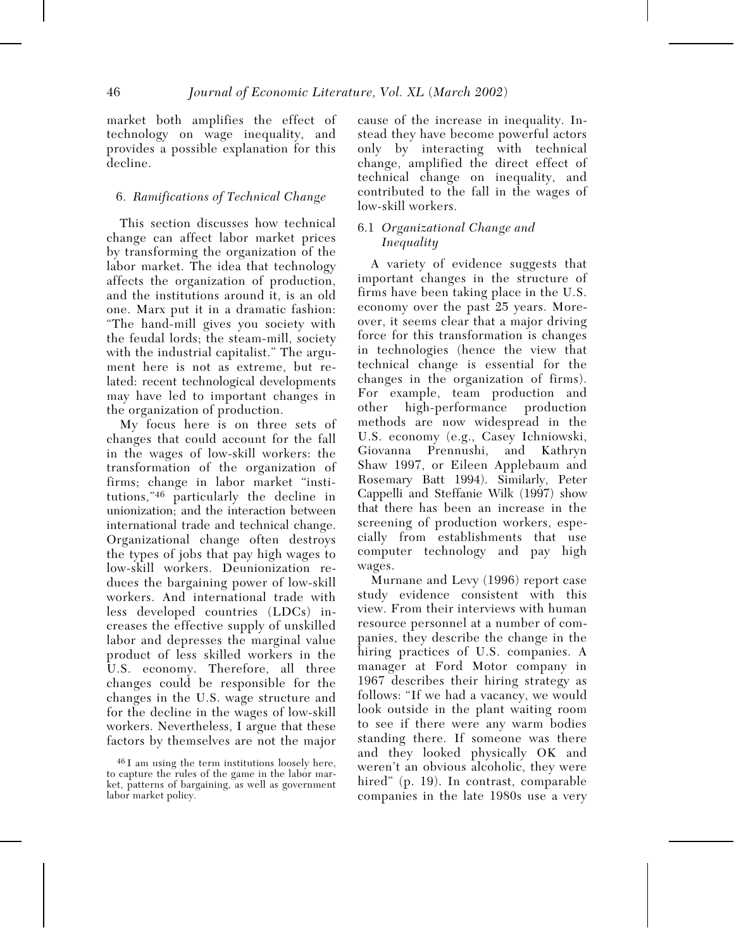market both amplifies the effect of technology on wage inequality, and provides a possible explanation for this decline.

## 6. *Ramifications of Technical Change*

This section discusses how technical change can affect labor market prices by transforming the organization of the labor market. The idea that technology affects the organization of production, and the institutions around it, is an old one. Marx put it in a dramatic fashion: "The hand-mill gives you society with the feudal lords; the steam-mill, society with the industrial capitalist." The argument here is not as extreme, but related: recent technological developments may have led to important changes in the organization of production.

My focus here is on three sets of changes that could account for the fall in the wages of low-skill workers: the transformation of the organization of firms; change in labor market "institutions,"46 particularly the decline in unionization; and the interaction between international trade and technical change. Organizational change often destroys the types of jobs that pay high wages to low-skill workers. Deunionization reduces the bargaining power of low-skill workers. And international trade with less developed countries (LDCs) increases the effective supply of unskilled labor and depresses the marginal value product of less skilled workers in the U.S. economy. Therefore, all three changes could be responsible for the changes in the U.S. wage structure and for the decline in the wages of low-skill workers. Nevertheless, I argue that these factors by themselves are not the major

cause of the increase in inequality. Instead they have become powerful actors only by interacting with technical change, amplified the direct effect of technical change on inequality, and contributed to the fall in the wages of low-skill workers.

## 6.1 *Organizational Change and Inequality*

A variety of evidence suggests that important changes in the structure of firms have been taking place in the U.S. economy over the past 25 years. Moreover, it seems clear that a major driving force for this transformation is changes in technologies (hence the view that technical change is essential for the changes in the organization of firms). For example, team production and other high-performance production methods are now widespread in the U.S. economy (e.g., Casey Ichniowski, Giovanna Prennushi, and Kathryn Shaw 1997, or Eileen Applebaum and Rosemary Batt 1994). Similarly, Peter Cappelli and Steffanie Wilk (1997) show that there has been an increase in the screening of production workers, especially from establishments that use computer technology and pay high wages.

Murnane and Levy (1996) report case study evidence consistent with this view. From their interviews with human resource personnel at a number of companies, they describe the change in the hiring practices of U.S. companies. A manager at Ford Motor company in 1967 describes their hiring strategy as follows: "If we had a vacancy, we would look outside in the plant waiting room to see if there were any warm bodies standing there. If someone was there and they looked physically OK and weren't an obvious alcoholic, they were hired" (p. 19). In contrast, comparable companies in the late 1980s use a very

<sup>46</sup> I am using the term institutions loosely here, to capture the rules of the game in the labor market, patterns of bargaining, as well as government labor market policy.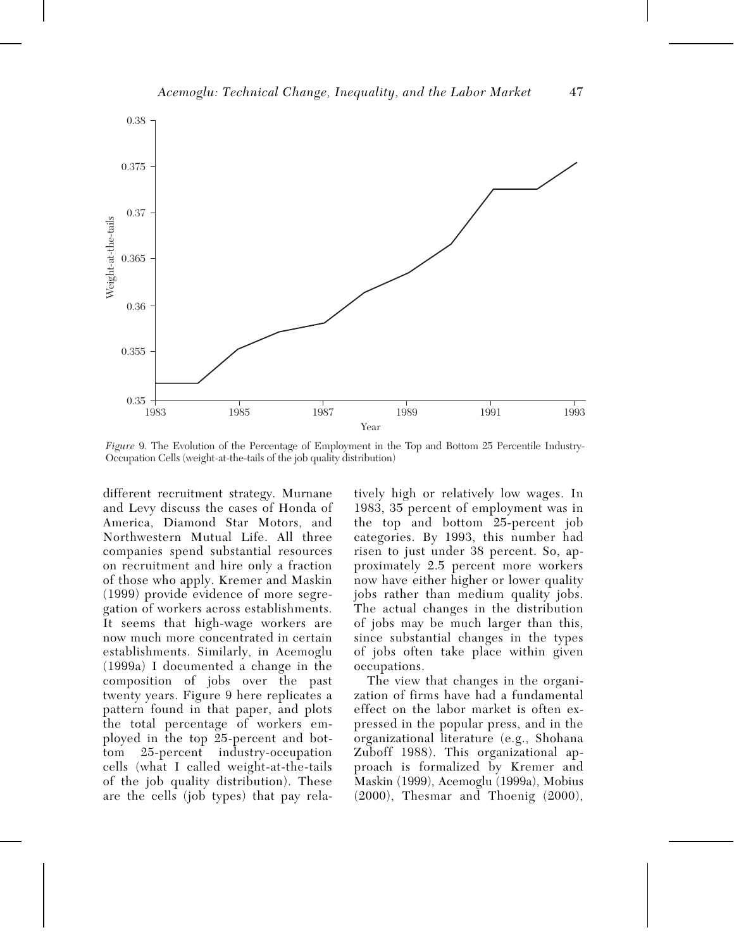

*Figure* 9. The Evolution of the Percentage of Employment in the Top and Bottom 25 Percentile Industry-Occupation Cells (weight-at-the-tails of the job quality distribution)

different recruitment strategy. Murnane and Levy discuss the cases of Honda of America, Diamond Star Motors, and Northwestern Mutual Life. All three companies spend substantial resources on recruitment and hire only a fraction of those who apply. Kremer and Maskin (1999) provide evidence of more segregation of workers across establishments. It seems that high-wage workers are now much more concentrated in certain establishments. Similarly, in Acemoglu (1999a) I documented a change in the composition of jobs over the past twenty years. Figure 9 here replicates a pattern found in that paper, and plots the total percentage of workers employed in the top 25-percent and bottom 25-percent industry-occupation cells (what I called weight-at-the-tails of the job quality distribution). These are the cells (job types) that pay relatively high or relatively low wages. In 1983, 35 percent of employment was in the top and bottom 25-percent job categories. By 1993, this number had risen to just under 38 percent. So, approximately 2.5 percent more workers now have either higher or lower quality jobs rather than medium quality jobs. The actual changes in the distribution of jobs may be much larger than this, since substantial changes in the types of jobs often take place within given occupations.

The view that changes in the organization of firms have had a fundamental effect on the labor market is often expressed in the popular press, and in the organizational literature (e.g., Shohana Zuboff 1988). This organizational approach is formalized by Kremer and Maskin (1999), Acemoglu (1999a), Mobius (2000), Thesmar and Thoenig (2000),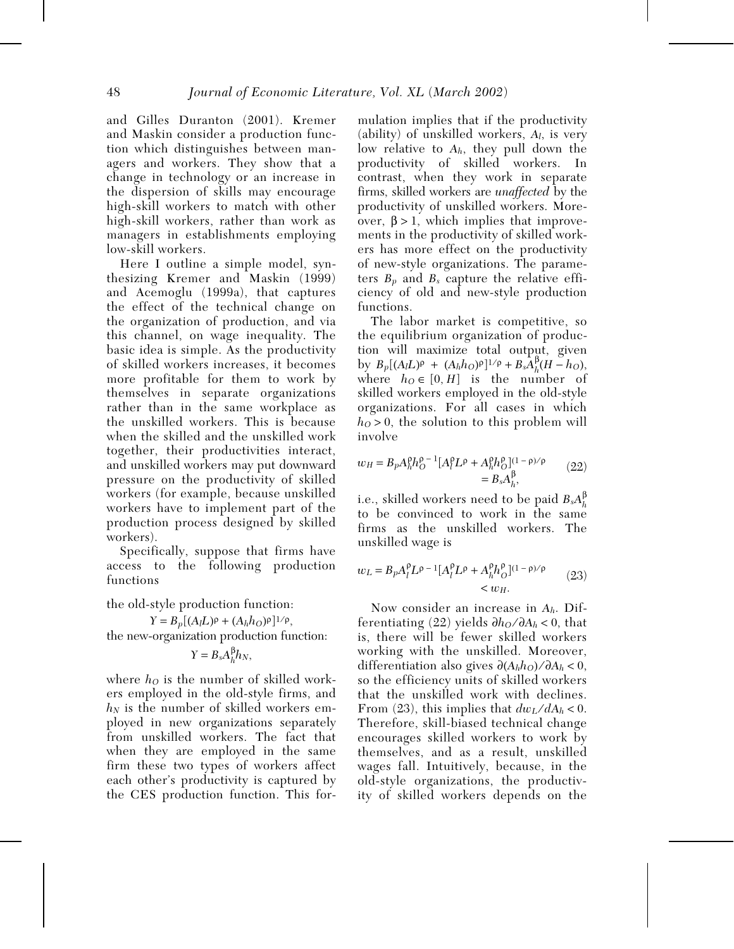and Gilles Duranton (2001). Kremer and Maskin consider a production function which distinguishes between managers and workers. They show that a change in technology or an increase in the dispersion of skills may encourage high-skill workers to match with other high-skill workers, rather than work as managers in establishments employing low-skill workers.

Here I outline a simple model, synthesizing Kremer and Maskin (1999) and Acemoglu (1999a), that captures the effect of the technical change on the organization of production, and via this channel, on wage inequality. The basic idea is simple. As the productivity of skilled workers increases, it becomes more profitable for them to work by themselves in separate organizations rather than in the same workplace as the unskilled workers. This is because when the skilled and the unskilled work together, their productivities interact, and unskilled workers may put downward pressure on the productivity of skilled workers (for example, because unskilled workers have to implement part of the production process designed by skilled workers).

Specifically, suppose that firms have access to the following production functions

the old-style production function:

$$
Y = B_p[(A_lL)^p + (A_hh_O)^p]^{1/p},
$$
 the new-organization production function:

$$
Y=B_sA_h^{\beta}h_N,
$$

where  $h<sub>O</sub>$  is the number of skilled workers employed in the old-style firms, and  $h_N$  is the number of skilled workers employed in new organizations separately from unskilled workers. The fact that when they are employed in the same firm these two types of workers affect each other's productivity is captured by the CES production function. This formulation implies that if the productivity (ability) of unskilled workers, *Al*, is very low relative to *Ah*, they pull down the productivity of skilled workers. In contrast, when they work in separate firms, skilled workers are *unaffected* by the productivity of unskilled workers. Moreover,  $β > 1$ , which implies that improvements in the productivity of skilled workers has more effect on the productivity of new-style organizations. The parameters  $B_p$  and  $B_s$  capture the relative efficiency of old and new-style production functions.

The labor market is competitive, so the equilibrium organization of production will maximize total output, given by  $B_p[(A_lL)^p + (A_hh_O)^p]^{1/p} + B_sA_h^{\beta}(H - h_O)$ , where  $h_0 \in [0, H]$  is the number of skilled workers employed in the old-style organizations. For all cases in which  $h<sub>O</sub> > 0$ , the solution to this problem will involve

$$
w_H = B_p A_h^{\rho} h_O^{\rho - 1} [A_f^{\rho} L^{\rho} + A_h^{\rho} h_O^{\rho}]^{(1 - \rho)/\rho}
$$
  
=  $B_s A_h^{\beta}$ , (22)

i.e., skilled workers need to be paid *BsAh* β to be convinced to work in the same firms as the unskilled workers. The unskilled wage is

$$
w_L = B_p A_l^{\rho} L^{\rho - 1} [A_l^{\rho} L^{\rho} + A_h^{\rho} h_O^{\rho}]^{(1 - \rho)/\rho}
$$
  
<  $w_H$ . (23)

Now consider an increase in *Ah*. Differentiating (22) yields ∂*hO* ⁄ ∂*Ah* < 0, that is, there will be fewer skilled workers working with the unskilled. Moreover, differentiation also gives ∂(*AhhO*)⁄∂*Ah* < 0, so the efficiency units of skilled workers that the unskilled work with declines. From  $(23)$ , this implies that  $dw_L / dA_h < 0$ . Therefore, skill-biased technical change encourages skilled workers to work by themselves, and as a result, unskilled wages fall. Intuitively, because, in the old-style organizations, the productivity of skilled workers depends on the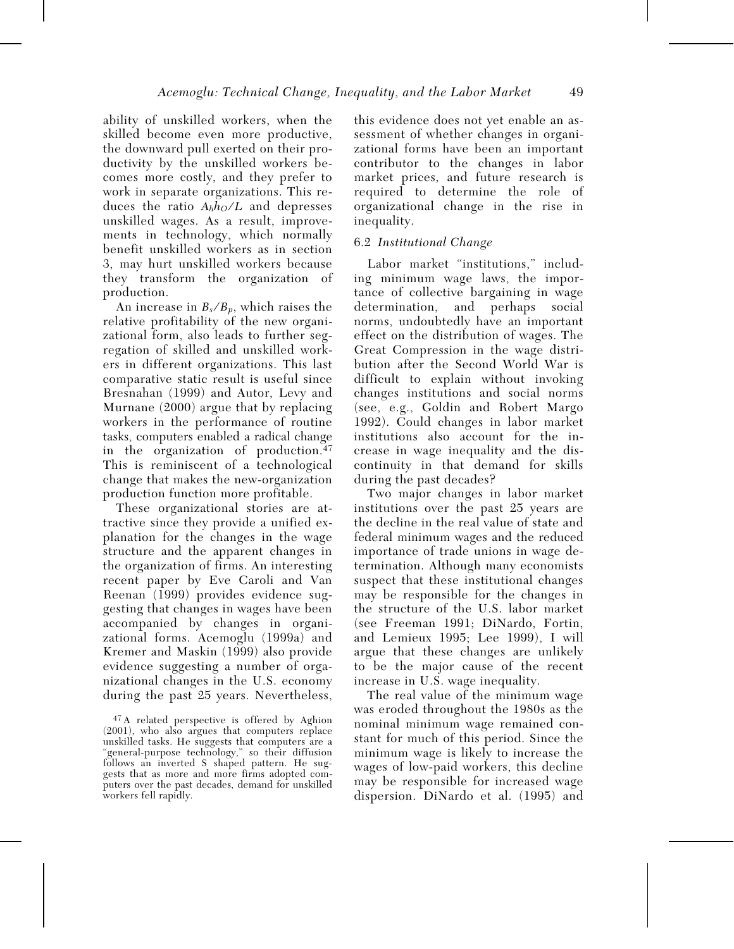ability of unskilled workers, when the skilled become even more productive, the downward pull exerted on their productivity by the unskilled workers becomes more costly, and they prefer to work in separate organizations. This reduces the ratio  $A_h h_O/L$  and depresses unskilled wages. As a result, improvements in technology, which normally benefit unskilled workers as in section 3, may hurt unskilled workers because they transform the organization of production.

An increase in  $B_s/B_p$ , which raises the relative profitability of the new organizational form, also leads to further segregation of skilled and unskilled workers in different organizations. This last comparative static result is useful since Bresnahan (1999) and Autor, Levy and Murnane (2000) argue that by replacing workers in the performance of routine tasks, computers enabled a radical change in the organization of production.47 This is reminiscent of a technological change that makes the new-organization production function more profitable.

These organizational stories are attractive since they provide a unified explanation for the changes in the wage structure and the apparent changes in the organization of firms. An interesting recent paper by Eve Caroli and Van Reenan (1999) provides evidence suggesting that changes in wages have been accompanied by changes in organizational forms. Acemoglu (1999a) and Kremer and Maskin (1999) also provide evidence suggesting a number of organizational changes in the U.S. economy during the past 25 years. Nevertheless,

47 A related perspective is offered by Aghion (2001), who also argues that computers replace unskilled tasks. He suggests that computers are a "general-purpose technology," so their diffusion follows an inverted S shaped pattern. He suggests that as more and more firms adopted computers over the past decades, demand for unskilled workers fell rapidly.

this evidence does not yet enable an assessment of whether changes in organizational forms have been an important contributor to the changes in labor market prices, and future research is required to determine the role of organizational change in the rise in inequality.

## 6.2 *Institutional Change*

Labor market "institutions," including minimum wage laws, the importance of collective bargaining in wage determination, and perhaps social norms, undoubtedly have an important effect on the distribution of wages. The Great Compression in the wage distribution after the Second World War is difficult to explain without invoking changes institutions and social norms (see, e.g., Goldin and Robert Margo 1992). Could changes in labor market institutions also account for the increase in wage inequality and the discontinuity in that demand for skills during the past decades?

Two major changes in labor market institutions over the past 25 years are the decline in the real value of state and federal minimum wages and the reduced importance of trade unions in wage determination. Although many economists suspect that these institutional changes may be responsible for the changes in the structure of the U.S. labor market (see Freeman 1991; DiNardo, Fortin, and Lemieux 1995; Lee 1999), I will argue that these changes are unlikely to be the major cause of the recent increase in U.S. wage inequality.

The real value of the minimum wage was eroded throughout the 1980s as the nominal minimum wage remained constant for much of this period. Since the minimum wage is likely to increase the wages of low-paid workers, this decline may be responsible for increased wage dispersion. DiNardo et al. (1995) and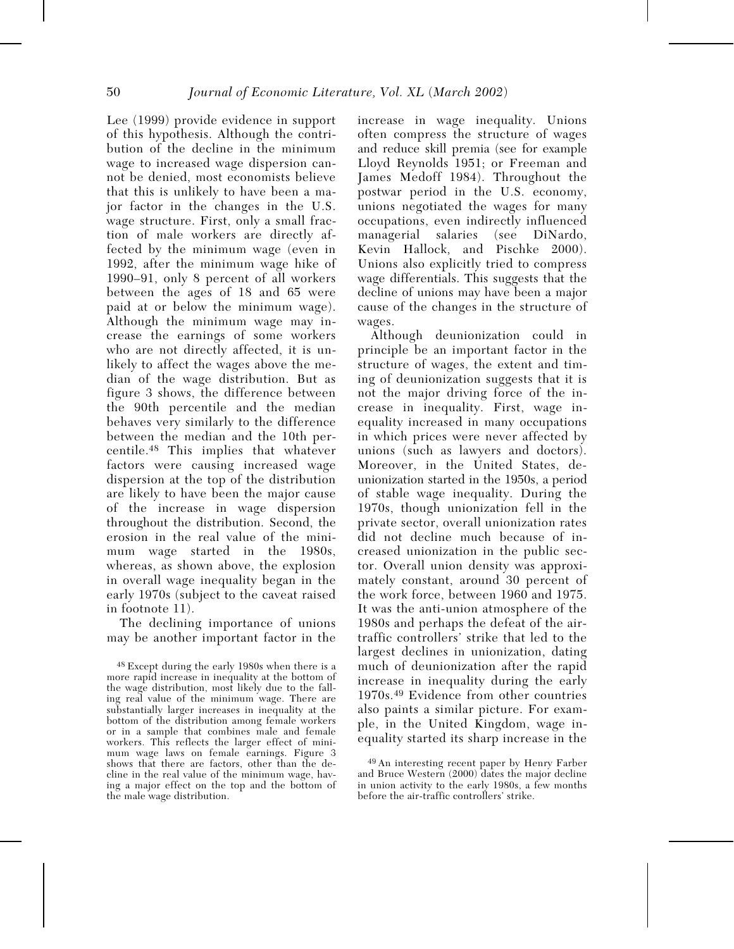Lee (1999) provide evidence in support of this hypothesis. Although the contribution of the decline in the minimum wage to increased wage dispersion cannot be denied, most economists believe that this is unlikely to have been a major factor in the changes in the U.S. wage structure. First, only a small fraction of male workers are directly affected by the minimum wage (even in 1992, after the minimum wage hike of 1990–91, only 8 percent of all workers between the ages of 18 and 65 were paid at or below the minimum wage). Although the minimum wage may increase the earnings of some workers who are not directly affected, it is unlikely to affect the wages above the median of the wage distribution. But as figure 3 shows, the difference between the 90th percentile and the median behaves very similarly to the difference between the median and the 10th percentile.48 This implies that whatever factors were causing increased wage dispersion at the top of the distribution are likely to have been the major cause of the increase in wage dispersion throughout the distribution. Second, the erosion in the real value of the minimum wage started in the 1980s, whereas, as shown above, the explosion in overall wage inequality began in the early 1970s (subject to the caveat raised in footnote 11).

The declining importance of unions may be another important factor in the increase in wage inequality. Unions often compress the structure of wages and reduce skill premia (see for example Lloyd Reynolds 1951; or Freeman and James Medoff 1984). Throughout the postwar period in the U.S. economy, unions negotiated the wages for many occupations, even indirectly influenced managerial salaries (see DiNardo, Kevin Hallock, and Pischke 2000). Unions also explicitly tried to compress wage differentials. This suggests that the decline of unions may have been a major cause of the changes in the structure of wages.

Although deunionization could in principle be an important factor in the structure of wages, the extent and timing of deunionization suggests that it is not the major driving force of the increase in inequality. First, wage inequality increased in many occupations in which prices were never affected by unions (such as lawyers and doctors). Moreover, in the United States, deunionization started in the 1950s, a period of stable wage inequality. During the 1970s, though unionization fell in the private sector, overall unionization rates did not decline much because of increased unionization in the public sector. Overall union density was approximately constant, around 30 percent of the work force, between 1960 and 1975. It was the anti-union atmosphere of the 1980s and perhaps the defeat of the airtraffic controllers' strike that led to the largest declines in unionization, dating much of deunionization after the rapid increase in inequality during the early 1970s.49 Evidence from other countries also paints a similar picture. For example, in the United Kingdom, wage inequality started its sharp increase in the

<sup>48</sup> Except during the early 1980s when there is a more rapid increase in inequality at the bottom of the wage distribution, most likely due to the falling real value of the minimum wage. There are substantially larger increases in inequality at the bottom of the distribution among female workers or in a sample that combines male and female workers. This reflects the larger effect of minimum wage laws on female earnings. Figure 3 shows that there are factors, other than the decline in the real value of the minimum wage, having a major effect on the top and the bottom of the male wage distribution.

<sup>49</sup> An interesting recent paper by Henry Farber and Bruce Western (2000) dates the major decline in union activity to the early 1980s, a few months before the air-traffic controllers' strike.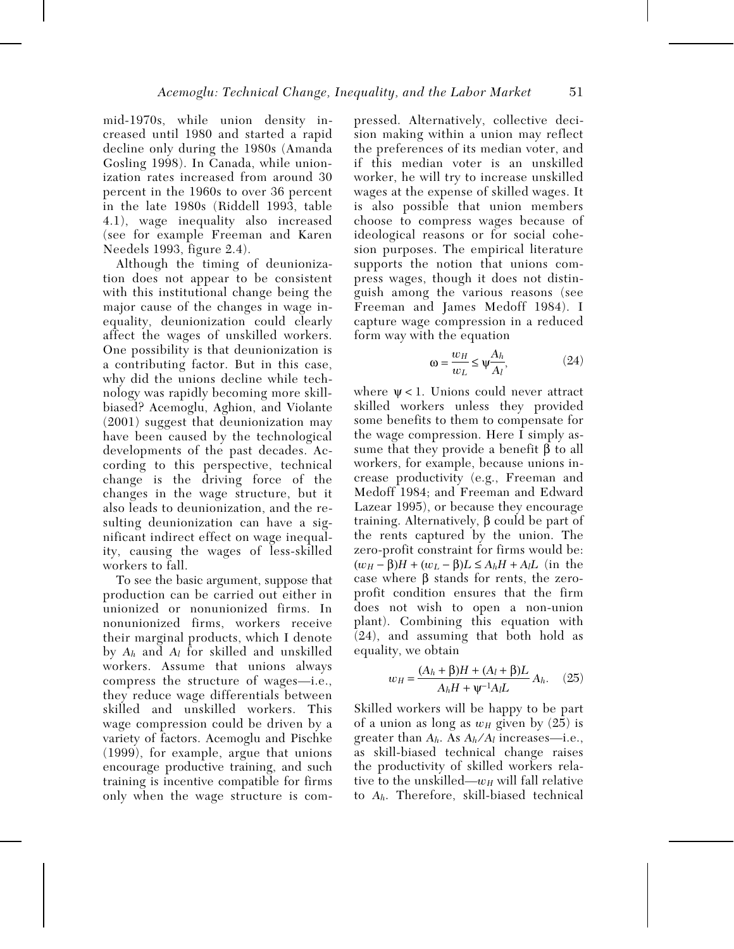mid-1970s, while union density increased until 1980 and started a rapid decline only during the 1980s (Amanda Gosling 1998). In Canada, while unionization rates increased from around 30 percent in the 1960s to over 36 percent in the late 1980s (Riddell 1993, table 4.1), wage inequality also increased (see for example Freeman and Karen Needels 1993, figure 2.4).

Although the timing of deunionization does not appear to be consistent with this institutional change being the major cause of the changes in wage inequality, deunionization could clearly affect the wages of unskilled workers. One possibility is that deunionization is a contributing factor. But in this case, why did the unions decline while technology was rapidly becoming more skillbiased? Acemoglu, Aghion, and Violante (2001) suggest that deunionization may have been caused by the technological developments of the past decades. According to this perspective, technical change is the driving force of the changes in the wage structure, but it also leads to deunionization, and the resulting deunionization can have a significant indirect effect on wage inequality, causing the wages of less-skilled workers to fall.

To see the basic argument, suppose that production can be carried out either in unionized or nonunionized firms. In nonunionized firms, workers receive their marginal products, which I denote by *Ah* and *Al* for skilled and unskilled workers. Assume that unions always compress the structure of wages—i.e., they reduce wage differentials between skilled and unskilled workers. This wage compression could be driven by a variety of factors. Acemoglu and Pischke (1999), for example, argue that unions encourage productive training, and such training is incentive compatible for firms only when the wage structure is compressed. Alternatively, collective decision making within a union may reflect the preferences of its median voter, and if this median voter is an unskilled worker, he will try to increase unskilled wages at the expense of skilled wages. It is also possible that union members choose to compress wages because of ideological reasons or for social cohesion purposes. The empirical literature supports the notion that unions compress wages, though it does not distinguish among the various reasons (see Freeman and James Medoff 1984). I capture wage compression in a reduced form way with the equation

$$
\omega = \frac{w_H}{w_L} \le \psi \frac{A_h}{A_l},\tag{24}
$$

where  $\psi$  < 1. Unions could never attract skilled workers unless they provided some benefits to them to compensate for the wage compression. Here I simply assume that they provide a benefit  $\beta$  to all workers, for example, because unions increase productivity (e.g., Freeman and Medoff 1984; and Freeman and Edward Lazear 1995), or because they encourage training. Alternatively, β could be part of the rents captured by the union. The zero-profit constraint for firms would be:  $(w_H - \beta)H + (w_L - \beta)L \leq A_hH + A_lL$  (in the case where β stands for rents, the zeroprofit condition ensures that the firm does not wish to open a non-union plant). Combining this equation with (24), and assuming that both hold as equality, we obtain

$$
w_H = \frac{(A_h + \beta)H + (A_l + \beta)L}{A_hH + \psi^{-1}A_lL}A_h.
$$
 (25)

Skilled workers will be happy to be part of a union as long as  $w_H$  given by  $(25)$  is greater than  $A_h$ . As  $A_h/A_l$  increases—i.e., as skill-biased technical change raises the productivity of skilled workers relative to the unskilled—*w<sub>H</sub>* will fall relative to *Ah*. Therefore, skill-biased technical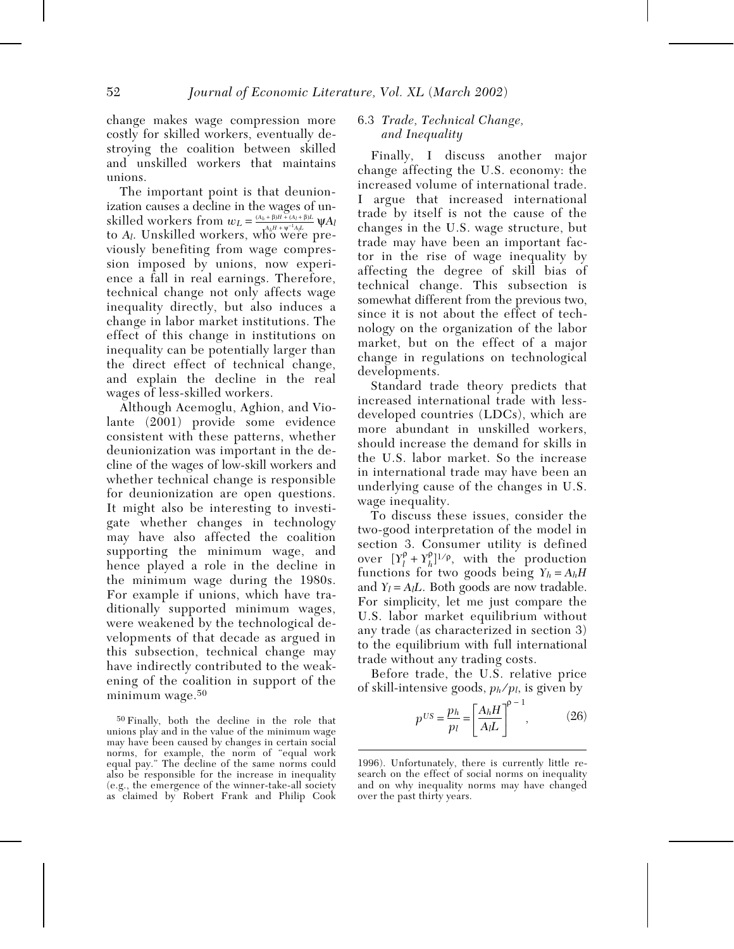change makes wage compression more costly for skilled workers, eventually destroying the coalition between skilled and unskilled workers that maintains unions.

The important point is that deunionization causes a decline in the wages of un $s$ killed workers from  $w_L = \frac{(A_h + \beta)H + (A_l + \beta)L}{1^{A_h H + \psi^{-1} A_l L}} \Psi A_l$ *AhH* + ψ<sup>−1</sup>*A<sub>l</sub>*. Ψ<sup>1</sup>*A<sub>l</sub>* τοπιάΣ viously benefiting from wage compression imposed by unions, now experience a fall in real earnings. Therefore, technical change not only affects wage inequality directly, but also induces a change in labor market institutions. The effect of this change in institutions on inequality can be potentially larger than the direct effect of technical change, and explain the decline in the real wages of less-skilled workers.

Although Acemoglu, Aghion, and Violante (2001) provide some evidence consistent with these patterns, whether deunionization was important in the decline of the wages of low-skill workers and whether technical change is responsible for deunionization are open questions. It might also be interesting to investigate whether changes in technology may have also affected the coalition supporting the minimum wage, and hence played a role in the decline in the minimum wage during the 1980s. For example if unions, which have traditionally supported minimum wages, were weakened by the technological developments of that decade as argued in this subsection, technical change may have indirectly contributed to the weakening of the coalition in support of the minimum wage.50

 $50$  Finally, both the decline in the role that unions play and in the value of the minimum wage may have been caused by changes in certain social norms, for example, the norm of "equal work equal pay." The decline of the same norms could also be responsible for the increase in inequality (e.g., the emergence of the winner-take-all society as claimed by Robert Frank and Philip Cook

#### 6.3 *Trade, Technical Change, and Inequality*

Finally, I discuss another major change affecting the U.S. economy: the increased volume of international trade. I argue that increased international trade by itself is not the cause of the changes in the U.S. wage structure, but trade may have been an important factor in the rise of wage inequality by affecting the degree of skill bias of technical change. This subsection is somewhat different from the previous two, since it is not about the effect of technology on the organization of the labor market, but on the effect of a major change in regulations on technological developments.

Standard trade theory predicts that increased international trade with lessdeveloped countries (LDCs), which are more abundant in unskilled workers, should increase the demand for skills in the U.S. labor market. So the increase in international trade may have been an underlying cause of the changes in U.S. wage inequality.

To discuss these issues, consider the two-good interpretation of the model in section 3. Consumer utility is defined over  $[Y_l^{\rho} + Y_h^{\rho}]^{1/\rho}$ , with the production functions for two goods being  $Y_h = A_h H$ and  $Y_l = A_l L$ . Both goods are now tradable. For simplicity, let me just compare the U.S. labor market equilibrium without any trade (as characterized in section 3) to the equilibrium with full international trade without any trading costs.

Before trade, the U.S. relative price of skill-intensive goods, *ph* ⁄ *pl*, is given by

$$
p^{US} = \frac{p_h}{p_l} = \left[\frac{A_h H}{A_l L}\right]^{p-1},\tag{26}
$$

<sup>1996).</sup> Unfortunately, there is currently little research on the effect of social norms on inequality and on why inequality norms may have changed over the past thirty years.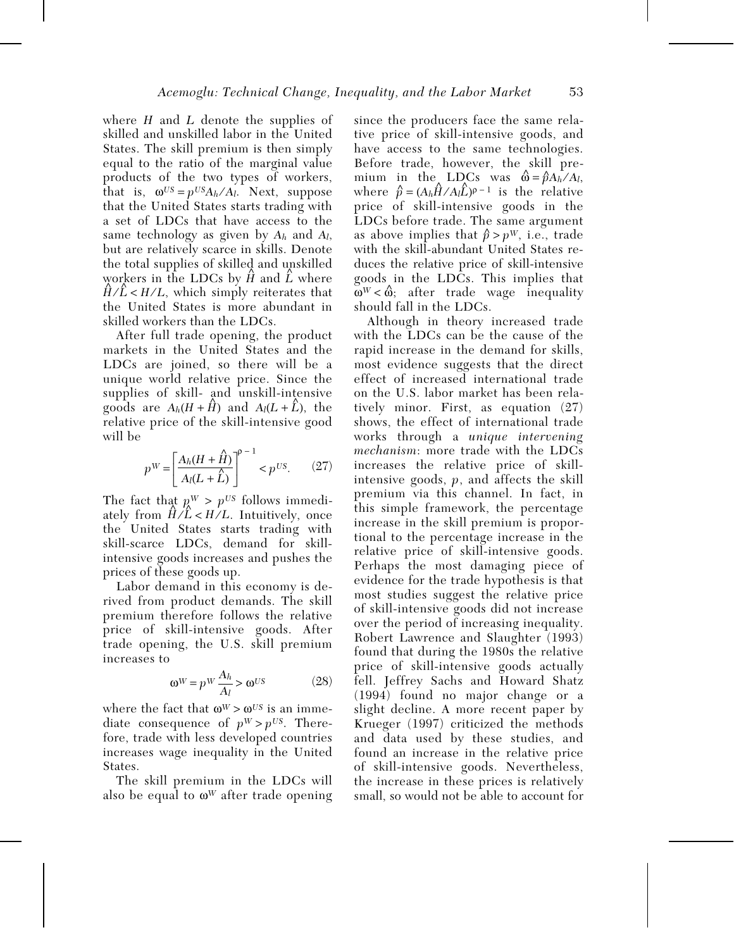where *H* and *L* denote the supplies of skilled and unskilled labor in the United States. The skill premium is then simply equal to the ratio of the marginal value products of the two types of workers, that is,  $\omega^{US} = p^{US} A_h / A_l$ . Next, suppose that the United States starts trading with a set of LDCs that have access to the same technology as given by *Ah* and *Al*, but are relatively scarce in skills. Denote the total supplies of skilled and unskilled workers in the LDCs by  $\hat{H}$  and  $\hat{L}$  where  $\hat{H}/\hat{L}$  <  $H/L$ , which simply reiterates that the United States is more abundant in skilled workers than the LDCs.

After full trade opening, the product markets in the United States and the LDCs are joined, so there will be a unique world relative price. Since the supplies of skill- and unskill-intensive goods are  $A_h(H + \hat{H})$  and  $A_l(L + \hat{L})$ , the relative price of the skill-intensive good will be

$$
p^{W} = \left[\frac{A_h(H+\hat{H})}{A_l(L+\hat{L})}\right]^{\rho-1} < p^{US}.\tag{27}
$$

The fact that  $p^W > p^{US}$  follows immediately from  $\hat{H}/\hat{L} < H/L$ . Intuitively, once the United States starts trading with skill-scarce LDCs, demand for skillintensive goods increases and pushes the prices of these goods up.

Labor demand in this economy is derived from product demands. The skill premium therefore follows the relative price of skill-intensive goods. After trade opening, the U.S. skill premium increases to

$$
\omega^W = p^W \frac{A_h}{A_l} > \omega^{US} \tag{28}
$$

where the fact that  $\omega^W > \omega^{US}$  is an immediate consequence of  $p^w > p^{US}$ . Therefore, trade with less developed countries increases wage inequality in the United States.

The skill premium in the LDCs will also be equal to ω*<sup>W</sup>* after trade opening since the producers face the same relative price of skill-intensive goods, and have access to the same technologies. Before trade, however, the skill premium in the LDCs was  $\hat{\omega} = \hat{p} A_h / A_l$ , where  $\hat{p} = (A_h \hat{H} / A_l \hat{L})^{\rho - 1}$  is the relative price of skill-intensive goods in the LDCs before trade. The same argument as above implies that  $\hat{p} > p^W$ , i.e., trade with the skill-abundant United States reduces the relative price of skill-intensive goods in the LDCs. This implies that  $\omega^W < \hat{\omega}$ ; after trade wage inequality should fall in the LDCs.

Although in theory increased trade with the LDCs can be the cause of the rapid increase in the demand for skills, most evidence suggests that the direct effect of increased international trade on the U.S. labor market has been relatively minor. First, as equation (27) shows, the effect of international trade works through a *unique intervening mechanism*: more trade with the LDCs increases the relative price of skillintensive goods, *p*, and affects the skill premium via this channel. In fact, in this simple framework, the percentage increase in the skill premium is proportional to the percentage increase in the relative price of skill-intensive goods. Perhaps the most damaging piece of evidence for the trade hypothesis is that most studies suggest the relative price of skill-intensive goods did not increase over the period of increasing inequality. Robert Lawrence and Slaughter (1993) found that during the 1980s the relative price of skill-intensive goods actually fell. Jeffrey Sachs and Howard Shatz (1994) found no major change or a slight decline. A more recent paper by Krueger (1997) criticized the methods and data used by these studies, and found an increase in the relative price of skill-intensive goods. Nevertheless, the increase in these prices is relatively small, so would not be able to account for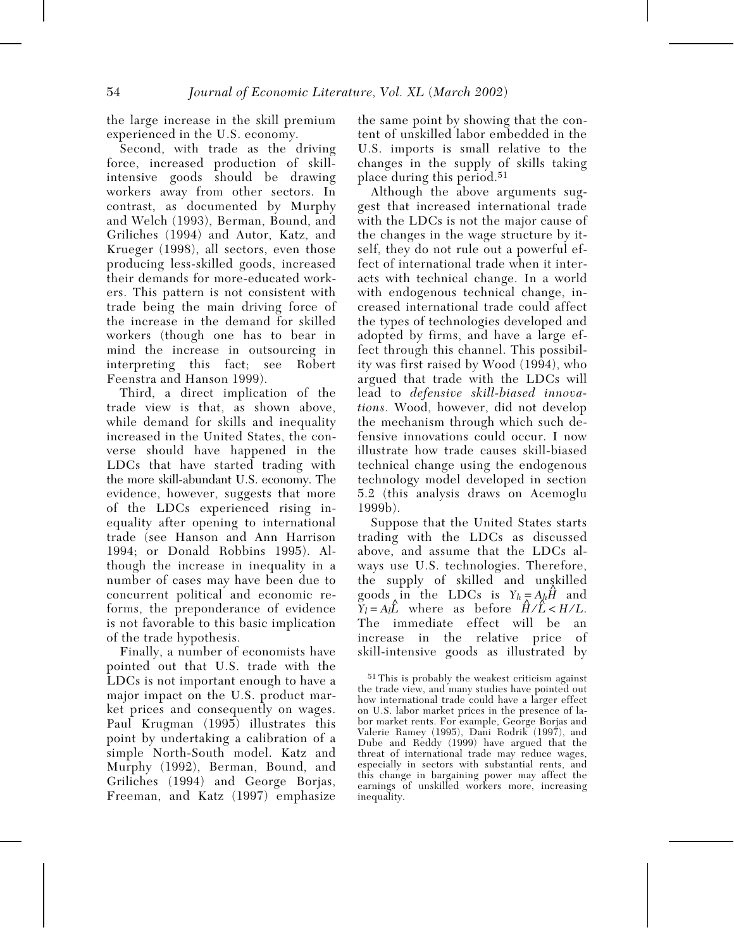the large increase in the skill premium experienced in the U.S. economy.

Second, with trade as the driving force, increased production of skillintensive goods should be drawing workers away from other sectors. In contrast, as documented by Murphy and Welch (1993), Berman, Bound, and Griliches (1994) and Autor, Katz, and Krueger (1998), all sectors, even those producing less-skilled goods, increased their demands for more-educated workers. This pattern is not consistent with trade being the main driving force of the increase in the demand for skilled workers (though one has to bear in mind the increase in outsourcing in interpreting this fact; see Robert Feenstra and Hanson 1999).

Third, a direct implication of the trade view is that, as shown above, while demand for skills and inequality increased in the United States, the converse should have happened in the LDCs that have started trading with the more skill-abundant U.S. economy. The evidence, however, suggests that more of the LDCs experienced rising inequality after opening to international trade (see Hanson and Ann Harrison 1994; or Donald Robbins 1995). Although the increase in inequality in a number of cases may have been due to concurrent political and economic reforms, the preponderance of evidence is not favorable to this basic implication of the trade hypothesis.

Finally, a number of economists have pointed out that U.S. trade with the LDCs is not important enough to have a major impact on the U.S. product market prices and consequently on wages. Paul Krugman (1995) illustrates this point by undertaking a calibration of a simple North-South model. Katz and Murphy (1992), Berman, Bound, and Griliches (1994) and George Borjas, Freeman, and Katz (1997) emphasize

the same point by showing that the content of unskilled labor embedded in the U.S. imports is small relative to the changes in the supply of skills taking place during this period.51

Although the above arguments suggest that increased international trade with the LDCs is not the major cause of the changes in the wage structure by itself, they do not rule out a powerful effect of international trade when it interacts with technical change. In a world with endogenous technical change, increased international trade could affect the types of technologies developed and adopted by firms, and have a large effect through this channel. This possibility was first raised by Wood (1994), who argued that trade with the LDCs will lead to *defensive skill-biased innovations*. Wood, however, did not develop the mechanism through which such defensive innovations could occur. I now illustrate how trade causes skill-biased technical change using the endogenous technology model developed in section 5.2 (this analysis draws on Acemoglu 1999b).

Suppose that the United States starts trading with the LDCs as discussed above, and assume that the LDCs always use U.S. technologies. Therefore, the supply of skilled and unskilled goods in the LDCs is  $Y_h = A_h \hat{H}$  and  $Y_l = A_l \hat{L}$  where as before  $\hat{H}/\hat{L} < H/L$ . The immediate effect will be an increase in the relative price of skill-intensive goods as illustrated by

<sup>51</sup> This is probably the weakest criticism against the trade view, and many studies have pointed out how international trade could have a larger effect on U.S. labor market prices in the presence of labor market rents. For example, George Borjas and Valerie Ramey (1995), Dani Rodrik (1997), and Dube and Reddy (1999) have argued that the threat of international trade may reduce wages, especially in sectors with substantial rents, and this change in bargaining power may affect the earnings of unskilled workers more, increasing inequality.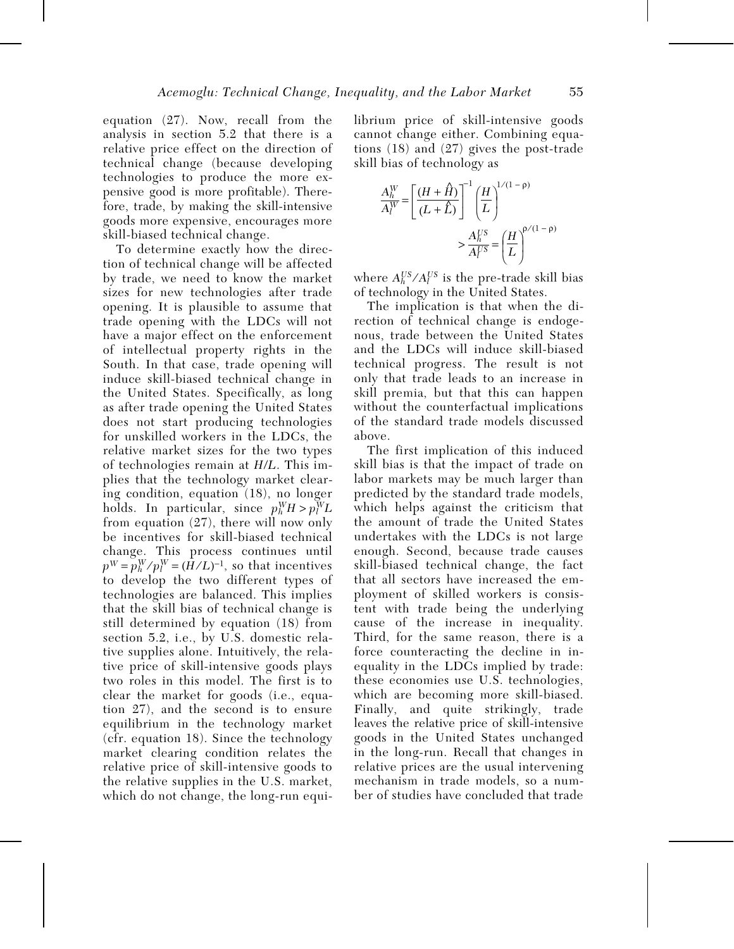equation (27). Now, recall from the analysis in section 5.2 that there is a relative price effect on the direction of technical change (because developing technologies to produce the more expensive good is more profitable). Therefore, trade, by making the skill-intensive goods more expensive, encourages more skill-biased technical change.

To determine exactly how the direction of technical change will be affected by trade, we need to know the market sizes for new technologies after trade opening. It is plausible to assume that trade opening with the LDCs will not have a major effect on the enforcement of intellectual property rights in the South. In that case, trade opening will induce skill-biased technical change in the United States. Specifically, as long as after trade opening the United States does not start producing technologies for unskilled workers in the LDCs, the relative market sizes for the two types of technologies remain at *H/L*. This implies that the technology market clearing condition, equation (18), no longer holds. In particular, since  $p_h^W H > p_l^W L$ from equation (27), there will now only be incentives for skill-biased technical change. This process continues until  $p^W = p_h^W/p_l^W = (H/L)^{-1}$ , so that incentives to develop the two different types of technologies are balanced. This implies that the skill bias of technical change is still determined by equation (18) from section 5.2, i.e., by U.S. domestic relative supplies alone. Intuitively, the relative price of skill-intensive goods plays two roles in this model. The first is to clear the market for goods (i.e., equation 27), and the second is to ensure equilibrium in the technology market (cfr. equation 18). Since the technology market clearing condition relates the relative price of skill-intensive goods to the relative supplies in the U.S. market, which do not change, the long-run equilibrium price of skill-intensive goods cannot change either. Combining equations (18) and (27) gives the post-trade skill bias of technology as

$$
\frac{A_h^W}{A_l^W} = \left[\frac{(H+\hat{H})}{(L+\hat{L})}\right]^{-1} \left(\frac{H}{L}\right)^{1/(1-\rho)}
$$

$$
> \frac{A_h^{US}}{A_l^{US}} = \left(\frac{H}{L}\right)^{\rho/(1-\rho)}
$$

where  $A_h^{US}/A_l^{US}$  is the pre-trade skill bias of technology in the United States.

The implication is that when the direction of technical change is endogenous, trade between the United States and the LDCs will induce skill-biased technical progress. The result is not only that trade leads to an increase in skill premia, but that this can happen without the counterfactual implications of the standard trade models discussed above.

The first implication of this induced skill bias is that the impact of trade on labor markets may be much larger than predicted by the standard trade models, which helps against the criticism that the amount of trade the United States undertakes with the LDCs is not large enough. Second, because trade causes skill-biased technical change, the fact that all sectors have increased the employment of skilled workers is consistent with trade being the underlying cause of the increase in inequality. Third, for the same reason, there is a force counteracting the decline in inequality in the LDCs implied by trade: these economies use U.S. technologies, which are becoming more skill-biased. Finally, and quite strikingly, trade leaves the relative price of skill-intensive goods in the United States unchanged in the long-run. Recall that changes in relative prices are the usual intervening mechanism in trade models, so a number of studies have concluded that trade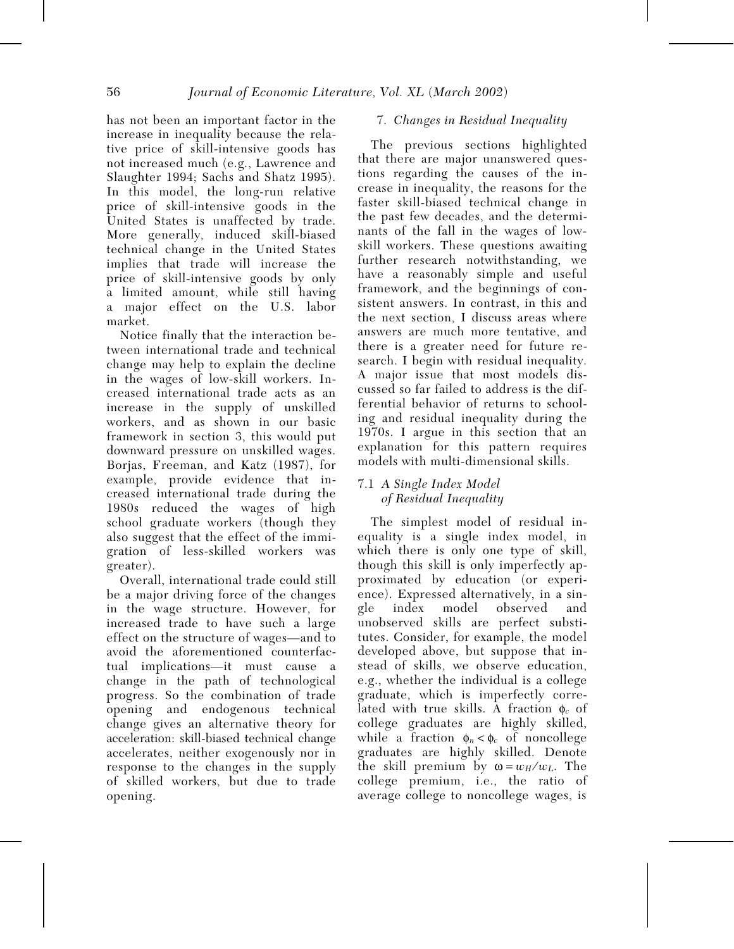has not been an important factor in the increase in inequality because the relative price of skill-intensive goods has not increased much (e.g., Lawrence and Slaughter 1994; Sachs and Shatz 1995). In this model, the long-run relative price of skill-intensive goods in the United States is unaffected by trade. More generally, induced skill-biased technical change in the United States implies that trade will increase the price of skill-intensive goods by only a limited amount, while still having a major effect on the U.S. labor market.

Notice finally that the interaction between international trade and technical change may help to explain the decline in the wages of low-skill workers. Increased international trade acts as an increase in the supply of unskilled workers, and as shown in our basic framework in section 3, this would put downward pressure on unskilled wages. Borjas, Freeman, and Katz (1987), for example, provide evidence that increased international trade during the 1980s reduced the wages of high school graduate workers (though they also suggest that the effect of the immigration of less-skilled workers was greater).

Overall, international trade could still be a major driving force of the changes in the wage structure. However, for increased trade to have such a large effect on the structure of wages—and to avoid the aforementioned counterfactual implications—it must cause a change in the path of technological progress. So the combination of trade opening and endogenous technical change gives an alternative theory for acceleration: skill-biased technical change accelerates, neither exogenously nor in response to the changes in the supply of skilled workers, but due to trade opening.

# 7. *Changes in Residual Inequality*

The previous sections highlighted that there are major unanswered questions regarding the causes of the increase in inequality, the reasons for the faster skill-biased technical change in the past few decades, and the determinants of the fall in the wages of lowskill workers. These questions awaiting further research notwithstanding, we have a reasonably simple and useful framework, and the beginnings of consistent answers. In contrast, in this and the next section, I discuss areas where answers are much more tentative, and there is a greater need for future research. I begin with residual inequality. A major issue that most models discussed so far failed to address is the differential behavior of returns to schooling and residual inequality during the 1970s. I argue in this section that an explanation for this pattern requires models with multi-dimensional skills.

## 7.1 *A Single Index Model of Residual Inequality*

The simplest model of residual inequality is a single index model, in which there is only one type of skill, though this skill is only imperfectly approximated by education (or experience). Expressed alternatively, in a single index model observed and unobserved skills are perfect substitutes. Consider, for example, the model developed above, but suppose that instead of skills, we observe education, e.g., whether the individual is a college graduate, which is imperfectly correlated with true skills. A fraction φ*<sup>c</sup>* of college graduates are highly skilled, while a fraction φ*<sup>n</sup>* < φ*<sup>c</sup>* of noncollege graduates are highly skilled. Denote the skill premium by  $\omega = w_H/w_L$ . The college premium, i.e., the ratio of average college to noncollege wages, is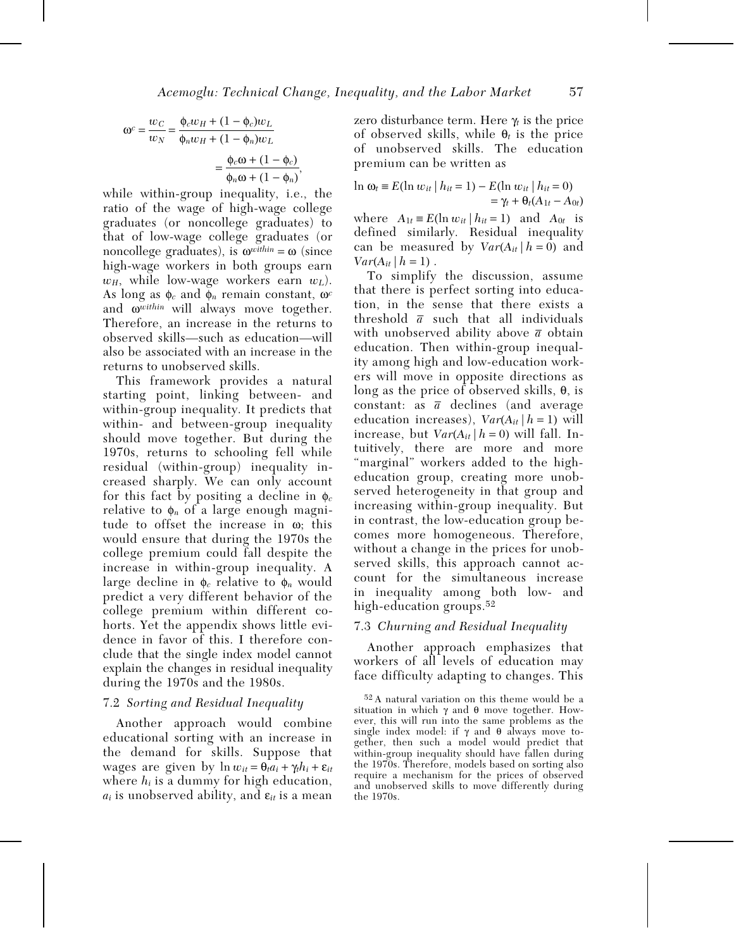$$
\omega^c = \frac{w_C}{w_N} = \frac{\phi_c w_H + (1 - \phi_c) w_L}{\phi_n w_H + (1 - \phi_n) w_L}
$$

$$
= \frac{\phi_c \omega + (1 - \phi_c)}{\phi_n \omega + (1 - \phi_n)},
$$

while within-group inequality, i.e., the ratio of the wage of high-wage college graduates (or noncollege graduates) to that of low-wage college graduates (or noncollege graduates), is  $\omega^{within} = \omega$  (since high-wage workers in both groups earn *wH*, while low-wage workers earn *wL*). As long as φ*<sup>c</sup>* and φ*<sup>n</sup>* remain constant, ω*<sup>c</sup>* and ω*within* will always move together. Therefore, an increase in the returns to observed skills—such as education—will also be associated with an increase in the returns to unobserved skills.

This framework provides a natural starting point, linking between- and within-group inequality. It predicts that within- and between-group inequality should move together. But during the 1970s, returns to schooling fell while residual (within-group) inequality increased sharply. We can only account for this fact by positing a decline in φ*<sup>c</sup>* relative to φ*<sup>n</sup>* of a large enough magnitude to offset the increase in ω; this would ensure that during the 1970s the college premium could fall despite the increase in within-group inequality. A large decline in φ*<sup>c</sup>* relative to φ*<sup>n</sup>* would predict a very different behavior of the college premium within different cohorts. Yet the appendix shows little evidence in favor of this. I therefore conclude that the single index model cannot explain the changes in residual inequality during the 1970s and the 1980s.

#### 7.2 *Sorting and Residual Inequality*

Another approach would combine educational sorting with an increase in the demand for skills. Suppose that wages are given by  $\ln w_{it} = \theta_t a_i + \gamma_t h_i + \varepsilon_{it}$ where *hi* is a dummy for high education,  $a_i$  is unobserved ability, and  $\varepsilon_{it}$  is a mean zero disturbance term. Here γ*<sup>t</sup>* is the price of observed skills, while θ*<sup>t</sup>* is the price of unobserved skills. The education premium can be written as

$$
\ln \omega_t \equiv E(\ln w_{it} \mid h_{it} = 1) - E(\ln w_{it} \mid h_{it} = 0)
$$
  
=  $\gamma_t + \Theta_t(A_{1t} - A_{0t})$ 

where  $A_{1t} \equiv E(\ln w_{it} \mid h_{it} = 1)$  and  $A_{0t}$  is defined similarly. Residual inequality can be measured by  $Var(A_{it} | h = 0)$  and  $Var(A_{it} | h = 1)$ .

To simplify the discussion, assume that there is perfect sorting into education, in the sense that there exists a threshold  $\bar{a}$  such that all individuals with unobserved ability above *ā* obtain education. Then within-group inequality among high and low-education workers will move in opposite directions as long as the price of observed skills, θ, is  $\overline{\text{constant}}$ : as  $\overline{a}$  declines (and average education increases),  $Var(A_{it} | h = 1)$  will increase, but  $Var(A_{it} | h = 0)$  will fall. Intuitively, there are more and more "marginal" workers added to the higheducation group, creating more unobserved heterogeneity in that group and increasing within-group inequality. But in contrast, the low-education group becomes more homogeneous. Therefore, without a change in the prices for unobserved skills, this approach cannot account for the simultaneous increase in inequality among both low- and high-education groups.<sup>52</sup>

## 7.3 *Churning and Residual Inequality*

Another approach emphasizes that workers of all levels of education may face difficulty adapting to changes. This

<sup>52</sup> A natural variation on this theme would be a situation in which  $γ$  and  $θ$  move together. However, this will run into the same problems as the single index model: if  $\gamma$  and  $\theta$  always move together, then such a model would predict that within-group inequality should have fallen during the 1970s. Therefore, models based on sorting also require a mechanism for the prices of observed and unobserved skills to move differently during the 1970s.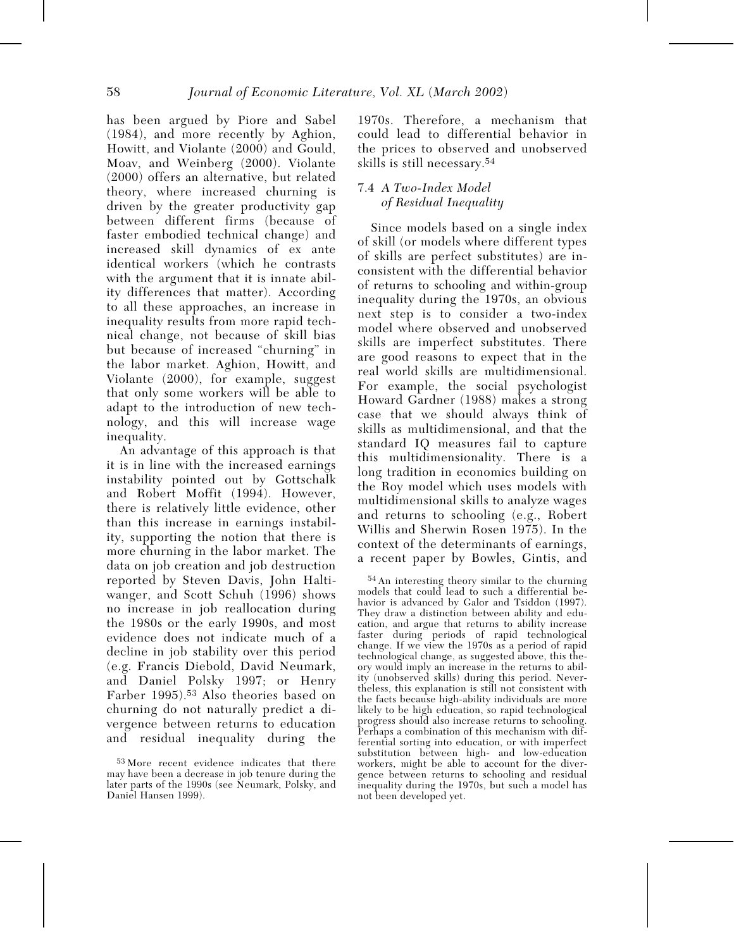has been argued by Piore and Sabel (1984), and more recently by Aghion, Howitt, and Violante (2000) and Gould, Moav, and Weinberg (2000). Violante (2000) offers an alternative, but related theory, where increased churning is driven by the greater productivity gap between different firms (because of faster embodied technical change) and increased skill dynamics of ex ante identical workers (which he contrasts with the argument that it is innate ability differences that matter). According to all these approaches, an increase in inequality results from more rapid technical change, not because of skill bias but because of increased "churning" in the labor market. Aghion, Howitt, and Violante (2000), for example, suggest that only some workers will be able to adapt to the introduction of new technology, and this will increase wage inequality.

An advantage of this approach is that it is in line with the increased earnings instability pointed out by Gottschalk and Robert Moffit (1994). However, there is relatively little evidence, other than this increase in earnings instability, supporting the notion that there is more churning in the labor market. The data on job creation and job destruction reported by Steven Davis, John Haltiwanger, and Scott Schuh (1996) shows no increase in job reallocation during the 1980s or the early 1990s, and most evidence does not indicate much of a decline in job stability over this period (e.g. Francis Diebold, David Neumark, and Daniel Polsky 1997; or Henry Farber 1995).53 Also theories based on churning do not naturally predict a divergence between returns to education and residual inequality during the

1970s. Therefore, a mechanism that could lead to differential behavior in the prices to observed and unobserved skills is still necessary.54

## 7.4 *A Two-Index Model of Residual Inequality*

Since models based on a single index of skill (or models where different types of skills are perfect substitutes) are inconsistent with the differential behavior of returns to schooling and within-group inequality during the 1970s, an obvious next step is to consider a two-index model where observed and unobserved skills are imperfect substitutes. There are good reasons to expect that in the real world skills are multidimensional. For example, the social psychologist Howard Gardner (1988) makes a strong case that we should always think of skills as multidimensional, and that the standard IQ measures fail to capture this multidimensionality. There is a long tradition in economics building on the Roy model which uses models with multidimensional skills to analyze wages and returns to schooling (e.g., Robert Willis and Sherwin Rosen 1975). In the context of the determinants of earnings, a recent paper by Bowles, Gintis, and

54 An interesting theory similar to the churning models that could lead to such a differential behavior is advanced by Galor and Tsiddon (1997). They draw a distinction between ability and education, and argue that returns to ability increase faster during periods of rapid technological change. If we view the 1970s as a period of rapid technological change, as suggested above, this theory would imply an increase in the returns to ability (unobserved skills) during this period. Nevertheless, this explanation is still not consistent with the facts because high-ability individuals are more likely to be high education, so rapid technological progress should also increase returns to schooling. Perhaps a combination of this mechanism with differential sorting into education, or with imperfect substitution between high- and low-education workers, might be able to account for the divergence between returns to schooling and residual inequality during the 1970s, but such a model has not been developed yet.

<sup>53</sup> More recent evidence indicates that there may have been a decrease in job tenure during the later parts of the 1990s (see Neumark, Polsky, and Daniel Hansen 1999).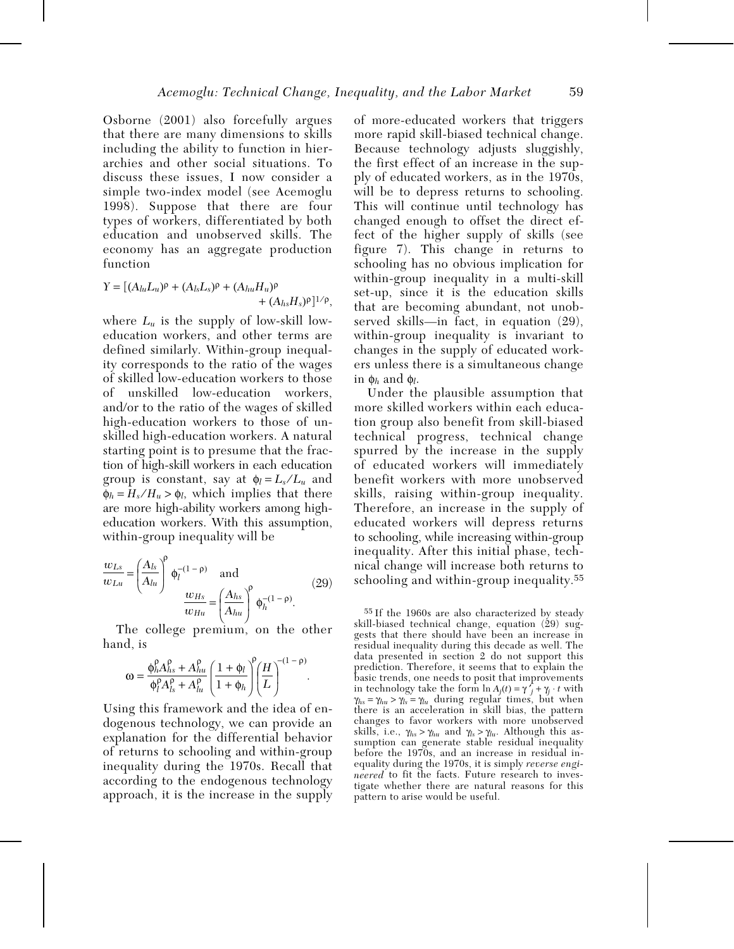Osborne (2001) also forcefully argues that there are many dimensions to skills including the ability to function in hierarchies and other social situations. To discuss these issues, I now consider a simple two-index model (see Acemoglu 1998). Suppose that there are four types of workers, differentiated by both education and unobserved skills. The economy has an aggregate production function

$$
Y = [(A_{lu}L_u)^{\rho} + (A_{ls}L_s)^{\rho} + (A_{hu}H_u)^{\rho} + (A_{hs}H_s)^{\rho}]^{1/\rho},
$$

where  $L_u$  is the supply of low-skill loweducation workers, and other terms are defined similarly. Within-group inequality corresponds to the ratio of the wages of skilled low-education workers to those of unskilled low-education workers, and/or to the ratio of the wages of skilled high-education workers to those of unskilled high-education workers. A natural starting point is to presume that the fraction of high-skill workers in each education group is constant, say at  $\phi_l = L_s/L_u$  and  $\phi_h = H_s/H_u > \phi_l$ , which implies that there are more high-ability workers among higheducation workers. With this assumption, within-group inequality will be

$$
\frac{w_{Ls}}{w_{Lu}} = \left(\frac{A_{ls}}{A_{lu}}\right)^{\rho} \phi_l^{-(1-\rho)} \quad \text{and}
$$
\n
$$
\frac{w_{Hs}}{w_{Hu}} = \left(\frac{A_{hs}}{A_{hu}}\right)^{\rho} \phi_h^{-(1-\rho)}.
$$
\n(29)

The college premium, on the other hand, is

$$
\omega = \frac{\phi_h^{\rho} A_{hs}^{\rho} + A_{hu}^{\rho}}{\phi_l^{\rho} A_{ls}^{\rho} + A_{lu}^{\rho}} \left( \frac{1 + \phi_l}{1 + \phi_h} \right)^{\rho} \left( \frac{H}{L} \right)^{-(1 - \rho)}
$$

.

Using this framework and the idea of endogenous technology, we can provide an explanation for the differential behavior of returns to schooling and within-group inequality during the 1970s. Recall that according to the endogenous technology approach, it is the increase in the supply of more-educated workers that triggers more rapid skill-biased technical change. Because technology adjusts sluggishly, the first effect of an increase in the supply of educated workers, as in the 1970s, will be to depress returns to schooling. This will continue until technology has changed enough to offset the direct effect of the higher supply of skills (see figure 7). This change in returns to schooling has no obvious implication for within-group inequality in a multi-skill set-up, since it is the education skills that are becoming abundant, not unobserved skills—in fact, in equation (29), within-group inequality is invariant to changes in the supply of educated workers unless there is a simultaneous change in φ*<sup>h</sup>* and φ*l*.

Under the plausible assumption that more skilled workers within each education group also benefit from skill-biased technical progress, technical change spurred by the increase in the supply of educated workers will immediately benefit workers with more unobserved skills, raising within-group inequality. Therefore, an increase in the supply of educated workers will depress returns to schooling, while increasing within-group inequality. After this initial phase, technical change will increase both returns to schooling and within-group inequality.55

55 If the 1960s are also characterized by steady skill-biased technical change, equation  $(29)$  suggests that there should have been an increase in residual inequality during this decade as well. The data presented in section 2 do not support this prediction. Therefore, it seems that to explain the basic trends, one needs to posit that improvements in technology take the form  $\ln A_j(t) = \gamma \overline{f} + \gamma_j \cdot t$  with  $\gamma_{hs} = \gamma_{hu} > \gamma_{ls} = \gamma_{lu}$  during regular times, but when there is an acceleration in skill bias, the pattern changes to favor workers with more unobserved skills, i.e., γ*hs* > γ*hu* and γ*ls* > γ*lu*. Although this assumption can generate stable residual inequality before the 1970s, and an increase in residual inequality during the 1970s, it is simply *reverse engineered* to fit the facts. Future research to investigate whether there are natural reasons for this pattern to arise would be useful.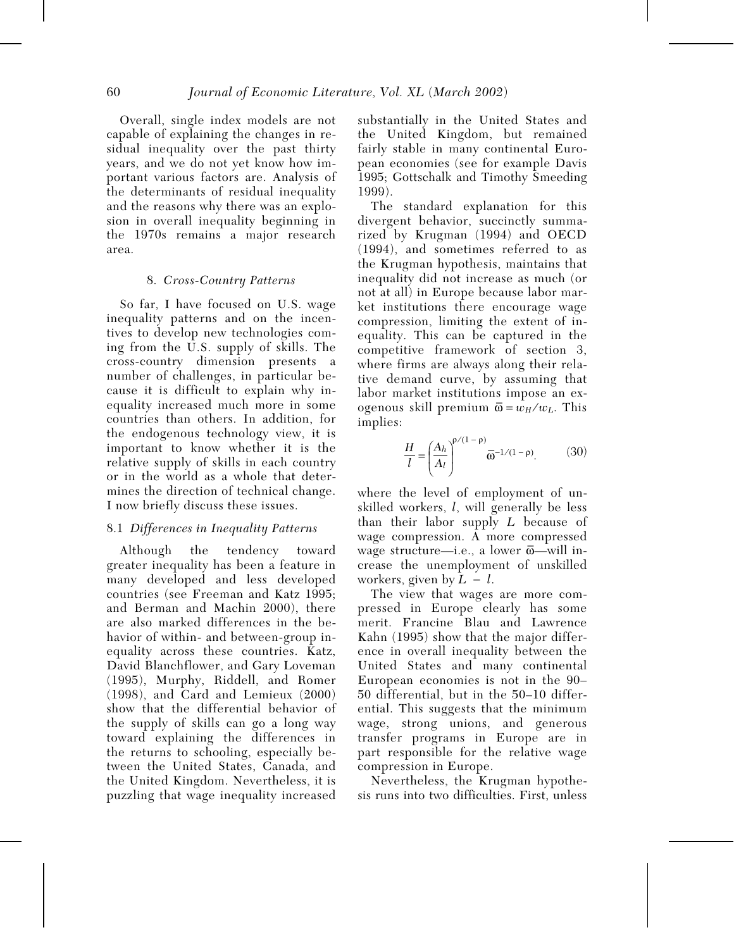Overall, single index models are not capable of explaining the changes in residual inequality over the past thirty years, and we do not yet know how important various factors are. Analysis of the determinants of residual inequality and the reasons why there was an explosion in overall inequality beginning in the 1970s remains a major research area.

#### 8. *Cross-Country Patterns*

So far, I have focused on U.S. wage inequality patterns and on the incentives to develop new technologies coming from the U.S. supply of skills. The cross-country dimension presents a number of challenges, in particular because it is difficult to explain why inequality increased much more in some countries than others. In addition, for the endogenous technology view, it is important to know whether it is the relative supply of skills in each country or in the world as a whole that determines the direction of technical change. I now briefly discuss these issues.

## 8.1 *Differences in Inequality Patterns*

Although the tendency toward greater inequality has been a feature in many developed and less developed countries (see Freeman and Katz 1995; and Berman and Machin 2000), there are also marked differences in the behavior of within- and between-group inequality across these countries. Katz, David Blanchflower, and Gary Loveman (1995), Murphy, Riddell, and Romer (1998), and Card and Lemieux (2000) show that the differential behavior of the supply of skills can go a long way toward explaining the differences in the returns to schooling, especially between the United States, Canada, and the United Kingdom. Nevertheless, it is puzzling that wage inequality increased

substantially in the United States and the United Kingdom, but remained fairly stable in many continental European economies (see for example Davis 1995; Gottschalk and Timothy Smeeding 1999).

The standard explanation for this divergent behavior, succinctly summarized by Krugman (1994) and OECD (1994), and sometimes referred to as the Krugman hypothesis, maintains that inequality did not increase as much (or not at all) in Europe because labor market institutions there encourage wage compression, limiting the extent of inequality. This can be captured in the competitive framework of section 3, where firms are always along their relative demand curve, by assuming that labor market institutions impose an ex- $\frac{1}{\omega}$  = *w<sub>H</sub>*/*w<sub>L</sub>*. This implies:

$$
\frac{H}{l} = \left(\frac{A_h}{A_l}\right)^{\rho/(1-\rho)}\overline{\omega}^{-1/(1-\rho)}.\tag{30}
$$

where the level of employment of unskilled workers, *l*, will generally be less than their labor supply *L* because of wage compression. A more compressed wage structure—i.e., a lower  $\overline{\omega}$ —will increase the unemployment of unskilled workers, given by  $L - l$ .

The view that wages are more compressed in Europe clearly has some merit. Francine Blau and Lawrence Kahn (1995) show that the major difference in overall inequality between the United States and many continental European economies is not in the 90– 50 differential, but in the 50–10 differential. This suggests that the minimum wage, strong unions, and generous transfer programs in Europe are in part responsible for the relative wage compression in Europe.

Nevertheless, the Krugman hypothesis runs into two difficulties. First, unless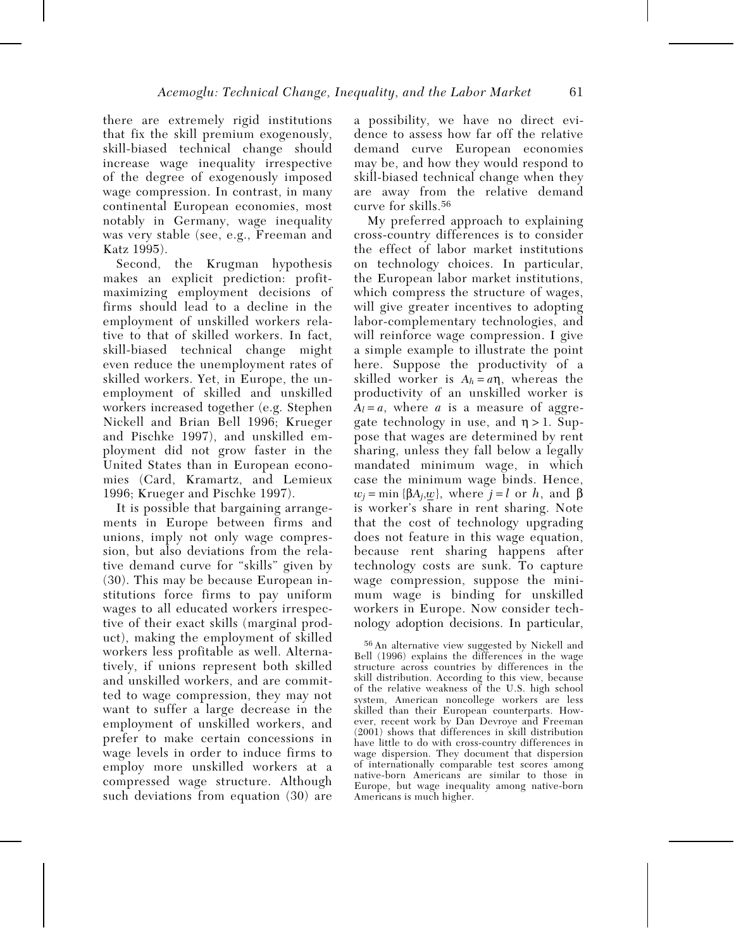there are extremely rigid institutions that fix the skill premium exogenously, skill-biased technical change should increase wage inequality irrespective of the degree of exogenously imposed wage compression. In contrast, in many continental European economies, most notably in Germany, wage inequality was very stable (see, e.g., Freeman and Katz 1995).

Second, the Krugman hypothesis makes an explicit prediction: profitmaximizing employment decisions of firms should lead to a decline in the employment of unskilled workers relative to that of skilled workers. In fact, skill-biased technical change might even reduce the unemployment rates of skilled workers. Yet, in Europe, the unemployment of skilled and unskilled workers increased together (e.g. Stephen Nickell and Brian Bell 1996; Krueger and Pischke 1997), and unskilled employment did not grow faster in the United States than in European economies (Card, Kramartz, and Lemieux 1996; Krueger and Pischke 1997).

It is possible that bargaining arrangements in Europe between firms and unions, imply not only wage compression, but also deviations from the relative demand curve for "skills" given by (30). This may be because European institutions force firms to pay uniform wages to all educated workers irrespective of their exact skills (marginal product), making the employment of skilled workers less profitable as well. Alternatively, if unions represent both skilled and unskilled workers, and are committed to wage compression, they may not want to suffer a large decrease in the employment of unskilled workers, and prefer to make certain concessions in wage levels in order to induce firms to employ more unskilled workers at a compressed wage structure. Although such deviations from equation (30) are

a possibility, we have no direct evidence to assess how far off the relative demand curve European economies may be, and how they would respond to skill-biased technical change when they are away from the relative demand curve for skills.56

My preferred approach to explaining cross-country differences is to consider the effect of labor market institutions on technology choices. In particular, the European labor market institutions, which compress the structure of wages, will give greater incentives to adopting labor-complementary technologies, and will reinforce wage compression. I give a simple example to illustrate the point here. Suppose the productivity of a skilled worker is  $A_h = a\eta$ , whereas the productivity of an unskilled worker is  $A_l = a$ , where *a* is a measure of aggregate technology in use, and  $\eta > 1$ . Suppose that wages are determined by rent sharing, unless they fall below a legally mandated minimum wage, in which case the minimum wage binds. Hence,  $w_j = \min \{\beta A_j, w\}$ , where  $j = l$  or  $h$ , and  $\beta$ is worker's share in rent sharing. Note that the cost of technology upgrading does not feature in this wage equation, because rent sharing happens after technology costs are sunk. To capture wage compression, suppose the minimum wage is binding for unskilled workers in Europe. Now consider technology adoption decisions. In particular,

56 An alternative view suggested by Nickell and Bell (1996) explains the differences in the wage structure across countries by differences in the skill distribution. According to this view, because of the relative weakness of the U.S. high school system, American noncollege workers are less skilled than their European counterparts. However, recent work by Dan Devroye and Freeman (2001) shows that differences in skill distribution have little to do with cross-country differences in wage dispersion. They document that dispersion of internationally comparable test scores among native-born Americans are similar to those in Europe, but wage inequality among native-born Americans is much higher.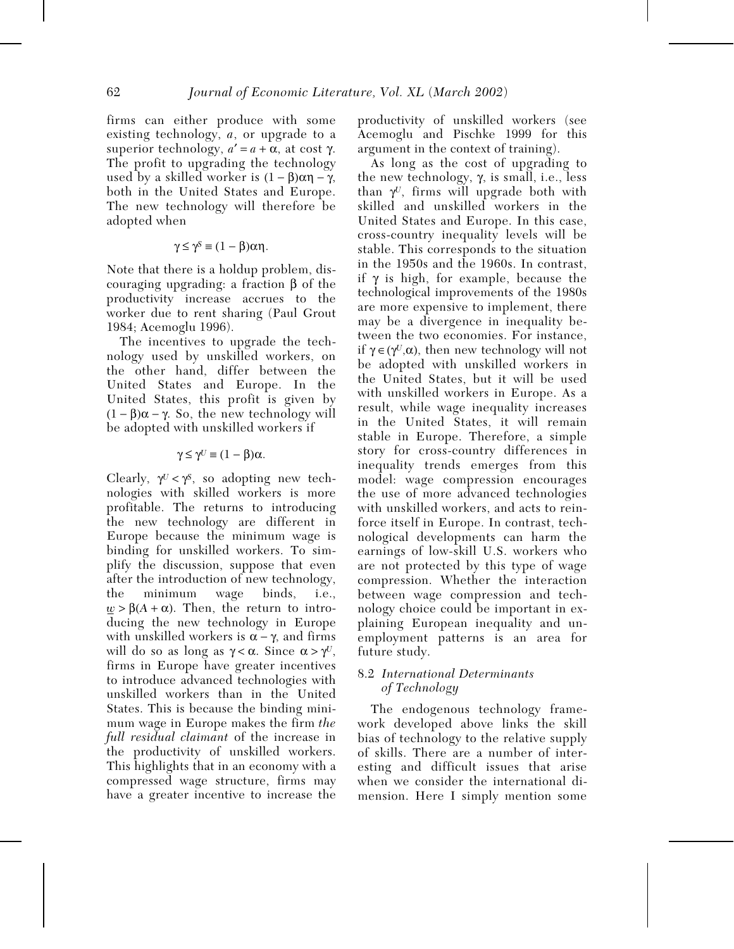firms can either produce with some existing technology, *a*, or upgrade to a superior technology,  $a' = a + α$ , at cost γ. The profit to upgrading the technology used by a skilled worker is  $(1 – β)αη – γ$ , both in the United States and Europe. The new technology will therefore be adopted when

$$
\gamma \leq \gamma^s \equiv (1-\beta)\alpha\eta.
$$

Note that there is a holdup problem, discouraging upgrading: a fraction β of the productivity increase accrues to the worker due to rent sharing (Paul Grout 1984; Acemoglu 1996).

The incentives to upgrade the technology used by unskilled workers, on the other hand, differ between the United States and Europe. In the United States, this profit is given by (1 − β)α − γ. So, the new technology will be adopted with unskilled workers if

$$
\gamma \le \gamma^U \equiv (1 - \beta)\alpha.
$$

Clearly,  $\gamma U < \gamma$ <sup>*S*</sup>, so adopting new technologies with skilled workers is more profitable. The returns to introducing the new technology are different in Europe because the minimum wage is binding for unskilled workers. To simplify the discussion, suppose that even after the introduction of new technology, the minimum wage binds, i.e.,  $w > \beta(A + \alpha)$ . Then, the return to introducing the new technology in Europe with unskilled workers is  $\alpha - \gamma$ , and firms will do so as long as  $γ < α$ . Since  $α > γ<sup>U</sup>$ , firms in Europe have greater incentives to introduce advanced technologies with unskilled workers than in the United States. This is because the binding minimum wage in Europe makes the firm *the full residual claimant* of the increase in the productivity of unskilled workers. This highlights that in an economy with a compressed wage structure, firms may have a greater incentive to increase the

productivity of unskilled workers (see Acemoglu and Pischke 1999 for this argument in the context of training).

As long as the cost of upgrading to the new technology, γ, is small, i.e., less than γ*<sup>U</sup>*, firms will upgrade both with skilled and unskilled workers in the United States and Europe. In this case, cross-country inequality levels will be stable. This corresponds to the situation in the 1950s and the 1960s. In contrast, if γ is high, for example, because the technological improvements of the 1980s are more expensive to implement, there may be a divergence in inequality between the two economies. For instance, if γ ∈(γ*U*,α), then new technology will not be adopted with unskilled workers in the United States, but it will be used with unskilled workers in Europe. As a result, while wage inequality increases in the United States, it will remain stable in Europe. Therefore, a simple story for cross-country differences in inequality trends emerges from this model: wage compression encourages the use of more advanced technologies with unskilled workers, and acts to reinforce itself in Europe. In contrast, technological developments can harm the earnings of low-skill U.S. workers who are not protected by this type of wage compression. Whether the interaction between wage compression and technology choice could be important in explaining European inequality and unemployment patterns is an area for future study.

#### 8.2 *International Determinants of Technology*

The endogenous technology framework developed above links the skill bias of technology to the relative supply of skills. There are a number of interesting and difficult issues that arise when we consider the international dimension. Here I simply mention some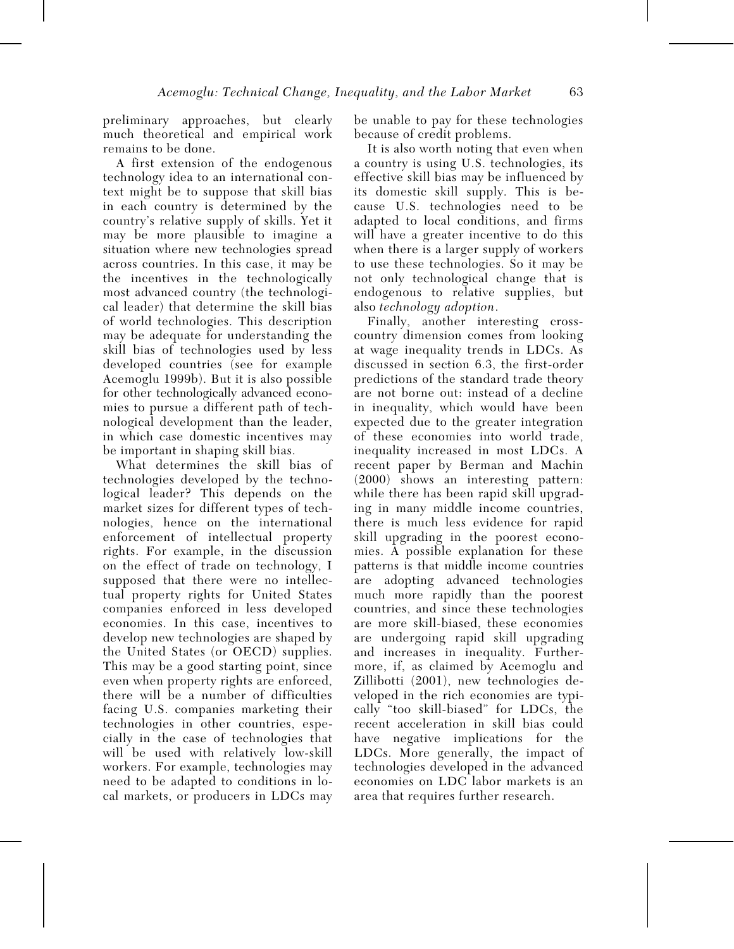preliminary approaches, but clearly much theoretical and empirical work remains to be done.

A first extension of the endogenous technology idea to an international context might be to suppose that skill bias in each country is determined by the country's relative supply of skills. Yet it may be more plausible to imagine a situation where new technologies spread across countries. In this case, it may be the incentives in the technologically most advanced country (the technological leader) that determine the skill bias of world technologies. This description may be adequate for understanding the skill bias of technologies used by less developed countries (see for example Acemoglu 1999b). But it is also possible for other technologically advanced economies to pursue a different path of technological development than the leader, in which case domestic incentives may be important in shaping skill bias.

What determines the skill bias of technologies developed by the technological leader? This depends on the market sizes for different types of technologies, hence on the international enforcement of intellectual property rights. For example, in the discussion on the effect of trade on technology, I supposed that there were no intellectual property rights for United States companies enforced in less developed economies. In this case, incentives to develop new technologies are shaped by the United States (or OECD) supplies. This may be a good starting point, since even when property rights are enforced, there will be a number of difficulties facing U.S. companies marketing their technologies in other countries, especially in the case of technologies that will be used with relatively low-skill workers. For example, technologies may need to be adapted to conditions in local markets, or producers in LDCs may

be unable to pay for these technologies because of credit problems.

It is also worth noting that even when a country is using U.S. technologies, its effective skill bias may be influenced by its domestic skill supply. This is because U.S. technologies need to be adapted to local conditions, and firms will have a greater incentive to do this when there is a larger supply of workers to use these technologies. So it may be not only technological change that is endogenous to relative supplies, but also *technology adoption*.

Finally, another interesting crosscountry dimension comes from looking at wage inequality trends in LDCs. As discussed in section 6.3, the first-order predictions of the standard trade theory are not borne out: instead of a decline in inequality, which would have been expected due to the greater integration of these economies into world trade, inequality increased in most LDCs. A recent paper by Berman and Machin (2000) shows an interesting pattern: while there has been rapid skill upgrading in many middle income countries, there is much less evidence for rapid skill upgrading in the poorest economies. A possible explanation for these patterns is that middle income countries are adopting advanced technologies much more rapidly than the poorest countries, and since these technologies are more skill-biased, these economies are undergoing rapid skill upgrading and increases in inequality. Furthermore, if, as claimed by Acemoglu and Zillibotti (2001), new technologies developed in the rich economies are typically "too skill-biased" for LDCs, the recent acceleration in skill bias could have negative implications for the LDCs. More generally, the impact of technologies developed in the advanced economies on LDC labor markets is an area that requires further research.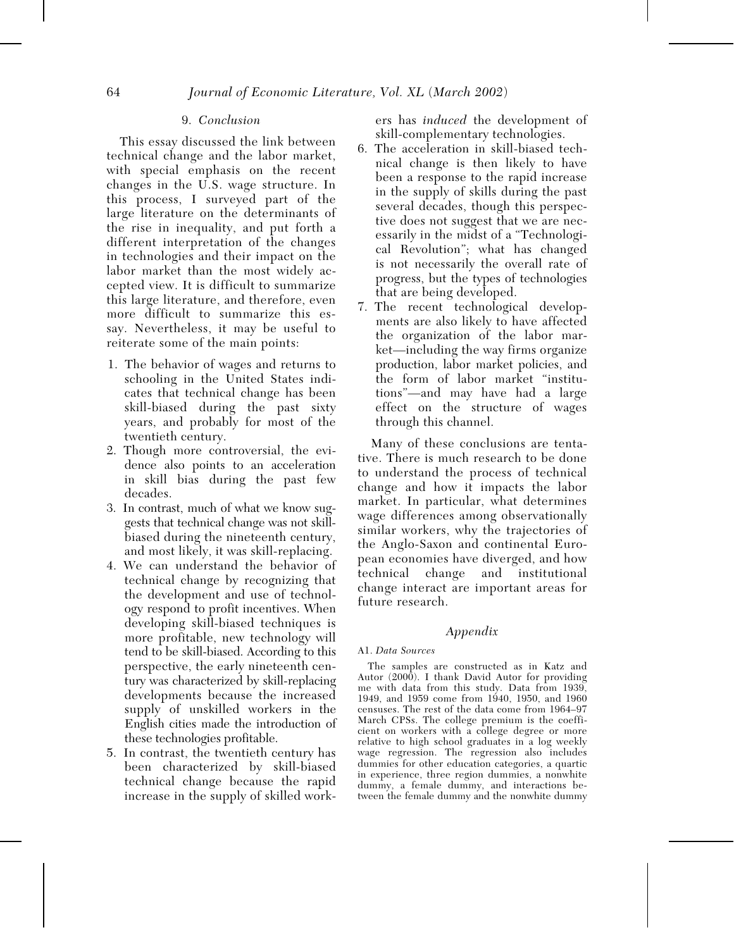#### 9. *Conclusion*

This essay discussed the link between technical change and the labor market, with special emphasis on the recent changes in the U.S. wage structure. In this process, I surveyed part of the large literature on the determinants of the rise in inequality, and put forth a different interpretation of the changes in technologies and their impact on the labor market than the most widely accepted view. It is difficult to summarize this large literature, and therefore, even more difficult to summarize this essay. Nevertheless, it may be useful to reiterate some of the main points:

- 1. The behavior of wages and returns to schooling in the United States indicates that technical change has been skill-biased during the past sixty years, and probably for most of the twentieth century.
- 2. Though more controversial, the evidence also points to an acceleration in skill bias during the past few decades.
- 3. In contrast, much of what we know suggests that technical change was not skillbiased during the nineteenth century, and most likely, it was skill-replacing.
- 4. We can understand the behavior of technical change by recognizing that the development and use of technology respond to profit incentives. When developing skill-biased techniques is more profitable, new technology will tend to be skill-biased. According to this perspective, the early nineteenth century was characterized by skill-replacing developments because the increased supply of unskilled workers in the English cities made the introduction of these technologies profitable.
- 5. In contrast, the twentieth century has been characterized by skill-biased technical change because the rapid increase in the supply of skilled work-

ers has *induced* the development of skill-complementary technologies.

- 6. The acceleration in skill-biased technical change is then likely to have been a response to the rapid increase in the supply of skills during the past several decades, though this perspective does not suggest that we are necessarily in the midst of a "Technological Revolution"; what has changed is not necessarily the overall rate of progress, but the types of technologies that are being developed.
- 7. The recent technological developments are also likely to have affected the organization of the labor market—including the way firms organize production, labor market policies, and the form of labor market "institutions"—and may have had a large effect on the structure of wages through this channel.

Many of these conclusions are tentative. There is much research to be done to understand the process of technical change and how it impacts the labor market. In particular, what determines wage differences among observationally similar workers, why the trajectories of the Anglo-Saxon and continental European economies have diverged, and how technical change and institutional change interact are important areas for future research.

#### *Appendix*

#### A1. *Data Sources*

The samples are constructed as in Katz and Autor (2000). I thank David Autor for providing me with data from this study. Data from 1939, 1949, and 1959 come from 1940, 1950, and 1960 censuses. The rest of the data come from 1964–97 March CPSs. The college premium is the coefficient on workers with a college degree or more relative to high school graduates in a log weekly wage regression. The regression also includes dummies for other education categories, a quartic in experience, three region dummies, a nonwhite dummy, a female dummy, and interactions between the female dummy and the nonwhite dummy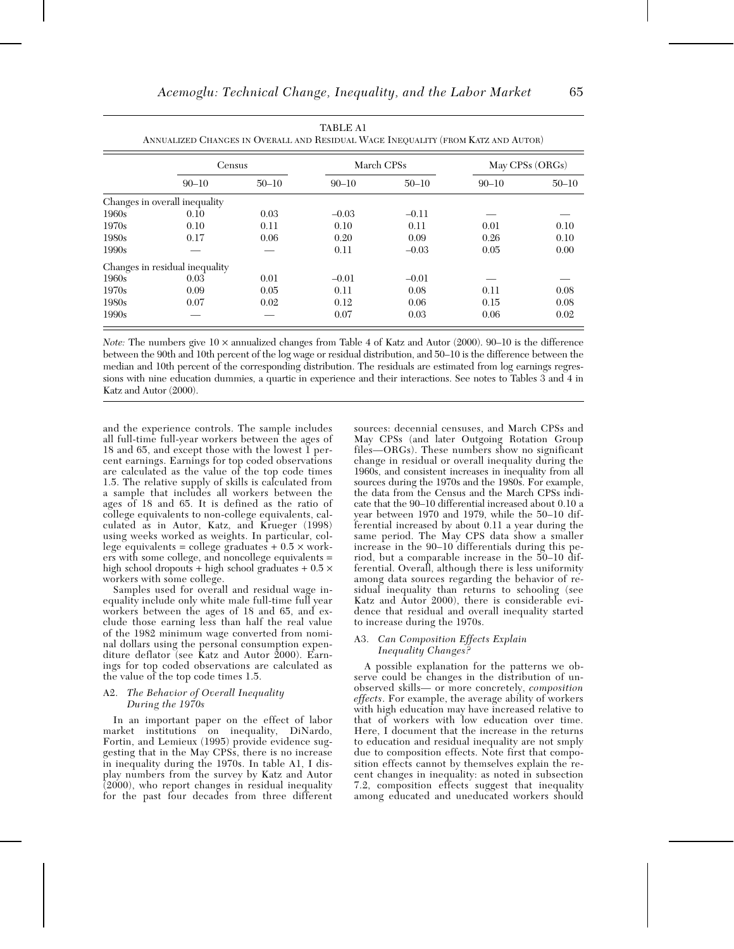|       | Census                         |           |           | March CPSs | May CPSs (ORGs) |           |  |
|-------|--------------------------------|-----------|-----------|------------|-----------------|-----------|--|
|       | $90 - 10$                      | $50 - 10$ | $90 - 10$ | $50 - 10$  | $90 - 10$       | $50 - 10$ |  |
|       | Changes in overall inequality  |           |           |            |                 |           |  |
| 1960s | 0.10                           | 0.03      | $-0.03$   | $-0.11$    |                 |           |  |
| 1970s | 0.10                           | 0.11      | 0.10      | 0.11       | 0.01            | 0.10      |  |
| 1980s | 0.17                           | 0.06      | 0.20      | 0.09       | 0.26            | 0.10      |  |
| 1990s |                                |           | 0.11      | $-0.03$    | 0.05            | 0.00      |  |
|       | Changes in residual inequality |           |           |            |                 |           |  |
| 1960s | 0.03                           | 0.01      | $-0.01$   | $-0.01$    |                 |           |  |
| 1970s | 0.09                           | 0.05      | 0.11      | 0.08       | 0.11            | 0.08      |  |
| 1980s | 0.07                           | 0.02      | 0.12      | 0.06       | 0.15            | 0.08      |  |
| 1990s |                                |           | 0.07      | 0.03       | 0.06            | 0.02      |  |

| TABLE A1                                                                         |  |
|----------------------------------------------------------------------------------|--|
| ANNUALIZED CHANGES IN OVERALL AND RESIDUAL WAGE INEQUALITY (FROM KATZ AND AUTOR) |  |

*Note:* The numbers give 10  $\times$  annualized changes from Table 4 of Katz and Autor (2000). 90–10 is the difference between the 90th and 10th percent of the log wage or residual distribution, and 50–10 is the difference between the median and 10th percent of the corresponding distribution. The residuals are estimated from log earnings regressions with nine education dummies, a quartic in experience and their interactions. See notes to Tables 3 and 4 in Katz and Autor (2000).

and the experience controls. The sample includes all full-time full-year workers between the ages of 18 and 65, and except those with the lowest 1 percent earnings. Earnings for top coded observations are calculated as the value of the top code times 1.5. The relative supply of skills is calculated from a sample that includes all workers between the ages of 18 and 65. It is defined as the ratio of college equivalents to non-college equivalents, calculated as in Autor, Katz, and Krueger (1998) using weeks worked as weights. In particular, college equivalents = college graduates +  $0.5 \times$  workers with some college, and noncollege equivalents = high school dropouts + high school graduates +  $0.5 \times$ workers with some college.

Samples used for overall and residual wage inequality include only white male full-time full year workers between the ages of 18 and 65, and exclude those earning less than half the real value of the 1982 minimum wage converted from nominal dollars using the personal consumption expenditure deflator (see Katz and Autor 2000). Earnings for top coded observations are calculated as the value of the top code times 1.5.

#### A2. *The Behavior of Overall Inequality During the 1970s*

In an important paper on the effect of labor market institutions on inequality, DiNardo, Fortin, and Lemieux (1995) provide evidence suggesting that in the May CPSs, there is no increase in inequality during the 1970s. In table A1, I display numbers from the survey by Katz and Autor (2000), who report changes in residual inequality for the past four decades from three different sources: decennial censuses, and March CPSs and May CPSs (and later Outgoing Rotation Group files—ORGs). These numbers show no significant change in residual or overall inequality during the 1960s, and consistent increases in inequality from all sources during the 1970s and the 1980s. For example, the data from the Census and the March CPSs indicate that the 90–10 differential increased about 0.10 a year between 1970 and 1979, while the 50–10 differential increased by about 0.11 a year during the same period. The May CPS data show a smaller increase in the 90–10 differentials during this period, but a comparable increase in the 50–10 differential. Overall, although there is less uniformity among data sources regarding the behavior of residual inequality than returns to schooling (see Katz and Autor 2000), there is considerable evidence that residual and overall inequality started to increase during the 1970s.

#### A3. *Can Composition Effects Explain Inequality Changes?*

A possible explanation for the patterns we observe could be changes in the distribution of unobserved skills— or more concretely, *composition effects*. For example, the average ability of workers with high education may have increased relative to that of workers with low education over time. Here, I document that the increase in the returns to education and residual inequality are not smply due to composition effects. Note first that composition effects cannot by themselves explain the recent changes in inequality: as noted in subsection 7.2, composition effects suggest that inequality among educated and uneducated workers should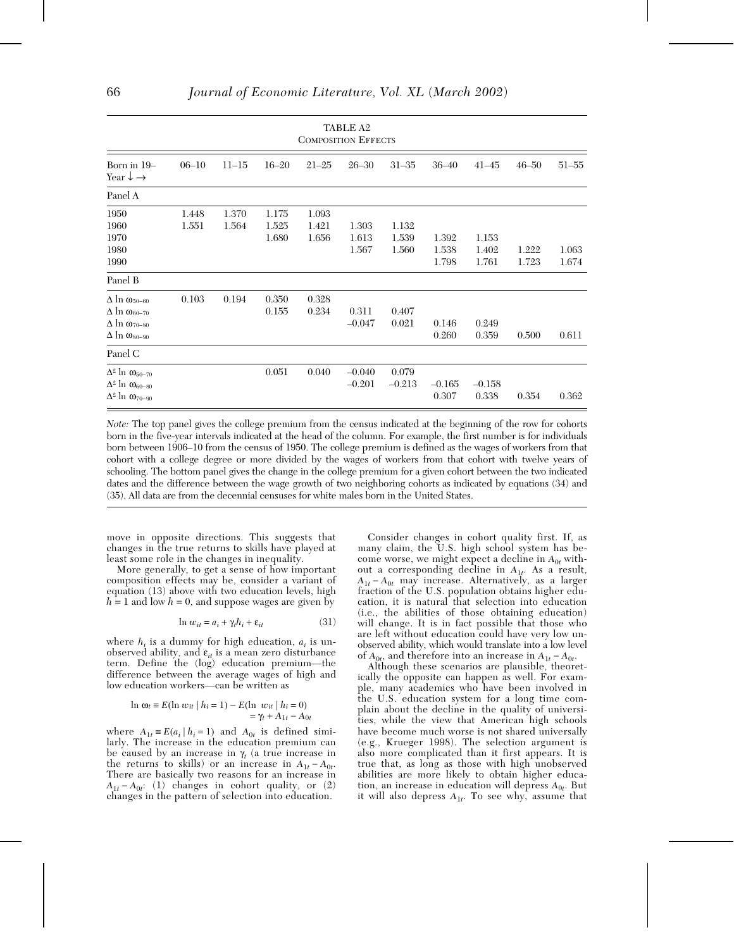|                                                                                                                                 |                |                |                         |                         | TABLE A2<br><b>COMPOSITION EFFECTS</b> |                         |                         |                         |                |                |
|---------------------------------------------------------------------------------------------------------------------------------|----------------|----------------|-------------------------|-------------------------|----------------------------------------|-------------------------|-------------------------|-------------------------|----------------|----------------|
| Born in 19-<br>Year $\downarrow \rightarrow$                                                                                    | $06 - 10$      | $11 - 15$      | $16 - 20$               | $21 - 25$               | $26 - 30$                              | $31 - 35$               | $36 - 40$               | $41 - 45$               | $46 - 50$      | $51 - 55$      |
| Panel A                                                                                                                         |                |                |                         |                         |                                        |                         |                         |                         |                |                |
| 1950<br>1960<br>1970<br>1980<br>1990                                                                                            | 1.448<br>1.551 | 1.370<br>1.564 | 1.175<br>1.525<br>1.680 | 1.093<br>1.421<br>1.656 | 1.303<br>1.613<br>1.567                | 1.132<br>1.539<br>1.560 | 1.392<br>1.538<br>1.798 | 1.153<br>1.402<br>1.761 | 1.222<br>1.723 | 1.063<br>1.674 |
| Panel B                                                                                                                         |                |                |                         |                         |                                        |                         |                         |                         |                |                |
| $\Delta$ ln $\omega_{50-60}$<br>$\Delta$ ln $\omega_{60-70}$<br>$\Delta$ ln $\omega_{70-80}$<br>$\Delta \ln \omega_{\rm 80-90}$ | 0.103          | 0.194          | 0.350<br>0.155          | 0.328<br>0.234          | 0.311<br>$-0.047$                      | 0.407<br>0.021          | 0.146<br>0.260          | 0.249<br>0.359          | 0.500          | 0.611          |
| Panel C                                                                                                                         |                |                |                         |                         |                                        |                         |                         |                         |                |                |
| $\Delta^2$ ln $\omega_{50-70}$<br>$\Delta^2$ ln $\omega_{60-80}$<br>$\Delta^2$ ln $\omega_{70-90}$                              |                |                | 0.051                   | 0.040                   | $-0.040$<br>$-0.201$                   | 0.079<br>$-0.213$       | $-0.165$<br>0.307       | $-0.158$<br>0.338       | 0.354          | 0.362          |

*Note:* The top panel gives the college premium from the census indicated at the beginning of the row for cohorts born in the five-year intervals indicated at the head of the column. For example, the first number is for individuals born between 1906–10 from the census of 1950. The college premium is defined as the wages of workers from that cohort with a college degree or more divided by the wages of workers from that cohort with twelve years of schooling. The bottom panel gives the change in the college premium for a given cohort between the two indicated dates and the difference between the wage growth of two neighboring cohorts as indicated by equations (34) and (35). All data are from the decennial censuses for white males born in the United States.

move in opposite directions. This suggests that changes in the true returns to skills have played at least some role in the changes in inequality.

More generally, to get a sense of how important composition effects may be, consider a variant of equation (13) above with two education levels, high  $h = 1$  and low  $h = 0$ , and suppose wages are given by

$$
\ln w_{it} = a_i + \gamma_t h_i + \varepsilon_{it} \tag{31}
$$

where  $h_i$  is a dummy for high education,  $a_i$  is unobserved ability, and  $\varepsilon_{it}$  is a mean zero disturbance term. Define the (log) education premium—the difference between the average wages of high and low education workers—can be written as

$$
\ln \omega_t \equiv E(\ln w_{it} \mid h_i = 1) - E(\ln w_{it} \mid h_i = 0)
$$
  
=  $\gamma_t + A_{1t} - A_{0t}$ 

where  $A_{1t} \equiv E(a_i \mid h_i = 1)$  and  $A_{0t}$  is defined similarly. The increase in the education premium can be caused by an increase in  $\gamma_t$  (a true increase in the returns to skills) or an increase in  $A_{1t} - A_{0t}$ . There are basically two reasons for an increase in  $A_{1t} - A_{0t}$ : (1) changes in cohort quality, or (2) changes in the pattern of selection into education.

Consider changes in cohort quality first. If, as many claim, the U.S. high school system has become worse, we might expect a decline in  $A_{0t}$  without a corresponding decline in *A*1*t*. As a result,  $A_{1t} - A_{0t}$  may increase. Alternatively, as a larger fraction of the U.S. population obtains higher education, it is natural that selection into education (i.e., the abilities of those obtaining education) will change. It is in fact possible that those who are left without education could have very low unobserved ability, which would translate into a low level of  $A_{0t}$ , and therefore into an increase in  $A_{1t} - A_{0t}$ .

Although these scenarios are plausible, theoretically the opposite can happen as well. For example, many academics who have been involved in the U.S. education system for a long time complain about the decline in the quality of universities, while the view that American high schools have become much worse is not shared universally (e.g., Krueger 1998). The selection argument is also more complicated than it first appears. It is true that, as long as those with high unobserved abilities are more likely to obtain higher education, an increase in education will depress  $A_{0t}$ . But it will also depress  $A_{1t}$ . To see why, assume that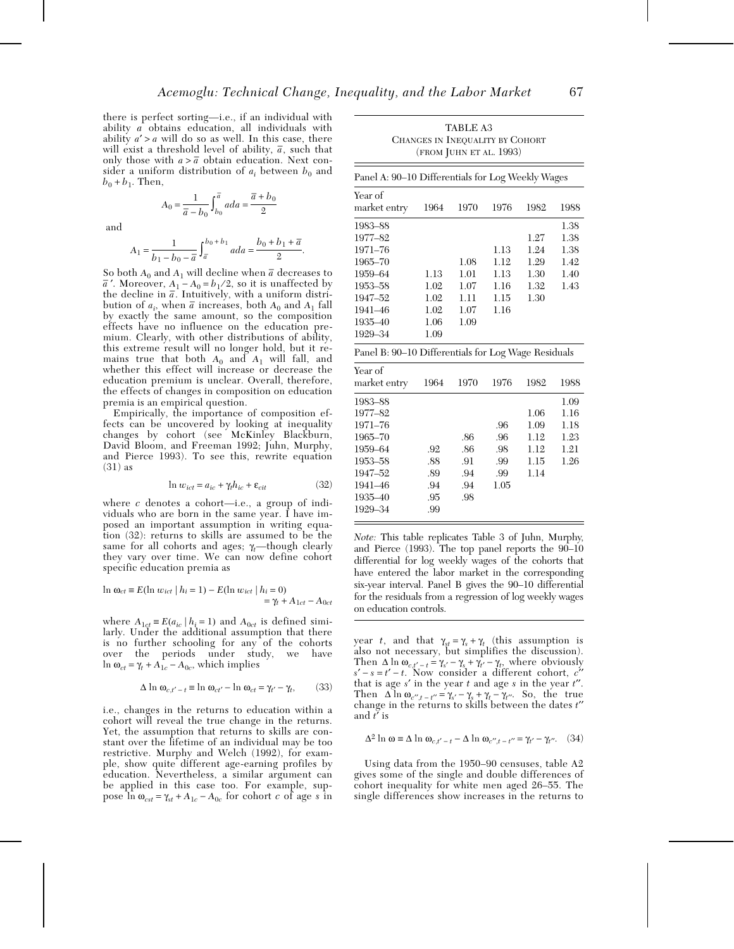there is perfect sorting—i.e., if an individual with ability *a* obtains education, all individuals with ability *a*′ > *a* will do so as well. In this case, there will exist a threshold level of ability,  $\bar{a}$ , such that only those with  $a > \overline{a}$  obtain education. Next consider a uniform distribution of  $a_i$  between  $b_0$  and  $b_0 + b_1$ . Then,

$$
A_0 = \frac{1}{\overline{a} - b_0} \int_{b_0}^{\overline{a}} a da = \frac{\overline{a} + b_0}{2}
$$

and

$$
A_1 = \frac{1}{b_1 - b_0 - \overline{a}} \int_{\overline{a}}^{b_0 + b_1} a da = \frac{b_0 + b_1 + \overline{a}}{2}.
$$

So both  $A_0$  and  $A_1$  will decline when  $\overline{a}$  decreases to  $\overline{a}$ <sup>'</sup>. Moreover,  $A_1 - A_0 = b_1/2$ , so it is unaffected by the decline in  $\bar{a}$ . Intuitively, with a uniform distribution of  $a_i$ , when  $\bar{a}$  increases, both  $A_0$  and  $A_1$  fall by exactly the same amount, so the composition effects have no influence on the education premium. Clearly, with other distributions of ability, this extreme result will no longer hold, but it remains true that both  $A_0$  and  $A_1$  will fall, and whether this effect will increase or decrease the education premium is unclear. Overall, therefore, the effects of changes in composition on education premia is an empirical question.

Empirically, the importance of composition effects can be uncovered by looking at inequality changes by cohort (see McKinley Blackburn, David Bloom, and Freeman 1992; Juhn, Murphy, and Pierce 1993). To see this, rewrite equation (31) as

$$
\ln w_{ict} = a_{ic} + \gamma_t h_{ic} + \varepsilon_{cit} \tag{32}
$$

where *c* denotes a cohort—i.e., a group of individuals who are born in the same year. I have imposed an important assumption in writing equation (32): returns to skills are assumed to be the same for all cohorts and ages; γ*t*—though clearly they vary over time. We can now define cohort specific education premia as

$$
\ln \omega_{ct} \equiv E(\ln w_{ict} \mid h_i = 1) - E(\ln w_{ict} \mid h_i = 0)
$$
  
=  $\gamma_t + A_{1ct} - A_{0ct}$ 

where  $A_{1ct} \equiv E(a_{ic} \mid h_i = 1)$  and  $A_{0ct}$  is defined similarly. Under the additional assumption that there is no further schooling for any of the cohorts over the periods under study, we have ln ω*ct* = γ*<sup>t</sup>* + *A*1*<sup>c</sup>* − *A*0*c*, which implies

$$
\Delta \ln \omega_{c,t'-t} \equiv \ln \omega_{ct'} - \ln \omega_{ct} = \gamma_{t'} - \gamma_t, \qquad (33)
$$

i.e., changes in the returns to education within a cohort will reveal the true change in the returns. Yet, the assumption that returns to skills are constant over the lifetime of an individual may be too restrictive. Murphy and Welch (1992), for example, show quite different age-earning profiles by education. Nevertheless, a similar argument can be applied in this case too. For example, suppose  $\ln \omega_{cst} = \gamma_{st} + A_{1c} - A_{0c}$  for cohort *c* of age *s* in

| TABLE A3                        |
|---------------------------------|
| CHANGES IN INEQUALITY BY COHORT |
| (FROM JUHN ET AL. 1993)         |

| Panel A: 90-10 Differentials for Log Weekly Wages   |      |      |      |      |      |
|-----------------------------------------------------|------|------|------|------|------|
| Year of                                             |      |      |      |      |      |
| market entry                                        | 1964 | 1970 | 1976 | 1982 | 1988 |
| 1983-88                                             |      |      |      |      | 1.38 |
| 1977-82                                             |      |      |      | 1.27 | 1.38 |
| 1971-76                                             |      |      | 1.13 | 1.24 | 1.38 |
| 1965-70                                             |      | 1.08 | 1.12 | 1.29 | 1.42 |
| 1959-64                                             | 1.13 | 1.01 | 1.13 | 1.30 | 1.40 |
| 1953-58                                             | 1.02 | 1.07 | 1.16 | 1.32 | 1.43 |
| 1947-52                                             | 1.02 | 1.11 | 1.15 | 1.30 |      |
| 1941-46                                             | 1.02 | 1.07 | 1.16 |      |      |
| 1935-40                                             | 1.06 | 1.09 |      |      |      |
| 1929-34                                             | 1.09 |      |      |      |      |
|                                                     |      |      |      |      |      |
| Panel B: 90-10 Differentials for Log Wage Residuals |      |      |      |      |      |
| Year of                                             |      |      |      |      |      |
| market entry                                        | 1964 | 1970 | 1976 | 1982 | 1988 |
| 1983-88                                             |      |      |      |      | 1.09 |
| 1977-82                                             |      |      |      | 1.06 | 1.16 |
| 1971-76                                             |      |      | .96  | 1.09 | 1.18 |
| 1965-70                                             |      | .86  | .96  | 1.12 | 1.23 |
| 1959-64                                             | .92  | .86  | .98  | 1.12 | 1.21 |
| 1953-58                                             | .88  | .91  | .99  | 1.15 | 1.26 |
| 1947-52                                             | .89  | .94  | .99  | 1.14 |      |
| 1941-46                                             | .94  | .94  | 1.05 |      |      |
| 1935-40                                             | .95  | .98  |      |      |      |

*Note:* This table replicates Table 3 of Juhn, Murphy, and Pierce (1993). The top panel reports the 90–10 differential for log weekly wages of the cohorts that have entered the labor market in the corresponding six-year interval. Panel B gives the 90–10 differential for the residuals from a regression of log weekly wages on education controls.

year *t*, and that  $\gamma_{st} = \gamma_s + \gamma_t$  (this assumption is also not necessary, but simplifies the discussion). Then  $\Delta \ln \omega_{c,t'-t} = \gamma_{s'} - \gamma_{s} + \gamma_{t'} - \gamma_{t}$ , where obviously *s*′ − *s* = *t*′ − *t*. Now consider a different cohort, *c*′′ that is age *s*′ in the year *t* and age *s* in the year *t*′′. Then  $\Delta \ln \omega_{c''t-t''} = \gamma_{s'} - \gamma_s + \gamma_t - \gamma_{t''}.$  So, the true change in the returns to skills between the dates *t*′′ and  $t^{\prime}$  is

$$
\Delta^2 \ln \omega \equiv \Delta \ln \omega_{c,t'-t} - \Delta \ln \omega_{c'',t-t''} = \gamma_{t'} - \gamma_{t''}. \quad (34)
$$

Using data from the 1950–90 censuses, table A2 gives some of the single and double differences of cohort inequality for white men aged 26–55. The single differences show increases in the returns to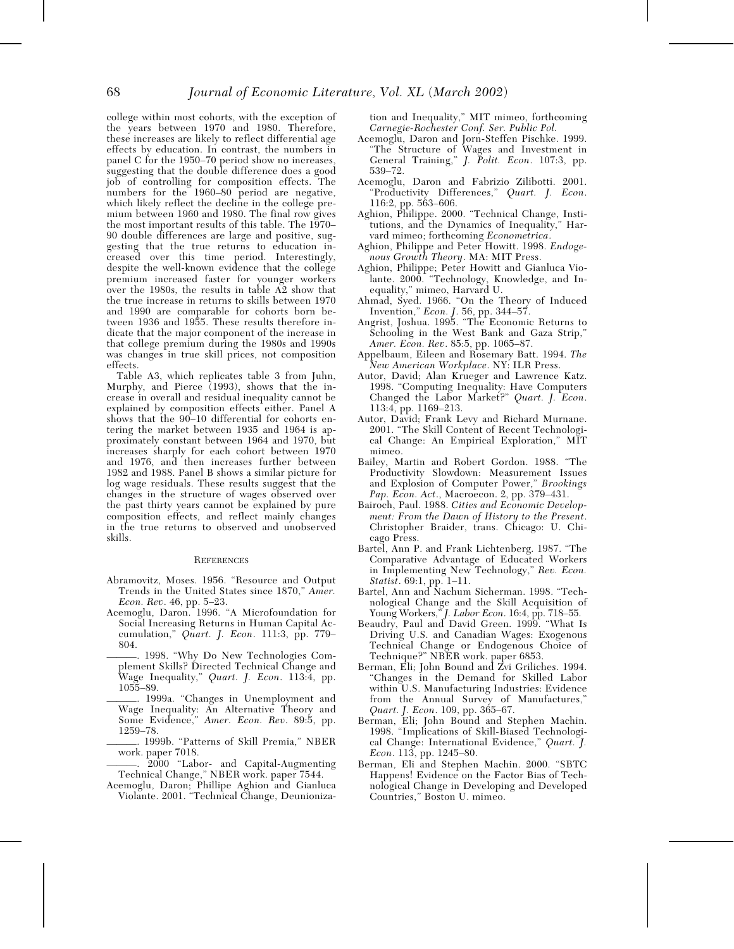college within most cohorts, with the exception of the years between 1970 and 1980. Therefore, these increases are likely to reflect differential age effects by education. In contrast, the numbers in panel C for the 1950–70 period show no increases, suggesting that the double difference does a good job of controlling for composition effects. The numbers for the 1960–80 period are negative, which likely reflect the decline in the college premium between 1960 and 1980. The final row gives the most important results of this table. The 1970– 90 double differences are large and positive, suggesting that the true returns to education increased over this time period. Interestingly, despite the well-known evidence that the college premium increased faster for younger workers over the 1980s, the results in table A2 show that the true increase in returns to skills between 1970 and 1990 are comparable for cohorts born between 1936 and 1955. These results therefore indicate that the major component of the increase in that college premium during the 1980s and 1990s was changes in true skill prices, not composition effects.

Table A3, which replicates table 3 from Juhn, Murphy, and Pierce (1993), shows that the increase in overall and residual inequality cannot be explained by composition effects either. Panel A shows that the 90–10 differential for cohorts entering the market between 1935 and 1964 is approximately constant between 1964 and 1970, but increases sharply for each cohort between 1970 and 1976, and then increases further between 1982 and 1988. Panel B shows a similar picture for log wage residuals. These results suggest that the changes in the structure of wages observed over the past thirty years cannot be explained by pure composition effects, and reflect mainly changes in the true returns to observed and unobserved skills.

#### **REFERENCES**

- Abramovitz, Moses. 1956. "Resource and Output Trends in the United States since 1870," *Amer. Econ. Rev*. 46, pp. 5–23.
- Acemoglu, Daron. 1996. "A Microfoundation for Social Increasing Returns in Human Capital Accumulation," *Quart. J. Econ*. 111:3, pp. 779– 804.
	- ———. 1998. "Why Do New Technologies Complement Skills? Directed Technical Change and Wage Inequality," *Quart. J. Econ*. 113:4, pp. 1055–89.
	- ———. 1999a. "Changes in Unemployment and Wage Inequality: An Alternative Theory and Some Evidence," *Amer. Econ. Rev*. 89:5, pp. 1259–78.
	- ———. 1999b. "Patterns of Skill Premia," NBER work. paper 7018.
- <sup>2000</sup> "Labor- and Capital-Augmenting" Technical Change," NBER work. paper 7544.
- Acemoglu, Daron; Phillipe Aghion and Gianluca Violante. 2001. "Technical Change, Deunioniza-

tion and Inequality," MIT mimeo, forthcoming *Carnegie-Rochester Conf. Ser. Public Pol.*

- Acemoglu, Daron and Jorn-Steffen Pischke. 1999. "The Structure of Wages and Investment in General Training," *J. Polit. Econ*. 107:3, pp. 539–72.
- Acemoglu, Daron and Fabrizio Zilibotti. 2001. "Productivity Differences," *Quart. J. Econ*. 116:2, pp. 563–606.
- Aghion, Philippe. 2000. "Technical Change, Institutions, and the Dynamics of Inequality," Harvard mimeo; forthcoming *Econometrica*.
- Aghion, Philippe and Peter Howitt. 1998. *Endogenous Growth Theory*. MA: MIT Press.
- Aghion, Philippe; Peter Howitt and Gianluca Violante. 2000. "Technology, Knowledge, and Inequality," mimeo, Harvard U.
- Ahmad, Syed. 1966. "On the Theory of Induced Invention," *Econ. J*. 56, pp. 344–57.
- Angrist, Joshua. 1995. "The Economic Returns to Schooling in the West Bank and Gaza Strip," *Amer. Econ. Rev*. 85:5, pp. 1065–87.
- Appelbaum, Eileen and Rosemary Batt. 1994. *The New American Workplace*. NY: ILR Press.
- Autor, David; Alan Krueger and Lawrence Katz. 1998. "Computing Inequality: Have Computers Changed the Labor Market?" *Quart. J. Econ*. 113:4, pp. 1169–213.
- Autor, David; Frank Levy and Richard Murnane. 2001. "The Skill Content of Recent Technological Change: An Empirical Exploration," MIT mimeo.
- Bailey, Martin and Robert Gordon. 1988. "The Productivity Slowdown: Measurement Issues and Explosion of Computer Power," *Brookings Pap. Econ. Act*., Macroecon. 2, pp. 379–431.
- Bairoch, Paul. 1988. *Cities and Economic Development: From the Dawn of History to the Present*. Christopher Braider, trans. Chicago: U. Chicago Press.
- Bartel, Ann P. and Frank Lichtenberg. 1987. "The Comparative Advantage of Educated Workers in Implementing New Technology," *Rev. Econ. Statist*. 69:1, pp. 1–11.
- Bartel, Ann and Nachum Sicherman. 1998. "Technological Change and the Skill Acquisition of Young Workers," *J. Labor Econ*. 16:4, pp. 718–55.
- Beaudry, Paul and David Green. 1999. "What Is Driving U.S. and Canadian Wages: Exogenous Technical Change or Endogenous Choice of Technique?" NBER work. paper 6853.
- Berman, Eli; John Bound and Zvi Griliches. 1994. "Changes in the Demand for Skilled Labor within U.S. Manufacturing Industries: Evidence from the Annual Survey of Manufactures," *Quart. J. Econ*. 109, pp. 365–67.
- Berman, Eli; John Bound and Stephen Machin. 1998. "Implications of Skill-Biased Technological Change: International Evidence," *Quart. J. Econ*. 113, pp. 1245–80.
- Berman, Eli and Stephen Machin. 2000. "SBTC Happens! Evidence on the Factor Bias of Technological Change in Developing and Developed Countries," Boston U. mimeo.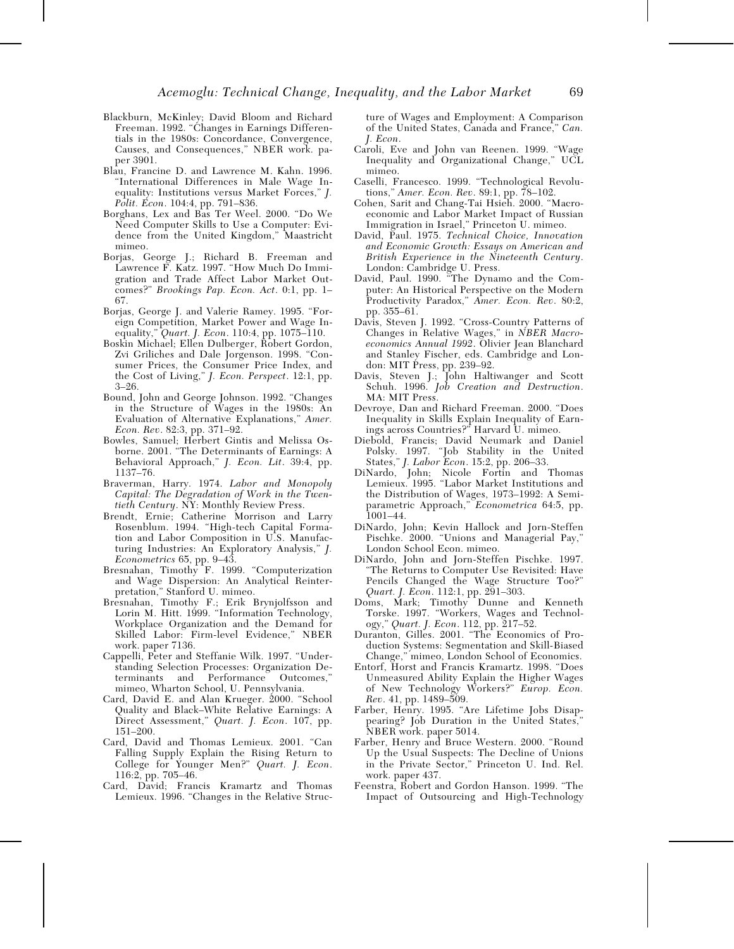- Blackburn, McKinley; David Bloom and Richard Freeman. 1992. "Changes in Earnings Differentials in the 1980s: Concordance, Convergence, Causes, and Consequences," NBER work. paper 3901.
- Blau, Francine D. and Lawrence M. Kahn. 1996. "International Differences in Male Wage Inequality: Institutions versus Market Forces," *J. Polit. Econ*. 104:4, pp. 791–836.
- Borghans, Lex and Bas Ter Weel. 2000. "Do We Need Computer Skills to Use a Computer: Evidence from the United Kingdom," Maastricht mimeo.
- Borjas, George J.; Richard B. Freeman and Lawrence F. Katz. 1997. "How Much Do Immigration and Trade Affect Labor Market Outcomes?" *Brookings Pap. Econ. Act*. 0:1, pp. 1– 67.
- Borjas, George J. and Valerie Ramey. 1995. "Foreign Competition, Market Power and Wage Inequality," *Quart. J. Econ*. 110:4, pp. 1075–110.
- Boskin Michael; Ellen Dulberger, Robert Gordon, Zvi Griliches and Dale Jorgenson. 1998. "Consumer Prices, the Consumer Price Index, and the Cost of Living," *J. Econ. Perspect*. 12:1, pp. 3–26.
- Bound, John and George Johnson. 1992. "Changes in the Structure of Wages in the 1980s: An Evaluation of Alternative Explanations," *Amer. Econ. Rev*. 82:3, pp. 371–92.
- Bowles, Samuel; Herbert Gintis and Melissa Osborne. 2001. "The Determinants of Earnings: A Behavioral Approach," *J. Econ. Lit*. 39:4, pp. 1137–76.
- Braverman, Harry. 1974. *Labor and Monopoly Capital: The Degradation of Work in the Twentieth Century*. NY: Monthly Review Press.
- Brendt, Ernie; Catherine Morrison and Larry Rosenblum. 1994. "High-tech Capital Formation and Labor Composition in U.S. Manufacturing Industries: An Exploratory Analysis," *J. Econometrics* 65, pp. 9–43.
- Bresnahan, Timothy F. 1999. "Computerization and Wage Dispersion: An Analytical Reinterpretation," Stanford U. mimeo.
- Bresnahan, Timothy F.; Erik Brynjolfsson and Lorin M. Hitt. 1999. "Information Technology, Workplace Organization and the Demand for Skilled Labor: Firm-level Evidence," NBER work. paper 7136.
- Cappelli, Peter and Steffanie Wilk. 1997. "Understanding Selection Processes: Organization Determinants and Performance Outcomes," mimeo, Wharton School, U. Pennsylvania.
- Card, David E. and Alan Krueger. 2000. "School Quality and Black–White Relative Earnings: A Direct Assessment," *Quart. J. Econ*. 107, pp. 151–200.
- Card, David and Thomas Lemieux. 2001. "Can Falling Supply Explain the Rising Return to College for Younger Men?" *Quart. J. Econ*. 116:2, pp. 705–46.
- Card, David; Francis Kramartz and Thomas Lemieux. 1996. "Changes in the Relative Struc-

ture of Wages and Employment: A Comparison of the United States, Canada and France," *Can. J. Econ*.

- Caroli, Eve and John van Reenen. 1999. "Wage Inequality and Organizational Change," UCL mimeo.
- Caselli, Francesco. 1999. "Technological Revolutions," *Amer. Econ. Rev*. 89:1, pp. 78–102.
- Cohen, Sarit and Chang-Tai Hsieh. 2000. "Macroeconomic and Labor Market Impact of Russian Immigration in Israel," Princeton U. mimeo.
- David, Paul. 1975. *Technical Choice, Innovation and Economic Growth: Essays on American and British Experience in the Nineteenth Century*. London: Cambridge U. Press.
- David, Paul. 1990. "The Dynamo and the Computer: An Historical Perspective on the Modern Productivity Paradox," *Amer. Econ. Rev*. 80:2, pp. 355–61.
- Davis, Steven J. 1992. "Cross-Country Patterns of Changes in Relative Wages," in *NBER Macroeconomics Annual 1992*. Olivier Jean Blanchard and Stanley Fischer, eds. Cambridge and London: MIT Press, pp. 239–92.
- Davis, Steven J.; John Haltiwanger and Scott Schuh. 1996. *Job Creation and Destruction*. MA: MIT Press.
- Devroye, Dan and Richard Freeman. 2000. "Does Inequality in Skills Explain Inequality of Earnings across Countries?" Harvard U. mimeo.
- Diebold, Francis; David Neumark and Daniel Polsky. 1997. "Job Stability in the United States," *J. Labor Econ*. 15:2, pp. 206–33.
- DiNardo, John; Nicole Fortin and Thomas Lemieux. 1995. "Labor Market Institutions and the Distribution of Wages, 1973–1992: A Semiparametric Approach," *Econometrica* 64:5, pp. 1001–44.
- DiNardo, John; Kevin Hallock and Jorn-Steffen Pischke. 2000. "Unions and Managerial Pay," London School Econ. mimeo.
- DiNardo, John and Jorn-Steffen Pischke. 1997. "The Returns to Computer Use Revisited: Have Pencils Changed the Wage Structure Too?" *Quart. J. Econ*. 112:1, pp. 291–303.
- Doms, Mark; Timothy Dunne and Kenneth Torske. 1997. "Workers, Wages and Technology," *Quart. J. Econ*. 112, pp. 217–52.
- Duranton, Gilles. 2001. "The Economics of Production Systems: Segmentation and Skill-Biased Change," mimeo, London School of Economics.
- Entorf, Horst and Francis Kramartz. 1998. "Does Unmeasured Ability Explain the Higher Wages of New Technology Workers?" *Europ. Econ. Rev*. 41, pp. 1489–509.
- Farber, Henry. 1995. "Are Lifetime Jobs Disappearing? Job Duration in the United States," NBER work. paper 5014.
- Farber, Henry and Bruce Western. 2000. "Round Up the Usual Suspects: The Decline of Unions in the Private Sector," Princeton U. Ind. Rel. work. paper 437.
- Feenstra, Robert and Gordon Hanson. 1999. "The Impact of Outsourcing and High-Technology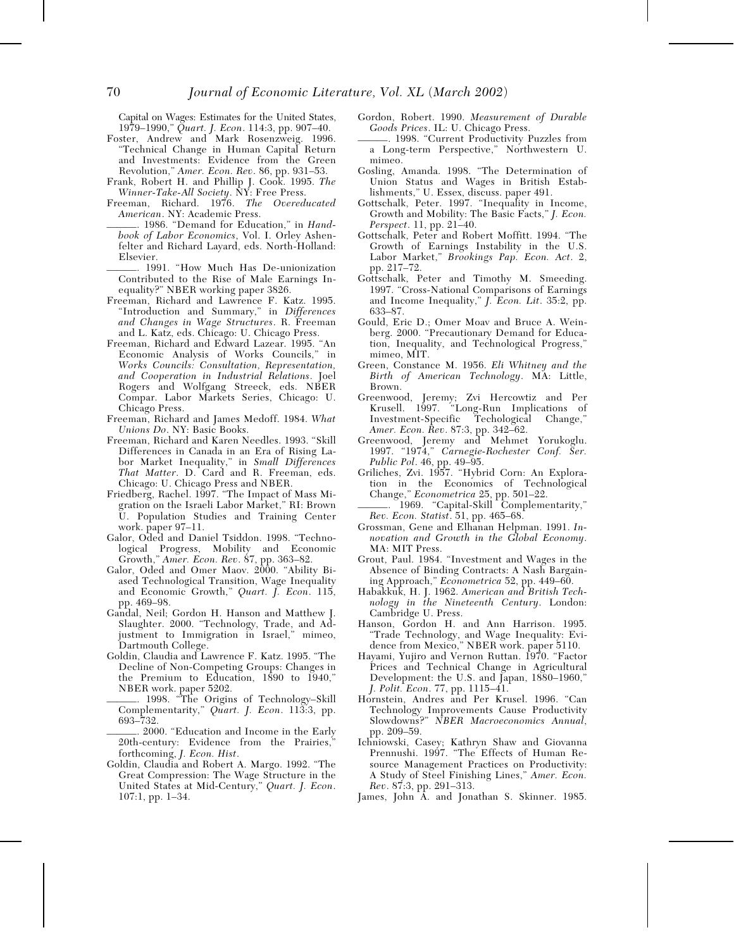Capital on Wages: Estimates for the United States, 1979–1990," *Quart. J. Econ*. 114:3, pp. 907–40.

- Foster, Andrew and Mark Rosenzweig. 1996. "Technical Change in Human Capital Return and Investments: Evidence from the Green Revolution," *Amer. Econ. Rev*. 86, pp. 931–53.
- Frank, Robert H. and Phillip J. Cook. 1995. *The Winner-Take-All Society*. NY: Free Press.
- Freeman, Richard. 1976. *The Overeducated American*. NY: Academic Press.
- ———. 1986. "Demand for Education," in *Handbook of Labor Economics*, Vol. I. Orley Ashenfelter and Richard Layard, eds. North-Holland: Elsevier.
- ———. 1991. "How Much Has De-unionization Contributed to the Rise of Male Earnings Inequality?" NBER working paper 3826.
- Freeman, Richard and Lawrence F. Katz. 1995. "Introduction and Summary," in *Differences and Changes in Wage Structures*. R. Freeman and L. Katz, eds. Chicago: U. Chicago Press.
- Freeman, Richard and Edward Lazear. 1995. "An Economic Analysis of Works Councils," in *Works Councils: Consultation, Representation, and Cooperation in Industrial Relations*. Joel Rogers and Wolfgang Streeck, eds. NBER Compar. Labor Markets Series, Chicago: U. Chicago Press.
- Freeman, Richard and James Medoff. 1984. *What Unions Do*. NY: Basic Books.
- Freeman, Richard and Karen Needles. 1993. "Skill Differences in Canada in an Era of Rising Labor Market Inequality," in *Small Differences That Matter*. D. Card and R. Freeman, eds. Chicago: U. Chicago Press and NBER.
- Friedberg, Rachel. 1997. "The Impact of Mass Migration on the Israeli Labor Market," RI: Brown U. Population Studies and Training Center work. paper 97–11.
- Galor, Oded and Daniel Tsiddon. 1998. "Technological Progress, Mobility and Economic Growth," *Amer. Econ. Rev*. 87, pp. 363–82.
- Galor, Oded and Omer Maov. 2000. "Ability Biased Technological Transition, Wage Inequality and Economic Growth," *Quart. J. Econ*. 115, pp. 469–98.
- Gandal, Neil; Gordon H. Hanson and Matthew J. Slaughter. 2000. "Technology, Trade, and Adjustment to Immigration in Israel," mimeo, Dartmouth College.
- Goldin, Claudia and Lawrence F. Katz. 1995. "The Decline of Non-Competing Groups: Changes in the Premium to Education, 1890 to 1940," NBER work. paper 5202.
	- ———. 1998. "The Origins of Technology–Skill Complementarity," *Quart. J. Econ*. 113:3, pp. 693–732.
- ———. 2000. "Education and Income in the Early 20th-century: Evidence from the Prairies," forthcoming, *J. Econ. Hist*.
- Goldin, Claudia and Robert A. Margo. 1992. "The Great Compression: The Wage Structure in the United States at Mid-Century," *Quart. J. Econ*. 107:1, pp. 1–34.
- Gordon, Robert. 1990. *Measurement of Durable Goods Prices*. IL: U. Chicago Press.
- ———. 1998. "Current Productivity Puzzles from a Long-term Perspective," Northwestern U. mimeo.
- Gosling, Amanda. 1998. "The Determination of Union Status and Wages in British Establishments," U. Essex, discuss. paper 491.
- Gottschalk, Peter. 1997. "Inequality in Income, Growth and Mobility: The Basic Facts," *J. Econ. Perspect*. 11, pp. 21–40.
- Gottschalk, Peter and Robert Moffitt. 1994. "The Growth of Earnings Instability in the U.S. Labor Market," *Brookings Pap. Econ. Act*. 2, pp. 217–72.
- Gottschalk, Peter and Timothy M. Smeeding. 1997. "Cross-National Comparisons of Earnings and Income Inequality," *J. Econ. Lit*. 35:2, pp. 633–87.
- Gould, Eric D.; Omer Moav and Bruce A. Weinberg. 2000. "Precautionary Demand for Education, Inequality, and Technological Progress," mimeo, MIT.
- Green, Constance M. 1956. *Eli Whitney and the Birth of American Technology*. MA: Little, Brown.
- Greenwood, Jeremy; Zvi Hercowtiz and Per Krusell. 1997. "Long-Run Implications of Investment-Specific Techological Change," *Amer. Econ. Rev*. 87:3, pp. 342–62.
- Greenwood, Jeremy and Mehmet Yorukoglu. 1997. "1974," *Carnegie-Rochester Conf. Ser. Public Pol*. 46, pp. 49–95.
- Griliches, Zvi. 1957. "Hybrid Corn: An Exploration in the Economics of Technological Change," *Econometrica* 25, pp. 501–22.
- ———. 1969. "Capital-Skill Complementarity," *Rev. Econ. Statist*. 51, pp. 465–68.
- Grossman, Gene and Elhanan Helpman. 1991. *Innovation and Growth in the Global Economy*. MA: MIT Press.
- Grout, Paul. 1984. "Investment and Wages in the Absence of Binding Contracts: A Nash Bargaining Approach," *Econometrica* 52, pp. 449–60.
- Habakkuk, H. J. 1962. *American and British Technology in the Nineteenth Century*. London: Cambridge U. Press.
- Hanson, Gordon H. and Ann Harrison. 1995. "Trade Technology, and Wage Inequality: Evidence from Mexico," NBER work. paper 5110.
- Hayami, Yujiro and Vernon Ruttan. 1970. "Factor Prices and Technical Change in Agricultural Development: the U.S. and Japan, 1880–1960," *J. Polit. Econ*. 77, pp. 1115–41.
- Hornstein, Andres and Per Krusel. 1996. "Can Technology Improvements Cause Productivity Slowdowns?" *NBER Macroeconomics Annual*, pp. 209–59.
- Ichniowski, Casey; Kathryn Shaw and Giovanna Prennushi. 1997. "The Effects of Human Resource Management Practices on Productivity: A Study of Steel Finishing Lines," *Amer. Econ. Rev*. 87:3, pp. 291–313.
- James, John A. and Jonathan S. Skinner. 1985.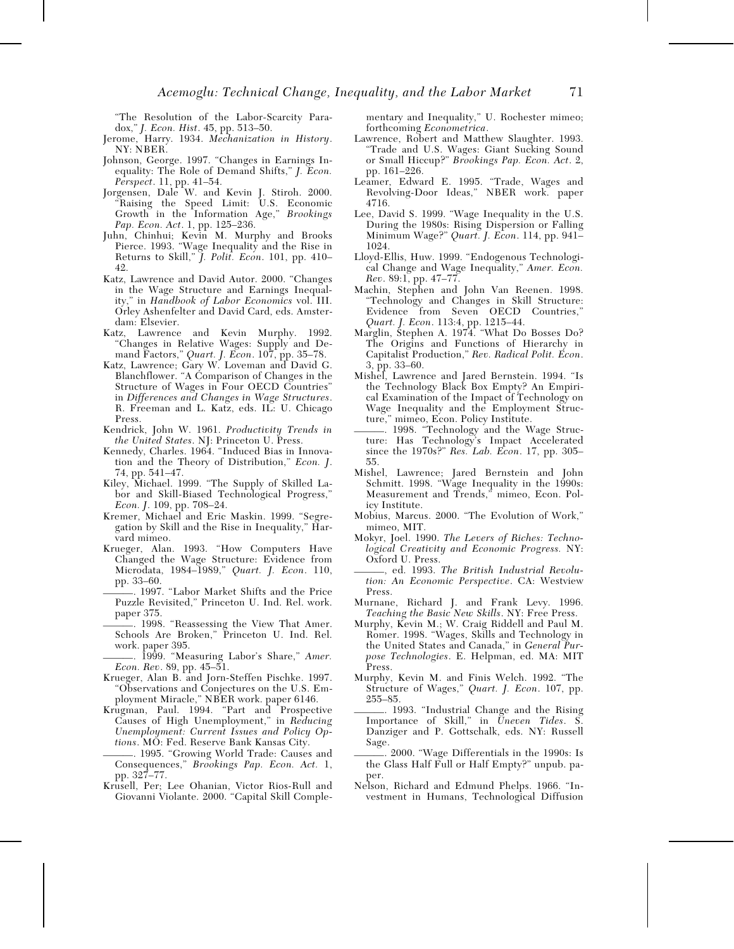"The Resolution of the Labor-Scarcity Paradox," *J. Econ. Hist*. 45, pp. 513–50.

- Jerome, Harry. 1934. *Mechanization in History*. NY: NBER.
- Johnson, George. 1997. "Changes in Earnings Inequality: The Role of Demand Shifts," *J. Econ. Perspect*. 11, pp. 41–54.
- Jorgensen, Dale W. and Kevin J. Stiroh. 2000. "Raising the Speed Limit: U.S. Economic Growth in the Information Age," *Brookings Pap. Econ. Act*. 1, pp. 125–236.
- Juhn, Chinhui; Kevin M. Murphy and Brooks Pierce. 1993. "Wage Inequality and the Rise in Returns to Skill," *J. Polit. Econ*. 101, pp. 410– 42.
- Katz, Lawrence and David Autor. 2000. "Changes in the Wage Structure and Earnings Inequality," in *Handbook of Labor Economics* vol. III. Orley Ashenfelter and David Card, eds. Amsterdam: Elsevier.
- Katz, Lawrence and Kevin Murphy. 1992. "Changes in Relative Wages: Supply and Demand Factors," *Quart. J. Econ*. 107, pp. 35–78.
- Katz, Lawrence; Gary W. Loveman and David G. Blanchflower. "A Comparison of Changes in the Structure of Wages in Four OECD Countries" in *Differences and Changes in Wage Structures*. R. Freeman and L. Katz, eds. IL: U. Chicago Press.
- Kendrick, John W. 1961. *Productivity Trends in the United States*. NJ: Princeton U. Press.
- Kennedy, Charles. 1964. "Induced Bias in Innovation and the Theory of Distribution," *Econ. J*. 74, pp. 541–47.
- Kiley, Michael. 1999. "The Supply of Skilled Labor and Skill-Biased Technological Progress," *Econ. J*. 109, pp. 708–24.
- Kremer, Michael and Eric Maskin. 1999. "Segregation by Skill and the Rise in Inequality," Harvard mimeo.
- Krueger, Alan. 1993. "How Computers Have Changed the Wage Structure: Evidence from Microdata, 1984–1989," *Quart. J. Econ*. 110, pp. 33–60.
- ———. 1997. "Labor Market Shifts and the Price Puzzle Revisited," Princeton U. Ind. Rel. work. paper 375.
- ———. 1998. "Reassessing the View That Amer. Schools Are Broken," Princeton U. Ind. Rel. work. paper 395.
- ———. 1999. "Measuring Labor's Share," *Amer. Econ. Rev*. 89, pp. 45–51.
- Krueger, Alan B. and Jorn-Steffen Pischke. 1997. "Observations and Conjectures on the U.S. Employment Miracle," NBER work. paper 6146.
- Krugman, Paul. 1994. "Part and Prospective Causes of High Unemployment," in *Reducing Unemployment: Current Issues and Policy Options*. MO: Fed. Reserve Bank Kansas City.
- ———. 1995. "Growing World Trade: Causes and Consequences," *Brookings Pap. Econ. Act.* 1, pp. 327–77.
- Krusell, Per; Lee Ohanian, Victor Rios-Rull and Giovanni Violante. 2000. "Capital Skill Comple-

mentary and Inequality," U. Rochester mimeo; forthcoming *Econometrica*.

- Lawrence, Robert and Matthew Slaughter. 1993. "Trade and U.S. Wages: Giant Sucking Sound or Small Hiccup?" *Brookings Pap. Econ. Act*. 2, pp. 161–226.
- Leamer, Edward E. 1995. "Trade, Wages and Revolving-Door Ideas," NBER work. paper 4716.
- Lee, David S. 1999. "Wage Inequality in the U.S. During the 1980s: Rising Dispersion or Falling Minimum Wage?" *Quart. J. Econ*. 114, pp. 941– 1024.
- Lloyd-Ellis, Huw. 1999. "Endogenous Technological Change and Wage Inequality," *Amer. Econ. Rev*. 89:1, pp. 47–77.
- Machin, Stephen and John Van Reenen. 1998. "Technology and Changes in Skill Structure: Evidence from Seven OECD Countries," *Quart. J. Econ*. 113:4, pp. 1215–44.
- Marglin, Stephen A. 1974. "What Do Bosses Do? The Origins and Functions of Hierarchy in Capitalist Production," *Rev. Radical Polit. Econ*. 3, pp. 33–60.
- Mishel, Lawrence and Jared Bernstein. 1994. "Is the Technology Black Box Empty? An Empirical Examination of the Impact of Technology on Wage Inequality and the Employment Structure," mimeo, Econ. Policy Institute.
- ———. 1998. "Technology and the Wage Structure: Has Technology's Impact Accelerated since the 1970s?" *Res. Lab. Econ*. 17, pp. 305– 55.
- Mishel, Lawrence; Jared Bernstein and John Schmitt. 1998. "Wage Inequality in the 1990s: Measurement and Trends," mimeo, Econ. Policy Institute.
- Mobius, Marcus. 2000. "The Evolution of Work," mimeo, MIT.
- Mokyr, Joel. 1990. *The Levers of Riches: Technological Creativity and Economic Progress.* NY: Oxford U. Press.
- ———, ed. 1993. *The British Industrial Revolution: An Economic Perspective*. CA: Westview Press.
- Murnane, Richard J. and Frank Levy. 1996. *Teaching the Basic New Skills*. NY: Free Press.
- Murphy, Kevin M.; W. Craig Riddell and Paul M. Romer. 1998. "Wages, Skills and Technology in the United States and Canada," in *General Purpose Technologies*. E. Helpman, ed. MA: MIT Press.
- Murphy, Kevin M. and Finis Welch. 1992. "The Structure of Wages," *Quart. J. Econ*. 107, pp. 255–85.
- ———. 1993. "Industrial Change and the Rising Importance of Skill," in *Uneven Tides*. S. Danziger and P. Gottschalk, eds. NY: Russell Sage.
- 2000. "Wage Differentials in the 1990s: Is the Glass Half Full or Half Empty?" unpub. paper.
- Nelson, Richard and Edmund Phelps. 1966. "Investment in Humans, Technological Diffusion